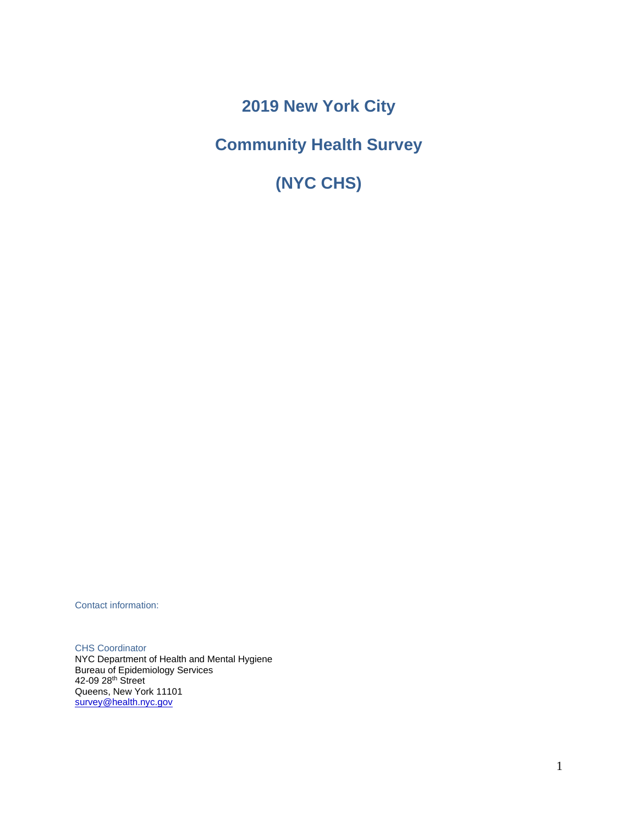**2019 New York City**

# **Community Health Survey**

**(NYC CHS)**

Contact information:

CHS Coordinator NYC Department of Health and Mental Hygiene Bureau of Epidemiology Services 42-09 28<sup>th</sup> Street Queens, New York 11101 [survey@health.nyc.gov](mailto:survey@health.nyc.gov)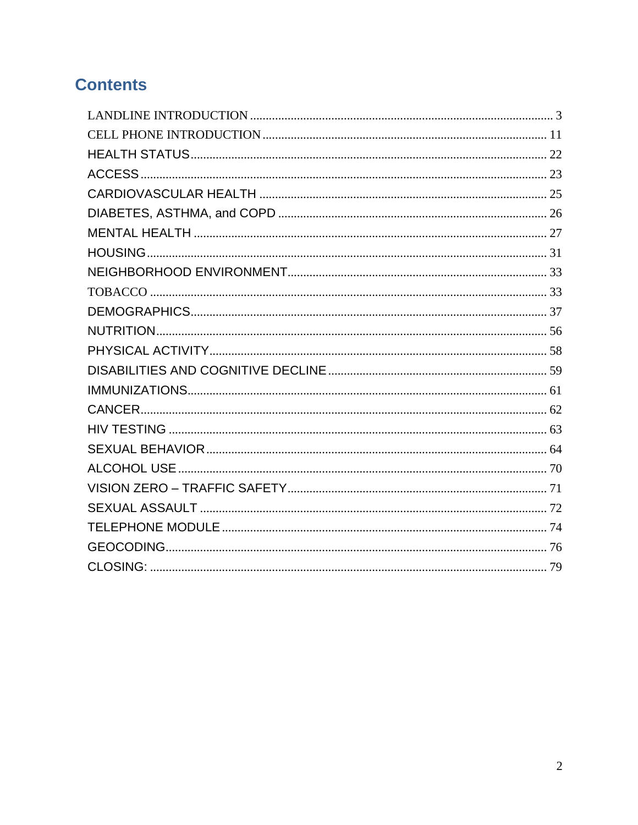# **Contents**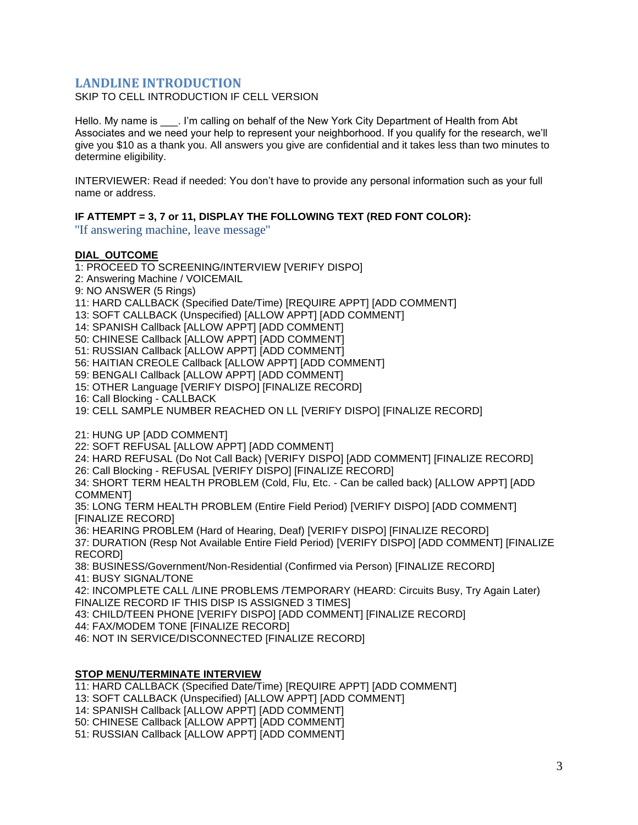# <span id="page-2-0"></span>**LANDLINE INTRODUCTION**

SKIP TO CELL INTRODUCTION IF CELL VERSION

Hello. My name is . I'm calling on behalf of the New York City Department of Health from Abt Associates and we need your help to represent your neighborhood. If you qualify for the research, we'll give you \$10 as a thank you. All answers you give are confidential and it takes less than two minutes to determine eligibility.

INTERVIEWER: Read if needed: You don't have to provide any personal information such as your full name or address.

#### **IF ATTEMPT = 3, 7 or 11, DISPLAY THE FOLLOWING TEXT (RED FONT COLOR):**

''If answering machine, leave message''

#### **DIAL\_OUTCOME**

1: PROCEED TO SCREENING/INTERVIEW [VERIFY DISPO] 2: Answering Machine / VOICEMAIL 9: NO ANSWER (5 Rings) 11: HARD CALLBACK (Specified Date/Time) [REQUIRE APPT] [ADD COMMENT] 13: SOFT CALLBACK (Unspecified) [ALLOW APPT] [ADD COMMENT] 14: SPANISH Callback [ALLOW APPT] [ADD COMMENT] 50: CHINESE Callback [ALLOW APPT] [ADD COMMENT] 51: RUSSIAN Callback [ALLOW APPT] [ADD COMMENT] 56: HAITIAN CREOLE Callback [ALLOW APPT] [ADD COMMENT] 59: BENGALI Callback [ALLOW APPT] [ADD COMMENT] 15: OTHER Language [VERIFY DISPO] [FINALIZE RECORD] 16: Call Blocking - CALLBACK 19: CELL SAMPLE NUMBER REACHED ON LL [VERIFY DISPO] [FINALIZE RECORD] 21: HUNG UP [ADD COMMENT] 22: SOFT REFUSAL [ALLOW APPT] [ADD COMMENT] 24: HARD REFUSAL (Do Not Call Back) [VERIFY DISPO] [ADD COMMENT] [FINALIZE RECORD] 26: Call Blocking - REFUSAL [VERIFY DISPO] [FINALIZE RECORD] 34: SHORT TERM HEALTH PROBLEM (Cold, Flu, Etc. - Can be called back) [ALLOW APPT] [ADD COMMENT] 35: LONG TERM HEALTH PROBLEM (Entire Field Period) [VERIFY DISPO] [ADD COMMENT] [FINALIZE RECORD] 36: HEARING PROBLEM (Hard of Hearing, Deaf) [VERIFY DISPO] [FINALIZE RECORD] 37: DURATION (Resp Not Available Entire Field Period) [VERIFY DISPO] [ADD COMMENT] [FINALIZE RECORD] 38: BUSINESS/Government/Non-Residential (Confirmed via Person) [FINALIZE RECORD] 41: BUSY SIGNAL/TONE

42: INCOMPLETE CALL /LINE PROBLEMS /TEMPORARY (HEARD: Circuits Busy, Try Again Later) FINALIZE RECORD IF THIS DISP IS ASSIGNED 3 TIMES]

43: CHILD/TEEN PHONE [VERIFY DISPO] [ADD COMMENT] [FINALIZE RECORD]

44: FAX/MODEM TONE [FINALIZE RECORD]

46: NOT IN SERVICE/DISCONNECTED [FINALIZE RECORD]

## **STOP MENU/TERMINATE INTERVIEW**

11: HARD CALLBACK (Specified Date/Time) [REQUIRE APPT] [ADD COMMENT]

13: SOFT CALLBACK (Unspecified) [ALLOW APPT] [ADD COMMENT]

14: SPANISH Callback [ALLOW APPT] [ADD COMMENT]

50: CHINESE Callback [ALLOW APPT] [ADD COMMENT]

51: RUSSIAN Callback [ALLOW APPT] [ADD COMMENT]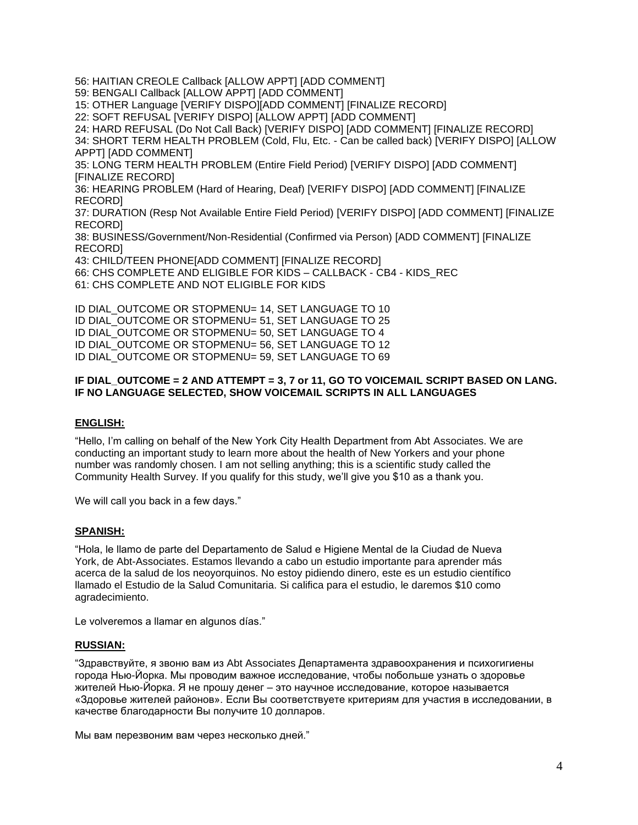56: HAITIAN CREOLE Callback [ALLOW APPT] [ADD COMMENT] 59: BENGALI Callback [ALLOW APPT] [ADD COMMENT] 15: OTHER Language [VERIFY DISPO][ADD COMMENT] [FINALIZE RECORD] 22: SOFT REFUSAL [VERIFY DISPO] [ALLOW APPT] [ADD COMMENT] 24: HARD REFUSAL (Do Not Call Back) [VERIFY DISPO] [ADD COMMENT] [FINALIZE RECORD] 34: SHORT TERM HEALTH PROBLEM (Cold, Flu, Etc. - Can be called back) [VERIFY DISPO] [ALLOW APPT] [ADD COMMENT] 35: LONG TERM HEALTH PROBLEM (Entire Field Period) [VERIFY DISPO] [ADD COMMENT] [FINALIZE RECORD] 36: HEARING PROBLEM (Hard of Hearing, Deaf) [VERIFY DISPO] [ADD COMMENT] [FINALIZE RECORD] 37: DURATION (Resp Not Available Entire Field Period) [VERIFY DISPO] [ADD COMMENT] [FINALIZE RECORD] 38: BUSINESS/Government/Non-Residential (Confirmed via Person) [ADD COMMENT] [FINALIZE RECORD] 43: CHILD/TEEN PHONE[ADD COMMENT] [FINALIZE RECORD] 66: CHS COMPLETE AND ELIGIBLE FOR KIDS – CALLBACK - CB4 - KIDS\_REC 61: CHS COMPLETE AND NOT ELIGIBLE FOR KIDS ID DIAL\_OUTCOME OR STOPMENU= 14, SET LANGUAGE TO 10 ID DIAL\_OUTCOME OR STOPMENU= 51, SET LANGUAGE TO 25 ID DIAL\_OUTCOME OR STOPMENU= 50, SET LANGUAGE TO 4

#### **IF DIAL\_OUTCOME = 2 AND ATTEMPT = 3, 7 or 11, GO TO VOICEMAIL SCRIPT BASED ON LANG. IF NO LANGUAGE SELECTED, SHOW VOICEMAIL SCRIPTS IN ALL LANGUAGES**

#### **ENGLISH:**

"Hello, I'm calling on behalf of the New York City Health Department from Abt Associates. We are conducting an important study to learn more about the health of New Yorkers and your phone number was randomly chosen. I am not selling anything; this is a scientific study called the Community Health Survey. If you qualify for this study, we'll give you \$10 as a thank you.

ID DIAL\_OUTCOME OR STOPMENU= 56, SET LANGUAGE TO 12 ID DIAL\_OUTCOME OR STOPMENU= 59, SET LANGUAGE TO 69

We will call you back in a few days."

#### **SPANISH:**

"Hola, le llamo de parte del Departamento de Salud e Higiene Mental de la Ciudad de Nueva York, de Abt-Associates. Estamos llevando a cabo un estudio importante para aprender más acerca de la salud de los neoyorquinos. No estoy pidiendo dinero, este es un estudio científico llamado el Estudio de la Salud Comunitaria. Si califica para el estudio, le daremos \$10 como agradecimiento.

Le volveremos a llamar en algunos días."

#### **RUSSIAN:**

"Здравствуйте, я звоню вам из Abt Associates Департамента здравоохранения и психогигиены города Нью-Йорка. Мы проводим важное исследование, чтобы побольше узнать о здоровье жителей Нью-Йорка. Я не прошу денег – это научное исследование, которое называется «Здоровье жителей районов». Если Вы соответствуете критериям для участия в исследовании, в качестве благодарности Вы получите 10 долларов.

Мы вам перезвоним вам через несколько дней."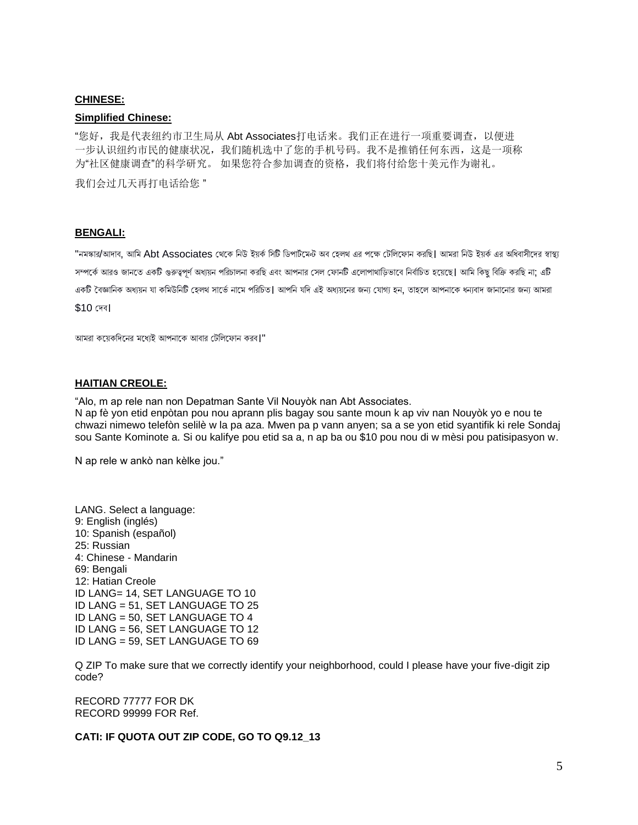### **CHINESE:**

#### **Simplified Chinese:**

"您好,我是代表纽约市卫生局从 Abt Associates打电话来。我们正在进行一项重要调查,以便进 一步认识纽约市民的健康状况,我们随机选中了您的手机号码。我不是推销任何东西,这是一项称 为"社区健康调查"的科学研究。 如果您符合参加调查的资格,我们将付给您十美元作为谢礼。

我们会过几天再打电话给您 "

#### **BENGALI:**

"নমস্কার/আদাব, আমি Abt Associates থেকে নিউ ইয়র্ক সিটি ডিপার্টমেন্ট অব হেলথ এর পক্ষে টেলিফোন করছি। আমরা নিউ ইয়র্ক এর অধিবাসীদের স্বাস্থ্য সম্পর্কে আরও জানতে একটি গুরুত্বপূর্ণ অধ্যয়ন পরিচালনা করছি এবং আপনার সেল ফোনটি এলোপাথাড়িভাবে নির্বাচিত হয়েছে। আমি কিছ বিক্রি করছি না; এটি একটি বৈজ্ঞানিক অধ্যয়ন যা কমিউনিটি হেলথ সার্ভে নামে পরিচিত। আপনি যদি এই অধ্যয়নের জন্য যোগ্য হন, তাহলে আপনাকে ধন্যবাদ জানানোর জন্য আমরা \$10 থদব।

আমরা কয়েকদিনের মধ্যেই আপনাকে আবার টেলিফোন করব।"

#### **HAITIAN CREOLE:**

"Alo, m ap rele nan non Depatman Sante Vil Nouyòk nan Abt Associates.

N ap fè yon etid enpòtan pou nou aprann plis bagay sou sante moun k ap viv nan Nouyòk yo e nou te chwazi nimewo telefòn selilè w la pa aza. Mwen pa p vann anyen; sa a se yon etid syantifik ki rele Sondaj sou Sante Kominote a. Si ou kalifye pou etid sa a, n ap ba ou \$10 pou nou di w mèsi pou patisipasyon w.

N ap rele w ankò nan kèlke jou."

LANG. Select a language: 9: English (inglés) 10: Spanish (español) 25: Russian 4: Chinese - Mandarin 69: Bengali 12: Hatian Creole ID LANG= 14, SET LANGUAGE TO 10 ID LANG = 51, SET LANGUAGE TO 25 ID LANG = 50, SET LANGUAGE TO 4 ID LANG = 56, SET LANGUAGE TO 12 ID LANG = 59, SET LANGUAGE TO 69

Q ZIP To make sure that we correctly identify your neighborhood, could I please have your five-digit zip code?

RECORD 77777 FOR DK RECORD 99999 FOR Ref.

**CATI: IF QUOTA OUT ZIP CODE, GO TO Q9.12\_13**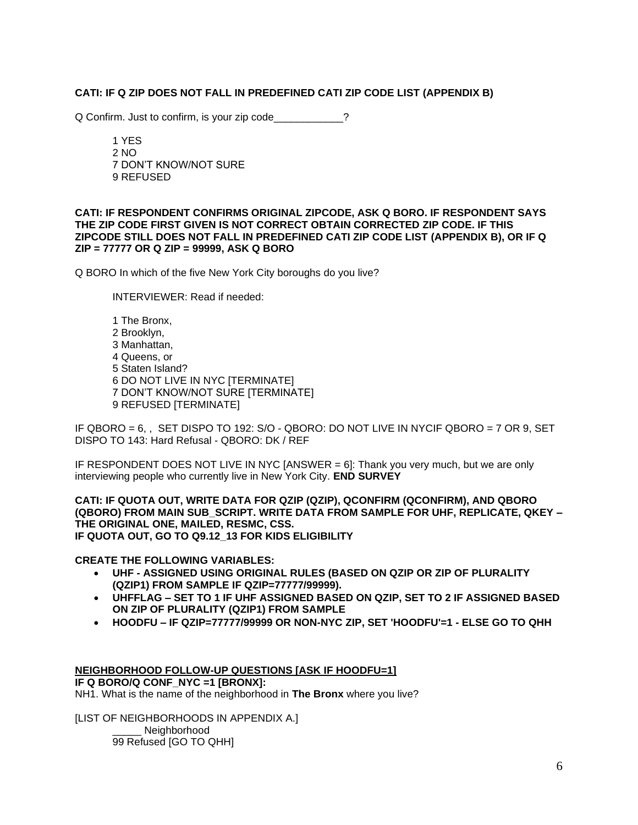## **CATI: IF Q ZIP DOES NOT FALL IN PREDEFINED CATI ZIP CODE LIST (APPENDIX B)**

Q Confirm. Just to confirm, is your zip code  $\overline{?}$ 

1 YES 2 NO 7 DON'T KNOW/NOT SURE 9 REFUSED

#### **CATI: IF RESPONDENT CONFIRMS ORIGINAL ZIPCODE, ASK Q BORO. IF RESPONDENT SAYS THE ZIP CODE FIRST GIVEN IS NOT CORRECT OBTAIN CORRECTED ZIP CODE. IF THIS ZIPCODE STILL DOES NOT FALL IN PREDEFINED CATI ZIP CODE LIST (APPENDIX B), OR IF Q ZIP = 77777 OR Q ZIP = 99999, ASK Q BORO**

Q BORO In which of the five New York City boroughs do you live?

INTERVIEWER: Read if needed:

1 The Bronx, 2 Brooklyn, 3 Manhattan, 4 Queens, or 5 Staten Island? 6 DO NOT LIVE IN NYC [TERMINATE] 7 DON'T KNOW/NOT SURE [TERMINATE] 9 REFUSED [TERMINATE]

IF QBORO = 6, , SET DISPO TO 192: S/O - QBORO: DO NOT LIVE IN NYCIF QBORO = 7 OR 9, SET DISPO TO 143: Hard Refusal - QBORO: DK / REF

IF RESPONDENT DOES NOT LIVE IN NYC  $[ANSWER = 6]$ : Thank you very much, but we are only interviewing people who currently live in New York City. **END SURVEY**

**CATI: IF QUOTA OUT, WRITE DATA FOR QZIP (QZIP), QCONFIRM (QCONFIRM), AND QBORO (QBORO) FROM MAIN SUB\_SCRIPT. WRITE DATA FROM SAMPLE FOR UHF, REPLICATE, QKEY – THE ORIGINAL ONE, MAILED, RESMC, CSS. IF QUOTA OUT, GO TO Q9.12\_13 FOR KIDS ELIGIBILITY**

**CREATE THE FOLLOWING VARIABLES:**

- **UHF - ASSIGNED USING ORIGINAL RULES (BASED ON QZIP OR ZIP OF PLURALITY (QZIP1) FROM SAMPLE IF QZIP=77777/99999).**
- **UHFFLAG – SET TO 1 IF UHF ASSIGNED BASED ON QZIP, SET TO 2 IF ASSIGNED BASED ON ZIP OF PLURALITY (QZIP1) FROM SAMPLE**
- **HOODFU – IF QZIP=77777/99999 OR NON-NYC ZIP, SET 'HOODFU'=1 - ELSE GO TO QHH**

**NEIGHBORHOOD FOLLOW-UP QUESTIONS [ASK IF HOODFU=1] IF Q BORO/Q CONF\_NYC =1 [BRONX]:** NH1. What is the name of the neighborhood in **The Bronx** where you live?

[LIST OF NEIGHBORHOODS IN APPENDIX A.] Neighborhood 99 Refused [GO TO QHH]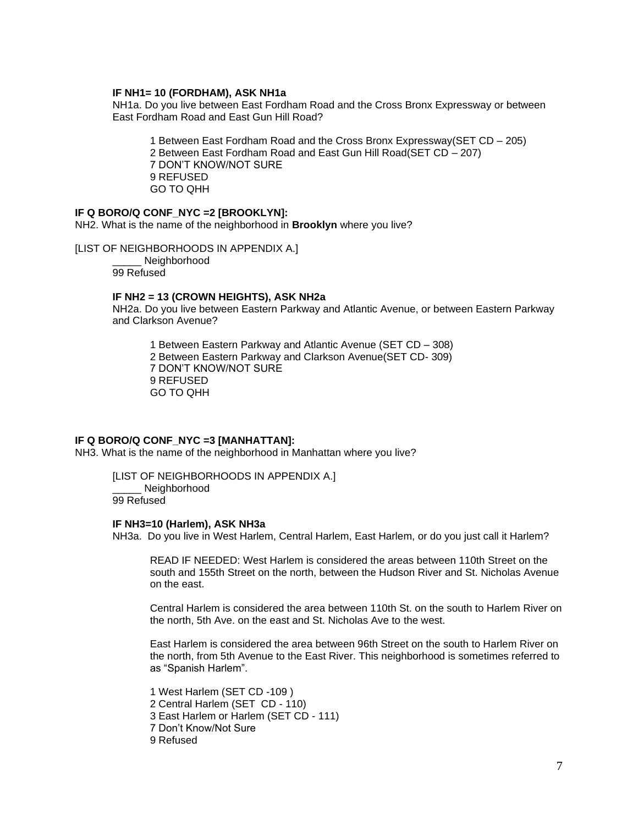#### **IF NH1= 10 (FORDHAM), ASK NH1a**

NH1a. Do you live between East Fordham Road and the Cross Bronx Expressway or between East Fordham Road and East Gun Hill Road?

1 Between East Fordham Road and the Cross Bronx Expressway(SET CD – 205) 2 Between East Fordham Road and East Gun Hill Road(SET CD – 207) 7 DON'T KNOW/NOT SURE 9 REFUSED GO TO QHH

#### **IF Q BORO/Q CONF\_NYC =2 [BROOKLYN]:**

NH2. What is the name of the neighborhood in **Brooklyn** where you live?

[LIST OF NEIGHBORHOODS IN APPENDIX A.]

Neighborhood 99 Refused

#### **IF NH2 = 13 (CROWN HEIGHTS), ASK NH2a**

NH2a. Do you live between Eastern Parkway and Atlantic Avenue, or between Eastern Parkway and Clarkson Avenue?

1 Between Eastern Parkway and Atlantic Avenue (SET CD – 308) 2 Between Eastern Parkway and Clarkson Avenue(SET CD- 309) 7 DON'T KNOW/NOT SURE 9 REFUSED GO TO QHH

#### **IF Q BORO/Q CONF\_NYC =3 [MANHATTAN]:**

NH3. What is the name of the neighborhood in Manhattan where you live?

[LIST OF NEIGHBORHOODS IN APPENDIX A.]

Neighborhood 99 Refused

#### **IF NH3=10 (Harlem), ASK NH3a**

NH3a. Do you live in West Harlem, Central Harlem, East Harlem, or do you just call it Harlem?

READ IF NEEDED: West Harlem is considered the areas between 110th Street on the south and 155th Street on the north, between the Hudson River and St. Nicholas Avenue on the east.

Central Harlem is considered the area between 110th St. on the south to Harlem River on the north, 5th Ave. on the east and St. Nicholas Ave to the west.

East Harlem is considered the area between 96th Street on the south to Harlem River on the north, from 5th Avenue to the East River. This neighborhood is sometimes referred to as "Spanish Harlem".

1 West Harlem (SET CD -109 ) 2 Central Harlem (SET CD - 110) 3 East Harlem or Harlem (SET CD - 111) 7 Don't Know/Not Sure 9 Refused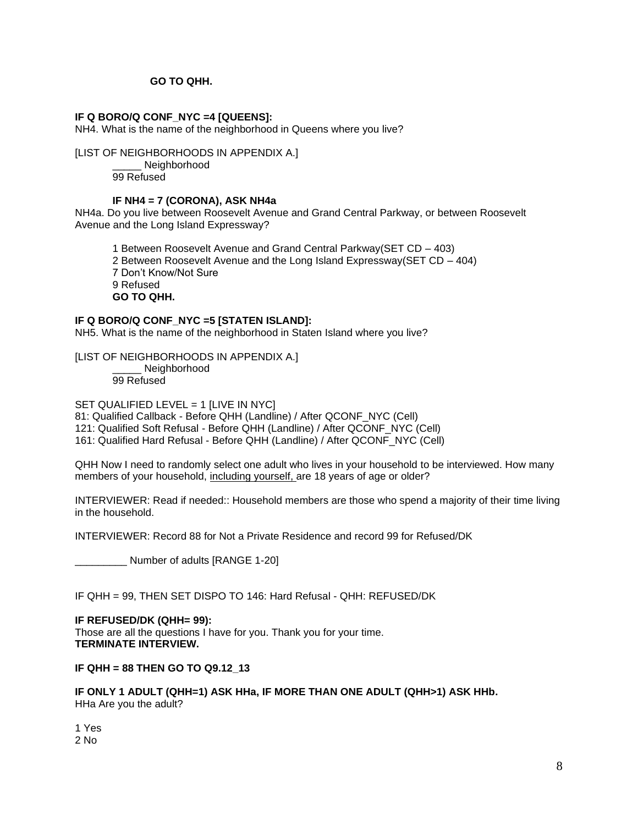## **GO TO QHH.**

#### **IF Q BORO/Q CONF\_NYC =4 [QUEENS]:**

NH4. What is the name of the neighborhood in Queens where you live?

[LIST OF NEIGHBORHOODS IN APPENDIX A.] Neighborhood 99 Refused

#### **IF NH4 = 7 (CORONA), ASK NH4a**

NH4a. Do you live between Roosevelt Avenue and Grand Central Parkway, or between Roosevelt Avenue and the Long Island Expressway?

1 Between Roosevelt Avenue and Grand Central Parkway(SET CD – 403) 2 Between Roosevelt Avenue and the Long Island Expressway(SET CD – 404) 7 Don't Know/Not Sure 9 Refused **GO TO QHH.** 

#### **IF Q BORO/Q CONF\_NYC =5 [STATEN ISLAND]:**

NH5. What is the name of the neighborhood in Staten Island where you live?

[LIST OF NEIGHBORHOODS IN APPENDIX A.] Neighborhood 99 Refused

SET QUALIFIED LEVEL = 1 [LIVE IN NYC] 81: Qualified Callback - Before QHH (Landline) / After QCONF\_NYC (Cell) 121: Qualified Soft Refusal - Before QHH (Landline) / After QCONF\_NYC (Cell) 161: Qualified Hard Refusal - Before QHH (Landline) / After QCONF\_NYC (Cell)

QHH Now I need to randomly select one adult who lives in your household to be interviewed. How many members of your household, including yourself, are 18 years of age or older?

INTERVIEWER: Read if needed:: Household members are those who spend a majority of their time living in the household.

INTERVIEWER: Record 88 for Not a Private Residence and record 99 for Refused/DK

\_\_\_\_\_\_\_\_\_ Number of adults [RANGE 1-20]

IF QHH = 99, THEN SET DISPO TO 146: Hard Refusal - QHH: REFUSED/DK

**IF REFUSED/DK (QHH= 99):** Those are all the questions I have for you. Thank you for your time. **TERMINATE INTERVIEW.**

**IF QHH = 88 THEN GO TO Q9.12\_13**

**IF ONLY 1 ADULT (QHH=1) ASK HHa, IF MORE THAN ONE ADULT (QHH>1) ASK HHb.** HHa Are you the adult?

1 Yes 2 No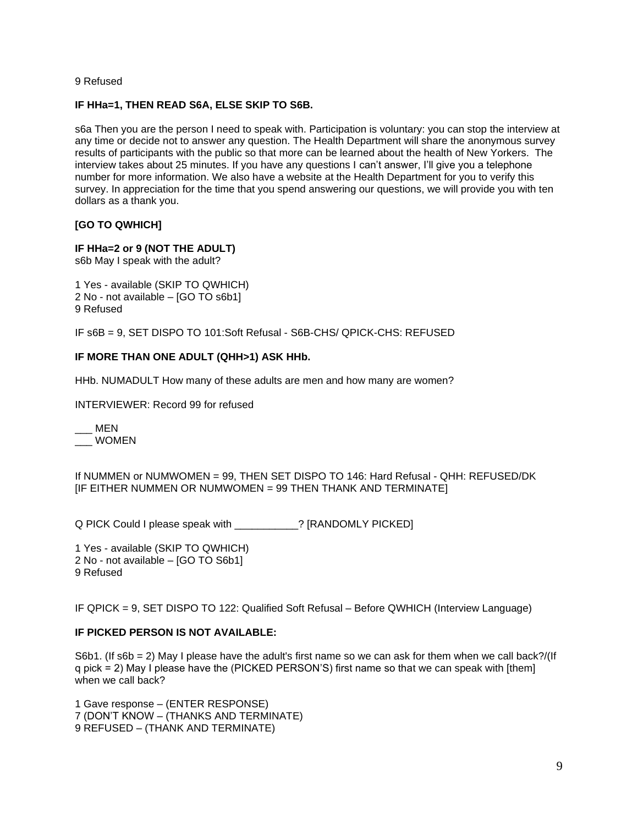9 Refused

#### **IF HHa=1, THEN READ S6A, ELSE SKIP TO S6B.**

s6a Then you are the person I need to speak with. Participation is voluntary: you can stop the interview at any time or decide not to answer any question. The Health Department will share the anonymous survey results of participants with the public so that more can be learned about the health of New Yorkers. The interview takes about 25 minutes. If you have any questions I can't answer, I'll give you a telephone number for more information. We also have a website at the Health Department for you to verify this survey. In appreciation for the time that you spend answering our questions, we will provide you with ten dollars as a thank you.

## **[GO TO QWHICH]**

#### **IF HHa=2 or 9 (NOT THE ADULT)**

s6b May I speak with the adult?

1 Yes - available (SKIP TO QWHICH) 2 No - not available – [GO TO s6b1] 9 Refused

IF s6B = 9, SET DISPO TO 101:Soft Refusal - S6B-CHS/ QPICK-CHS: REFUSED

#### **IF MORE THAN ONE ADULT (QHH>1) ASK HHb.**

HHb. NUMADULT How many of these adults are men and how many are women?

INTERVIEWER: Record 99 for refused

\_\_\_ MEN \_\_\_ WOMEN

#### If NUMMEN or NUMWOMEN = 99, THEN SET DISPO TO 146: Hard Refusal - QHH: REFUSED/DK [IF EITHER NUMMEN OR NUMWOMEN = 99 THEN THANK AND TERMINATE]

Q PICK Could I please speak with **PICKED** ? [RANDOMLY PICKED]

1 Yes - available (SKIP TO QWHICH) 2 No - not available – [GO TO S6b1] 9 Refused

IF QPICK = 9, SET DISPO TO 122: Qualified Soft Refusal – Before QWHICH (Interview Language)

#### **IF PICKED PERSON IS NOT AVAILABLE:**

S6b1. (If  $s6b = 2$ ) May I please have the adult's first name so we can ask for them when we call back?/(If q pick = 2) May I please have the (PICKED PERSON'S) first name so that we can speak with [them] when we call back?

1 Gave response – (ENTER RESPONSE) 7 (DON'T KNOW – (THANKS AND TERMINATE) 9 REFUSED – (THANK AND TERMINATE)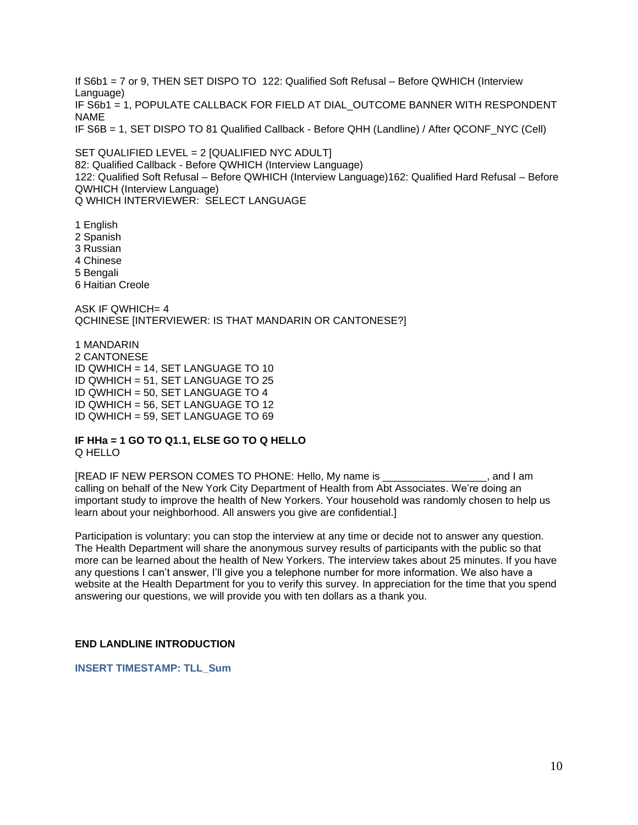If S6b1 = 7 or 9, THEN SET DISPO TO 122: Qualified Soft Refusal – Before QWHICH (Interview Language)

IF S6b1 = 1, POPULATE CALLBACK FOR FIELD AT DIAL\_OUTCOME BANNER WITH RESPONDENT NAME

IF S6B = 1, SET DISPO TO 81 Qualified Callback - Before QHH (Landline) / After QCONF\_NYC (Cell)

SET QUALIFIED LEVEL = 2 [QUALIFIED NYC ADULT] 82: Qualified Callback - Before QWHICH (Interview Language) 122: Qualified Soft Refusal – Before QWHICH (Interview Language)162: Qualified Hard Refusal – Before QWHICH (Interview Language) Q WHICH INTERVIEWER: SELECT LANGUAGE

1 English 2 Spanish 3 Russian 4 Chinese 5 Bengali

6 Haitian Creole

ASK IF QWHICH= 4 QCHINESE [INTERVIEWER: IS THAT MANDARIN OR CANTONESE?]

1 MANDARIN 2 CANTONESE ID QWHICH = 14, SET LANGUAGE TO 10 ID QWHICH = 51, SET LANGUAGE TO 25 ID QWHICH = 50, SET LANGUAGE TO 4 ID QWHICH = 56, SET LANGUAGE TO 12 ID QWHICH = 59, SET LANGUAGE TO 69

#### **IF HHa = 1 GO TO Q1.1, ELSE GO TO Q HELLO** Q HELLO

[READ IF NEW PERSON COMES TO PHONE: Hello, My name is \_\_\_\_\_\_\_\_\_\_\_\_\_\_\_\_\_\_, and I am calling on behalf of the New York City Department of Health from Abt Associates. We're doing an important study to improve the health of New Yorkers. Your household was randomly chosen to help us learn about your neighborhood. All answers you give are confidential.]

Participation is voluntary: you can stop the interview at any time or decide not to answer any question. The Health Department will share the anonymous survey results of participants with the public so that more can be learned about the health of New Yorkers. The interview takes about 25 minutes. If you have any questions I can't answer, I'll give you a telephone number for more information. We also have a website at the Health Department for you to verify this survey. In appreciation for the time that you spend answering our questions, we will provide you with ten dollars as a thank you.

## **END LANDLINE INTRODUCTION**

**INSERT TIMESTAMP: TLL\_Sum**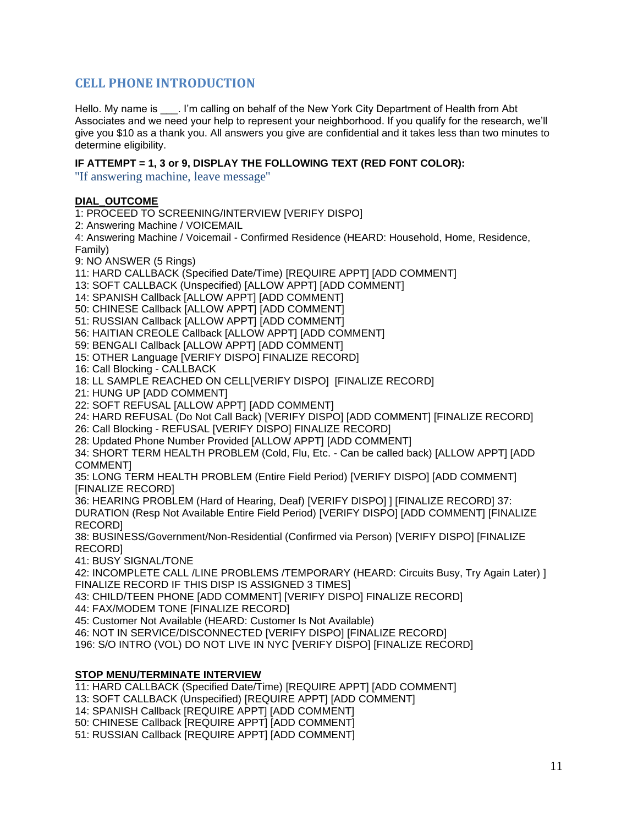# <span id="page-10-0"></span>**CELL PHONE INTRODUCTION**

Hello. My name is [10] I'm calling on behalf of the New York City Department of Health from Abt Associates and we need your help to represent your neighborhood. If you qualify for the research, we'll give you \$10 as a thank you. All answers you give are confidential and it takes less than two minutes to determine eligibility.

#### **IF ATTEMPT = 1, 3 or 9, DISPLAY THE FOLLOWING TEXT (RED FONT COLOR):**

''If answering machine, leave message''

#### **DIAL\_OUTCOME**

1: PROCEED TO SCREENING/INTERVIEW [VERIFY DISPO]

2: Answering Machine / VOICEMAIL

4: Answering Machine / Voicemail - Confirmed Residence (HEARD: Household, Home, Residence, Family)

9: NO ANSWER (5 Rings)

11: HARD CALLBACK (Specified Date/Time) [REQUIRE APPT] [ADD COMMENT]

13: SOFT CALLBACK (Unspecified) [ALLOW APPT] [ADD COMMENT]

14: SPANISH Callback [ALLOW APPT] [ADD COMMENT]

50: CHINESE Callback [ALLOW APPT] [ADD COMMENT]

51: RUSSIAN Callback [ALLOW APPT] [ADD COMMENT]

56: HAITIAN CREOLE Callback [ALLOW APPT] [ADD COMMENT]

59: BENGALI Callback [ALLOW APPT] [ADD COMMENT]

15: OTHER Language [VERIFY DISPO] FINALIZE RECORD]

16: Call Blocking - CALLBACK

18: LL SAMPLE REACHED ON CELL[VERIFY DISPO] [FINALIZE RECORD]

21: HUNG UP [ADD COMMENT]

22: SOFT REFUSAL [ALLOW APPT] [ADD COMMENT]

24: HARD REFUSAL (Do Not Call Back) [VERIFY DISPO] [ADD COMMENT] [FINALIZE RECORD]

26: Call Blocking - REFUSAL [VERIFY DISPO] FINALIZE RECORD] 28: Updated Phone Number Provided [ALLOW APPT] [ADD COMMENT]

34: SHORT TERM HEALTH PROBLEM (Cold, Flu, Etc. - Can be called back) [ALLOW APPT] [ADD COMMENT]

35: LONG TERM HEALTH PROBLEM (Entire Field Period) [VERIFY DISPO] [ADD COMMENT] [FINALIZE RECORD]

36: HEARING PROBLEM (Hard of Hearing, Deaf) [VERIFY DISPO] ] [FINALIZE RECORD] 37:

DURATION (Resp Not Available Entire Field Period) [VERIFY DISPO] [ADD COMMENT] [FINALIZE RECORD]

38: BUSINESS/Government/Non-Residential (Confirmed via Person) [VERIFY DISPO] [FINALIZE RECORD]

41: BUSY SIGNAL/TONE

42: INCOMPLETE CALL /LINE PROBLEMS /TEMPORARY (HEARD: Circuits Busy, Try Again Later) ] FINALIZE RECORD IF THIS DISP IS ASSIGNED 3 TIMES]

43: CHILD/TEEN PHONE [ADD COMMENT] [VERIFY DISPO] FINALIZE RECORD]

44: FAX/MODEM TONE [FINALIZE RECORD]

45: Customer Not Available (HEARD: Customer Is Not Available)

46: NOT IN SERVICE/DISCONNECTED [VERIFY DISPO] [FINALIZE RECORD]

196: S/O INTRO (VOL) DO NOT LIVE IN NYC [VERIFY DISPO] [FINALIZE RECORD]

## **STOP MENU/TERMINATE INTERVIEW**

11: HARD CALLBACK (Specified Date/Time) [REQUIRE APPT] [ADD COMMENT]

13: SOFT CALLBACK (Unspecified) [REQUIRE APPT] [ADD COMMENT]

14: SPANISH Callback [REQUIRE APPT] [ADD COMMENT]

50: CHINESE Callback [REQUIRE APPT] [ADD COMMENT]

51: RUSSIAN Callback [REQUIRE APPT] [ADD COMMENT]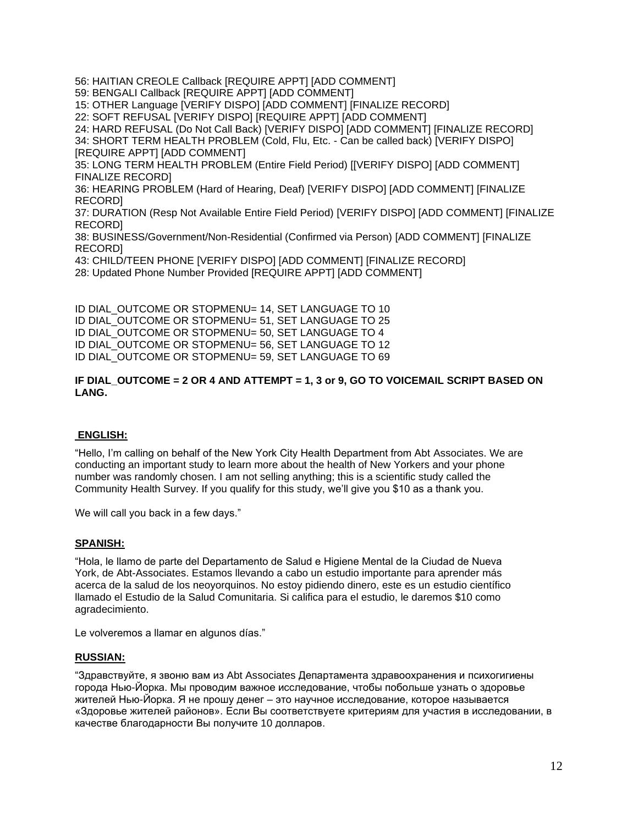56: HAITIAN CREOLE Callback [REQUIRE APPT] [ADD COMMENT] 59: BENGALI Callback [REQUIRE APPT] [ADD COMMENT] 15: OTHER Language [VERIFY DISPO] [ADD COMMENT] [FINALIZE RECORD] 22: SOFT REFUSAL [VERIFY DISPO] [REQUIRE APPT] [ADD COMMENT] 24: HARD REFUSAL (Do Not Call Back) [VERIFY DISPO] [ADD COMMENT] [FINALIZE RECORD] 34: SHORT TERM HEALTH PROBLEM (Cold, Flu, Etc. - Can be called back) [VERIFY DISPO] [REQUIRE APPT] [ADD COMMENT] 35: LONG TERM HEALTH PROBLEM (Entire Field Period) [[VERIFY DISPO] [ADD COMMENT] FINALIZE RECORD] 36: HEARING PROBLEM (Hard of Hearing, Deaf) [VERIFY DISPO] [ADD COMMENT] [FINALIZE RECORD] 37: DURATION (Resp Not Available Entire Field Period) [VERIFY DISPO] [ADD COMMENT] [FINALIZE RECORD] 38: BUSINESS/Government/Non-Residential (Confirmed via Person) [ADD COMMENT] [FINALIZE RECORD] 43: CHILD/TEEN PHONE [VERIFY DISPO] [ADD COMMENT] [FINALIZE RECORD] 28: Updated Phone Number Provided [REQUIRE APPT] [ADD COMMENT]

ID DIAL\_OUTCOME OR STOPMENU= 14, SET LANGUAGE TO 10 ID DIAL\_OUTCOME OR STOPMENU= 51, SET LANGUAGE TO 25 ID DIAL\_OUTCOME OR STOPMENU= 50, SET LANGUAGE TO 4 ID DIAL\_OUTCOME OR STOPMENU= 56, SET LANGUAGE TO 12 ID DIAL\_OUTCOME OR STOPMENU= 59, SET LANGUAGE TO 69

## **IF DIAL\_OUTCOME = 2 OR 4 AND ATTEMPT = 1, 3 or 9, GO TO VOICEMAIL SCRIPT BASED ON LANG.**

## **ENGLISH:**

"Hello, I'm calling on behalf of the New York City Health Department from Abt Associates. We are conducting an important study to learn more about the health of New Yorkers and your phone number was randomly chosen. I am not selling anything; this is a scientific study called the Community Health Survey. If you qualify for this study, we'll give you \$10 as a thank you.

We will call you back in a few days."

#### **SPANISH:**

"Hola, le llamo de parte del Departamento de Salud e Higiene Mental de la Ciudad de Nueva York, de Abt-Associates. Estamos llevando a cabo un estudio importante para aprender más acerca de la salud de los neoyorquinos. No estoy pidiendo dinero, este es un estudio científico llamado el Estudio de la Salud Comunitaria. Si califica para el estudio, le daremos \$10 como agradecimiento.

Le volveremos a llamar en algunos días."

#### **RUSSIAN:**

"Здравствуйте, я звоню вам из Abt Associates Департамента здравоохранения и психогигиены города Нью-Йорка. Мы проводим важное исследование, чтобы побольше узнать о здоровье жителей Нью-Йорка. Я не прошу денег – это научное исследование, которое называется «Здоровье жителей районов». Если Вы соответствуете критериям для участия в исследовании, в качестве благодарности Вы получите 10 долларов.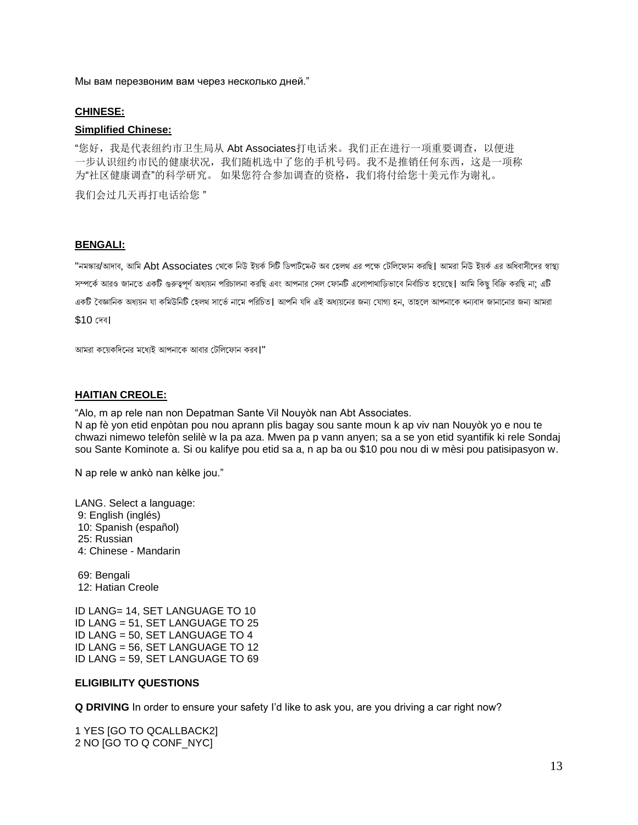Мы вам перезвоним вам через несколько дней."

#### **CHINESE:**

#### **Simplified Chinese:**

"您好,我是代表纽约市卫生局从 Abt Associates打电话来。我们正在进行一项重要调查,以便进 一步认识纽约市民的健康状况,我们随机选中了您的手机号码。我不是推销任何东西,这是一项称 为"社区健康调查"的科学研究。 如果您符合参加调查的资格,我们将付给您十美元作为谢礼。

我们会过几天再打电话给您 "

#### **BENGALI:**

"নমস্কার/আদাব, আমি Abt Associates থেকে নিউ ইয়র্ক সিটি ডিপার্টমেন্ট অব হেলথ এর পক্ষে টেলিফোন করছি। আমরা নিউ ইয়র্ক এর অধিবাসীদের স্বাস্থ্য সম্পর্কে আরও জানতে একটি গুরুত্বপর্ণ অধ্যয়ন পরিচালনা করছি এবং আপনার সেল ফোনটি এলোপাথাডিভাবে নির্বাচিত হয়েছে। আমি কিছ বিক্রি করছি না; এটি একটি বৈজ্ঞানিক অধ্যয়ন যা কমিউনিটি হেলথ সার্ভে নামে পরিচিত। আপনি যদি এই অধ্যয়নের জন্য যোগ্য হন, তাহলে আপনাকে ধন্যবাদ জানানোর জন্য আমরা \$10 থদব।

আমরা কয়েকদিনের মধ্যেই আপনাকে আবার টেলিফোন করব।"

## **HAITIAN CREOLE:**

"Alo, m ap rele nan non Depatman Sante Vil Nouyòk nan Abt Associates. N ap fè yon etid enpòtan pou nou aprann plis bagay sou sante moun k ap viv nan Nouyòk yo e nou te chwazi nimewo telefòn selilè w la pa aza. Mwen pa p vann anyen; sa a se yon etid syantifik ki rele Sondaj sou Sante Kominote a. Si ou kalifye pou etid sa a, n ap ba ou \$10 pou nou di w mèsi pou patisipasyon w.

N ap rele w ankò nan kèlke jou."

LANG. Select a language: 9: English (inglés) 10: Spanish (español) 25: Russian 4: Chinese - Mandarin

69: Bengali 12: Hatian Creole

ID LANG= 14, SET LANGUAGE TO 10 ID LANG = 51, SET LANGUAGE TO 25 ID LANG = 50, SET LANGUAGE TO 4 ID LANG = 56, SET LANGUAGE TO 12 ID LANG = 59, SET LANGUAGE TO 69

#### **ELIGIBILITY QUESTIONS**

**Q DRIVING** In order to ensure your safety I'd like to ask you, are you driving a car right now?

1 YES [GO TO QCALLBACK2] 2 NO [GO TO Q CONF\_NYC]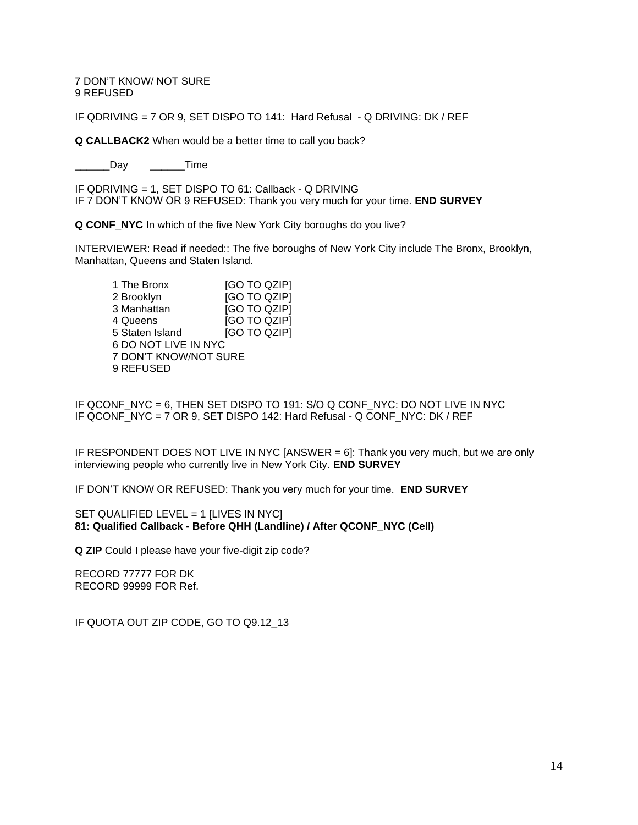7 DON'T KNOW/ NOT SURE 9 REFUSED

IF QDRIVING = 7 OR 9, SET DISPO TO 141: Hard Refusal - Q DRIVING: DK / REF

**Q CALLBACK2** When would be a better time to call you back?

Day Time

IF QDRIVING = 1, SET DISPO TO 61: Callback - Q DRIVING IF 7 DON'T KNOW OR 9 REFUSED: Thank you very much for your time. **END SURVEY**

**Q CONF\_NYC** In which of the five New York City boroughs do you live?

INTERVIEWER: Read if needed:: The five boroughs of New York City include The Bronx, Brooklyn, Manhattan, Queens and Staten Island.

1 The Bronx [GO TO QZIP] 2 Brooklyn [GO TO QZIP] 3 Manhattan [GO TO QZIP]<br>4 Queens [GO TO QZIP] [GO TO QZIP] 5 Staten Island [GO TO QZIP] 6 DO NOT LIVE IN NYC 7 DON'T KNOW/NOT SURE 9 REFUSED

IF QCONF\_NYC = 6, THEN SET DISPO TO 191: S/O Q CONF\_NYC: DO NOT LIVE IN NYC IF QCONF\_NYC = 7 OR 9, SET DISPO 142: Hard Refusal - Q CONF\_NYC: DK / REF

IF RESPONDENT DOES NOT LIVE IN NYC [ANSWER = 6]: Thank you very much, but we are only interviewing people who currently live in New York City. **END SURVEY**

IF DON'T KNOW OR REFUSED: Thank you very much for your time. **END SURVEY**

SET QUALIFIED LEVEL = 1 [LIVES IN NYC] **81: Qualified Callback - Before QHH (Landline) / After QCONF\_NYC (Cell)**

**Q ZIP** Could I please have your five-digit zip code?

RECORD 77777 FOR DK RECORD 99999 FOR Ref.

IF QUOTA OUT ZIP CODE, GO TO Q9.12 13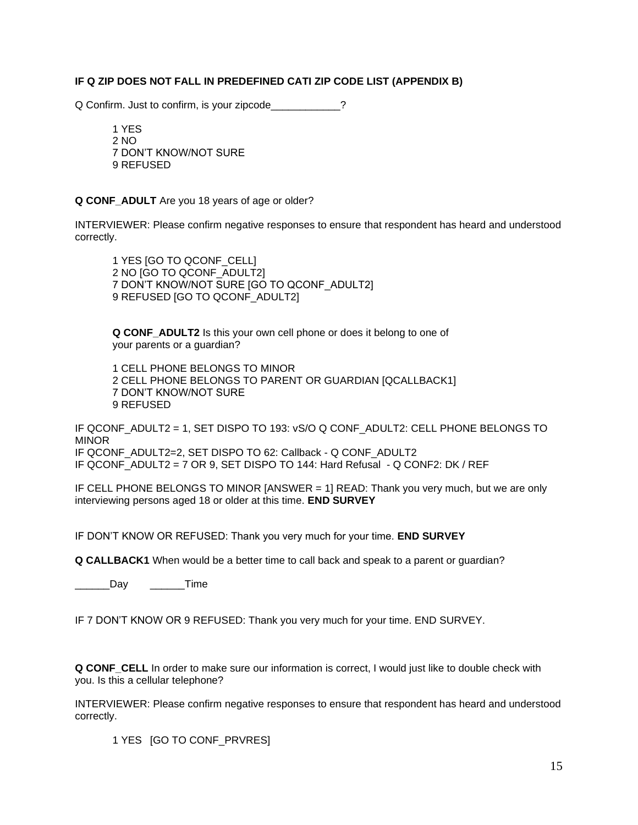## **IF Q ZIP DOES NOT FALL IN PREDEFINED CATI ZIP CODE LIST (APPENDIX B)**

Q Confirm. Just to confirm, is your zipcode  $\overline{\phantom{a}}$ ?

1 YES 2 NO 7 DON'T KNOW/NOT SURE 9 REFUSED

**Q CONF\_ADULT** Are you 18 years of age or older?

INTERVIEWER: Please confirm negative responses to ensure that respondent has heard and understood correctly.

1 YES [GO TO QCONF\_CELL] 2 NO [GO TO QCONF\_ADULT2] 7 DON'T KNOW/NOT SURE [GO TO QCONF\_ADULT2] 9 REFUSED [GO TO QCONF\_ADULT2]

**Q CONF\_ADULT2** Is this your own cell phone or does it belong to one of your parents or a guardian?

1 CELL PHONE BELONGS TO MINOR 2 CELL PHONE BELONGS TO PARENT OR GUARDIAN [QCALLBACK1] 7 DON'T KNOW/NOT SURE 9 REFUSED

IF QCONF\_ADULT2 = 1, SET DISPO TO 193: vS/O Q CONF\_ADULT2: CELL PHONE BELONGS TO MINOR IF QCONF\_ADULT2=2, SET DISPO TO 62: Callback - Q CONF\_ADULT2 IF QCONF\_ADULT2 = 7 OR 9, SET DISPO TO 144: Hard Refusal - Q CONF2: DK / REF

IF CELL PHONE BELONGS TO MINOR [ANSWER = 1] READ: Thank you very much, but we are only interviewing persons aged 18 or older at this time. **END SURVEY**

IF DON'T KNOW OR REFUSED: Thank you very much for your time. **END SURVEY**

**Q CALLBACK1** When would be a better time to call back and speak to a parent or guardian?

\_\_\_\_\_Day \_\_\_\_\_\_\_Time

IF 7 DON'T KNOW OR 9 REFUSED: Thank you very much for your time. END SURVEY.

**Q CONF\_CELL** In order to make sure our information is correct, I would just like to double check with you. Is this a cellular telephone?

INTERVIEWER: Please confirm negative responses to ensure that respondent has heard and understood correctly.

1 YES [GO TO CONF\_PRVRES]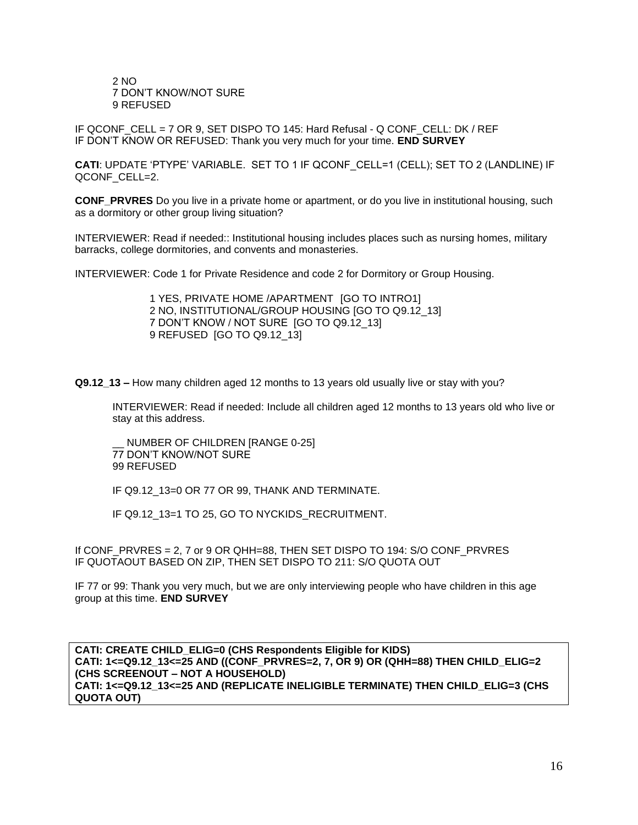2 NO 7 DON'T KNOW/NOT SURE 9 REFUSED

IF QCONF\_CELL = 7 OR 9, SET DISPO TO 145: Hard Refusal - Q CONF\_CELL: DK / REF IF DON'T KNOW OR REFUSED: Thank you very much for your time. **END SURVEY**

**CATI**: UPDATE 'PTYPE' VARIABLE. SET TO 1 IF QCONF\_CELL=1 (CELL); SET TO 2 (LANDLINE) IF QCONF\_CELL=2.

**CONF\_PRVRES** Do you live in a private home or apartment, or do you live in institutional housing, such as a dormitory or other group living situation?

INTERVIEWER: Read if needed:: Institutional housing includes places such as nursing homes, military barracks, college dormitories, and convents and monasteries.

INTERVIEWER: Code 1 for Private Residence and code 2 for Dormitory or Group Housing.

1 YES, PRIVATE HOME /APARTMENT [GO TO INTRO1] 2 NO, INSTITUTIONAL/GROUP HOUSING [GO TO Q9.12\_13] 7 DON'T KNOW / NOT SURE [GO TO Q9.12\_13] 9 REFUSED [GO TO Q9.12\_13]

**Q9.12\_13 –** How many children aged 12 months to 13 years old usually live or stay with you?

INTERVIEWER: Read if needed: Include all children aged 12 months to 13 years old who live or stay at this address.

NUMBER OF CHILDREN [RANGE 0-25] 77 DON'T KNOW/NOT SURE 99 REFUSED

IF Q9.12\_13=0 OR 77 OR 99, THANK AND TERMINATE.

IF Q9.12 13=1 TO 25, GO TO NYCKIDS\_RECRUITMENT.

If CONF PRVRES = 2, 7 or 9 OR QHH=88, THEN SET DISPO TO 194: S/O CONF PRVRES IF QUOTAOUT BASED ON ZIP, THEN SET DISPO TO 211: S/O QUOTA OUT

IF 77 or 99: Thank you very much, but we are only interviewing people who have children in this age group at this time. **END SURVEY**

**CATI: CREATE CHILD\_ELIG=0 (CHS Respondents Eligible for KIDS) CATI: 1<=Q9.12\_13<=25 AND ((CONF\_PRVRES=2, 7, OR 9) OR (QHH=88) THEN CHILD\_ELIG=2 (CHS SCREENOUT – NOT A HOUSEHOLD) CATI: 1<=Q9.12\_13<=25 AND (REPLICATE INELIGIBLE TERMINATE) THEN CHILD\_ELIG=3 (CHS QUOTA OUT)**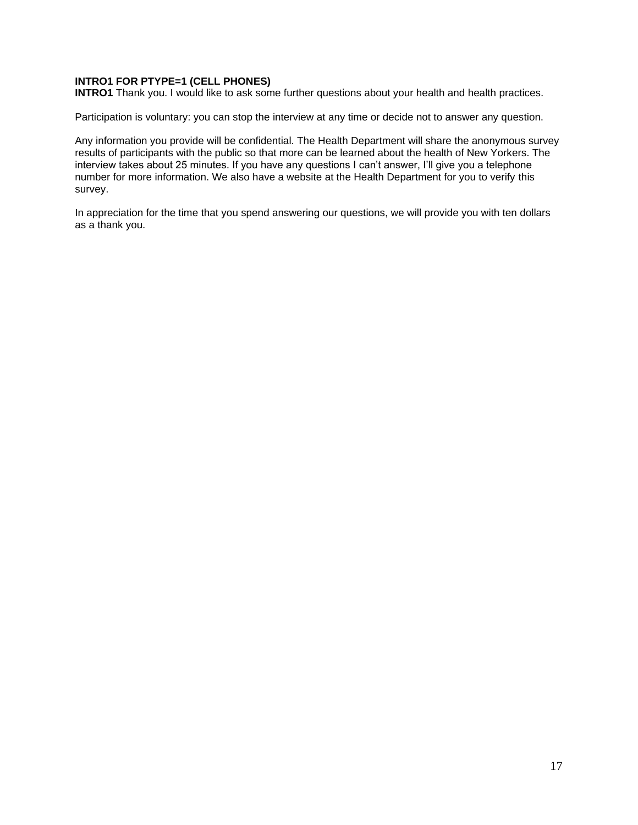## **INTRO1 FOR PTYPE=1 (CELL PHONES)**

**INTRO1** Thank you. I would like to ask some further questions about your health and health practices.

Participation is voluntary: you can stop the interview at any time or decide not to answer any question.

Any information you provide will be confidential. The Health Department will share the anonymous survey results of participants with the public so that more can be learned about the health of New Yorkers. The interview takes about 25 minutes. If you have any questions I can't answer, I'll give you a telephone number for more information. We also have a website at the Health Department for you to verify this survey.

In appreciation for the time that you spend answering our questions, we will provide you with ten dollars as a thank you.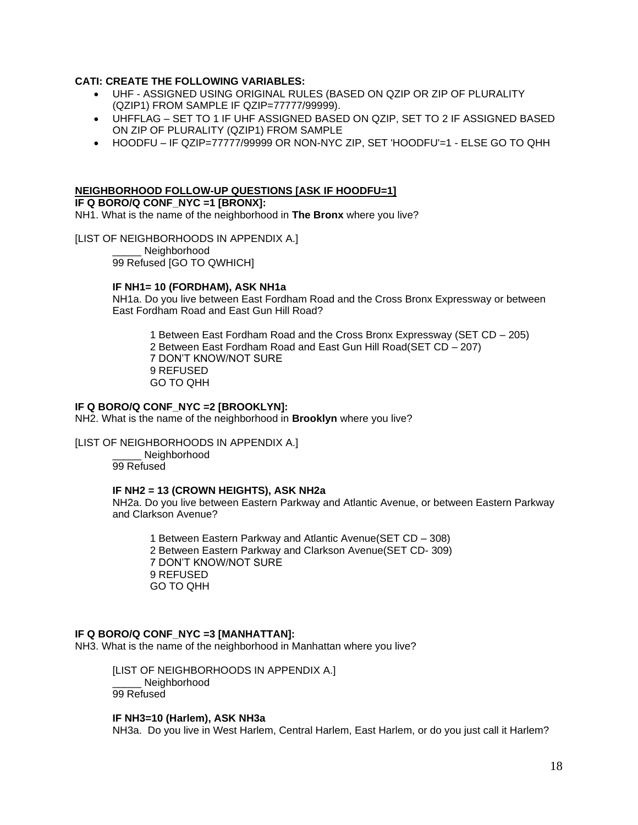## **CATI: CREATE THE FOLLOWING VARIABLES:**

- UHF ASSIGNED USING ORIGINAL RULES (BASED ON QZIP OR ZIP OF PLURALITY (QZIP1) FROM SAMPLE IF QZIP=77777/99999).
- UHFFLAG SET TO 1 IF UHF ASSIGNED BASED ON QZIP, SET TO 2 IF ASSIGNED BASED ON ZIP OF PLURALITY (QZIP1) FROM SAMPLE
- HOODFU IF QZIP=77777/99999 OR NON-NYC ZIP, SET 'HOODFU'=1 ELSE GO TO QHH

#### **NEIGHBORHOOD FOLLOW-UP QUESTIONS [ASK IF HOODFU=1]**

**IF Q BORO/Q CONF\_NYC =1 [BRONX]:**

NH1. What is the name of the neighborhood in **The Bronx** where you live?

[LIST OF NEIGHBORHOODS IN APPENDIX A.] Neighborhood 99 Refused [GO TO QWHICH]

#### **IF NH1= 10 (FORDHAM), ASK NH1a**

NH1a. Do you live between East Fordham Road and the Cross Bronx Expressway or between East Fordham Road and East Gun Hill Road?

1 Between East Fordham Road and the Cross Bronx Expressway (SET CD – 205) 2 Between East Fordham Road and East Gun Hill Road(SET CD – 207) 7 DON'T KNOW/NOT SURE 9 REFUSED GO TO QHH

#### **IF Q BORO/Q CONF\_NYC =2 [BROOKLYN]:**

NH2. What is the name of the neighborhood in **Brooklyn** where you live?

[LIST OF NEIGHBORHOODS IN APPENDIX A.]

Neighborhood 99 Refused

#### **IF NH2 = 13 (CROWN HEIGHTS), ASK NH2a**

NH2a. Do you live between Eastern Parkway and Atlantic Avenue, or between Eastern Parkway and Clarkson Avenue?

1 Between Eastern Parkway and Atlantic Avenue(SET CD – 308) 2 Between Eastern Parkway and Clarkson Avenue(SET CD- 309) 7 DON'T KNOW/NOT SURE 9 REFUSED GO TO QHH

#### **IF Q BORO/Q CONF\_NYC =3 [MANHATTAN]:**

NH3. What is the name of the neighborhood in Manhattan where you live?

[LIST OF NEIGHBORHOODS IN APPENDIX A.] Neighborhood 99 Refused

**IF NH3=10 (Harlem), ASK NH3a**

NH3a. Do you live in West Harlem, Central Harlem, East Harlem, or do you just call it Harlem?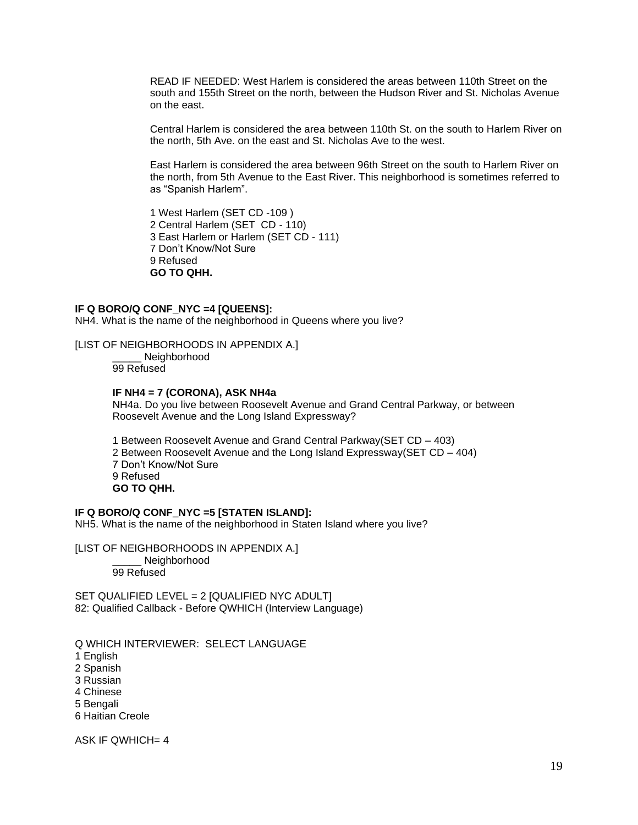READ IF NEEDED: West Harlem is considered the areas between 110th Street on the south and 155th Street on the north, between the Hudson River and St. Nicholas Avenue on the east.

Central Harlem is considered the area between 110th St. on the south to Harlem River on the north, 5th Ave. on the east and St. Nicholas Ave to the west.

East Harlem is considered the area between 96th Street on the south to Harlem River on the north, from 5th Avenue to the East River. This neighborhood is sometimes referred to as "Spanish Harlem".

1 West Harlem (SET CD -109 ) 2 Central Harlem (SET CD - 110) 3 East Harlem or Harlem (SET CD - 111) 7 Don't Know/Not Sure 9 Refused **GO TO QHH.** 

## **IF Q BORO/Q CONF\_NYC =4 [QUEENS]:**

NH4. What is the name of the neighborhood in Queens where you live?

[LIST OF NEIGHBORHOODS IN APPENDIX A.]

Neighborhood 99 Refused

#### **IF NH4 = 7 (CORONA), ASK NH4a**

NH4a. Do you live between Roosevelt Avenue and Grand Central Parkway, or between Roosevelt Avenue and the Long Island Expressway?

1 Between Roosevelt Avenue and Grand Central Parkway(SET CD – 403) 2 Between Roosevelt Avenue and the Long Island Expressway(SET CD – 404) 7 Don't Know/Not Sure 9 Refused **GO TO QHH.** 

#### **IF Q BORO/Q CONF\_NYC =5 [STATEN ISLAND]:**

NH5. What is the name of the neighborhood in Staten Island where you live?

[LIST OF NEIGHBORHOODS IN APPENDIX A.] Neighborhood 99 Refused

SET QUALIFIED LEVEL = 2 [QUALIFIED NYC ADULT] 82: Qualified Callback - Before QWHICH (Interview Language)

Q WHICH INTERVIEWER: SELECT LANGUAGE

1 English

2 Spanish

3 Russian

4 Chinese

5 Bengali

6 Haitian Creole

ASK IF QWHICH= 4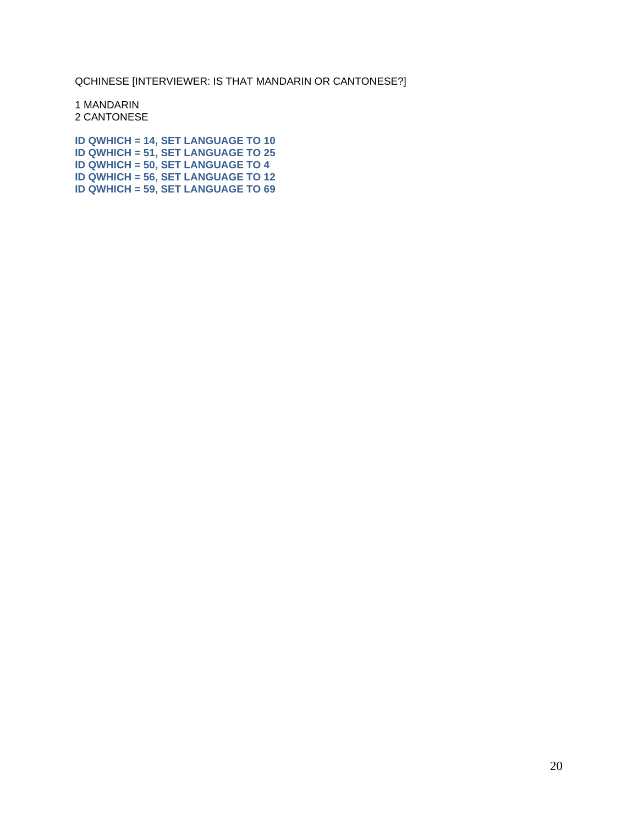QCHINESE [INTERVIEWER: IS THAT MANDARIN OR CANTONESE?]

1 MANDARIN 2 CANTONESE

**ID QWHICH = 14, SET LANGUAGE TO 10 ID QWHICH = 51, SET LANGUAGE TO 25 ID QWHICH = 50, SET LANGUAGE TO 4 ID QWHICH = 56, SET LANGUAGE TO 12 ID QWHICH = 59, SET LANGUAGE TO 69**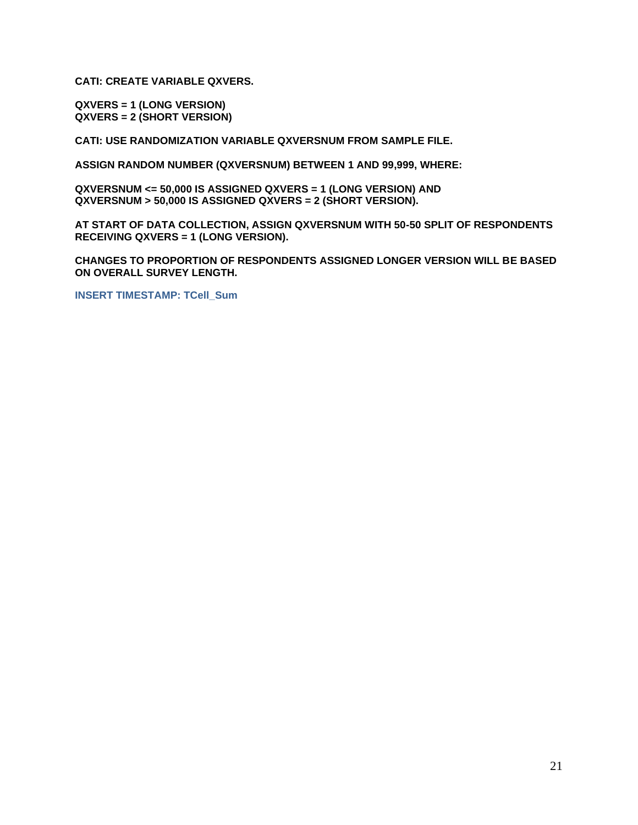**CATI: CREATE VARIABLE QXVERS.** 

**QXVERS = 1 (LONG VERSION) QXVERS = 2 (SHORT VERSION)**

**CATI: USE RANDOMIZATION VARIABLE QXVERSNUM FROM SAMPLE FILE.**

**ASSIGN RANDOM NUMBER (QXVERSNUM) BETWEEN 1 AND 99,999, WHERE:**

**QXVERSNUM <= 50,000 IS ASSIGNED QXVERS = 1 (LONG VERSION) AND QXVERSNUM > 50,000 IS ASSIGNED QXVERS = 2 (SHORT VERSION).**

**AT START OF DATA COLLECTION, ASSIGN QXVERSNUM WITH 50-50 SPLIT OF RESPONDENTS RECEIVING QXVERS = 1 (LONG VERSION).**

**CHANGES TO PROPORTION OF RESPONDENTS ASSIGNED LONGER VERSION WILL BE BASED ON OVERALL SURVEY LENGTH.**

**INSERT TIMESTAMP: TCell\_Sum**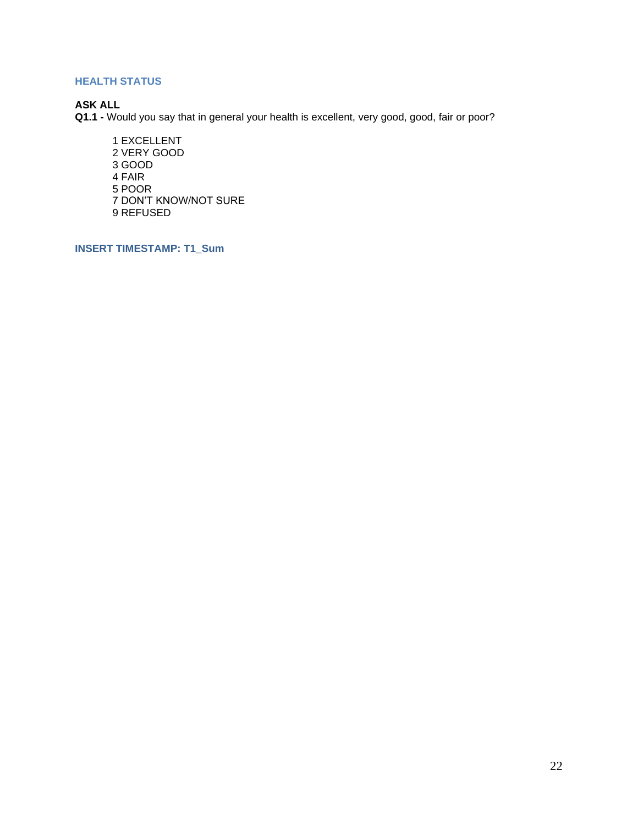## <span id="page-21-0"></span>**HEALTH STATUS**

# **ASK ALL**

**Q1.1 -** Would you say that in general your health is excellent, very good, good, fair or poor?

1 EXCELLENT 2 VERY GOOD 3 GOOD 4 FAIR 5 POOR 7 DON'T KNOW/NOT SURE 9 REFUSED

**INSERT TIMESTAMP: T1\_Sum**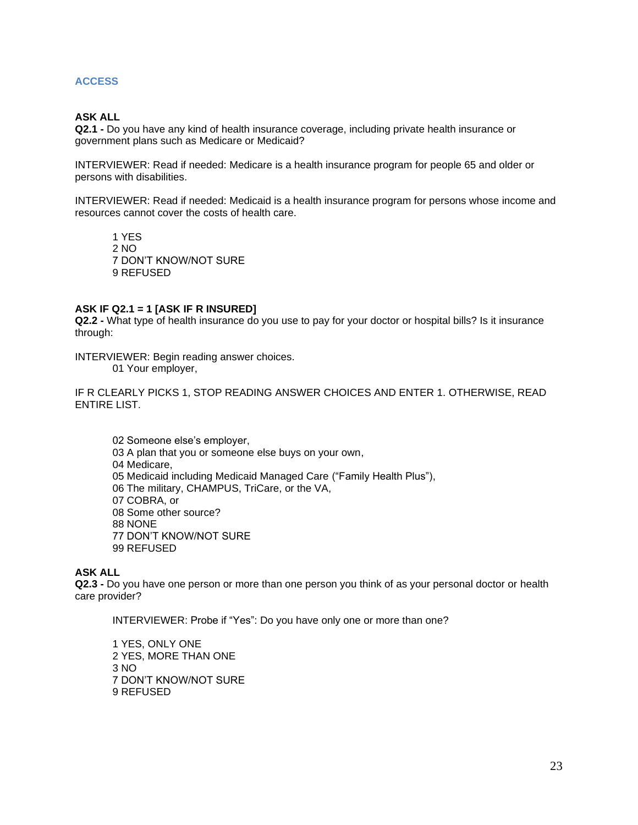#### <span id="page-22-0"></span>**ACCESS**

#### **ASK ALL**

**Q2.1 -** Do you have any kind of health insurance coverage, including private health insurance or government plans such as Medicare or Medicaid?

INTERVIEWER: Read if needed: Medicare is a health insurance program for people 65 and older or persons with disabilities.

INTERVIEWER: Read if needed: Medicaid is a health insurance program for persons whose income and resources cannot cover the costs of health care.

1 YES 2 NO 7 DON'T KNOW/NOT SURE 9 REFUSED

#### **ASK IF Q2.1 = 1 [ASK IF R INSURED]**

**Q2.2 -** What type of health insurance do you use to pay for your doctor or hospital bills? Is it insurance through:

INTERVIEWER: Begin reading answer choices.

01 Your employer,

IF R CLEARLY PICKS 1, STOP READING ANSWER CHOICES AND ENTER 1. OTHERWISE, READ ENTIRE LIST.

02 Someone else's employer, 03 A plan that you or someone else buys on your own, 04 Medicare, 05 Medicaid including Medicaid Managed Care ("Family Health Plus"), 06 The military, CHAMPUS, TriCare, or the VA, 07 COBRA, or 08 Some other source? 88 NONE 77 DON'T KNOW/NOT SURE 99 REFUSED

#### **ASK ALL**

**Q2.3 -** Do you have one person or more than one person you think of as your personal doctor or health care provider?

INTERVIEWER: Probe if "Yes": Do you have only one or more than one?

1 YES, ONLY ONE 2 YES, MORE THAN ONE 3 NO 7 DON'T KNOW/NOT SURE 9 REFUSED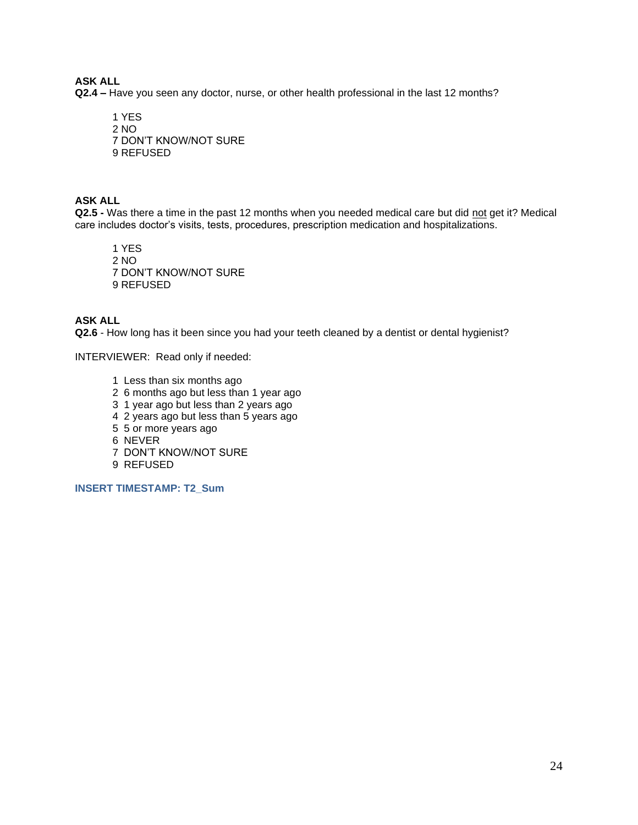**ASK ALL**

**Q2.4 –** Have you seen any doctor, nurse, or other health professional in the last 12 months?

1 YES 2 NO 7 DON'T KNOW/NOT SURE 9 REFUSED

## **ASK ALL**

**Q2.5 -** Was there a time in the past 12 months when you needed medical care but did not get it? Medical care includes doctor's visits, tests, procedures, prescription medication and hospitalizations.

1 YES  $2 N()$ 7 DON'T KNOW/NOT SURE 9 REFUSED

## **ASK ALL**

**Q2.6** - How long has it been since you had your teeth cleaned by a dentist or dental hygienist?

INTERVIEWER: Read only if needed:

- 1 Less than six months ago
- 2 6 months ago but less than 1 year ago
- 3 1 year ago but less than 2 years ago
- 4 2 years ago but less than 5 years ago
- 5 5 or more years ago
- 6 NEVER
- 7 DON'T KNOW/NOT SURE
- 9 REFUSED

**INSERT TIMESTAMP: T2\_Sum**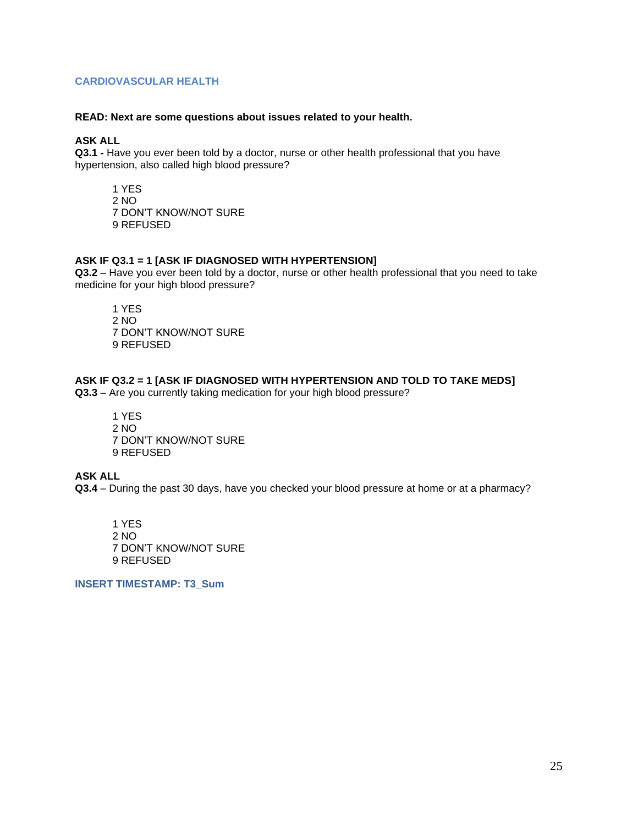## <span id="page-24-0"></span>**CARDIOVASCULAR HEALTH**

#### **READ: Next are some questions about issues related to your health.**

#### **ASK ALL**

**Q3.1 -** Have you ever been told by a doctor, nurse or other health professional that you have hypertension, also called high blood pressure?

1 YES 2 NO 7 DON'T KNOW/NOT SURE 9 REFUSED

#### **ASK IF Q3.1 = 1 [ASK IF DIAGNOSED WITH HYPERTENSION]**

**Q3.2** – Have you ever been told by a doctor, nurse or other health professional that you need to take medicine for your high blood pressure?

1 YES 2 NO 7 DON'T KNOW/NOT SURE 9 REFUSED

#### **ASK IF Q3.2 = 1 [ASK IF DIAGNOSED WITH HYPERTENSION AND TOLD TO TAKE MEDS]**

**Q3.3** – Are you currently taking medication for your high blood pressure?

1 YES 2 NO 7 DON'T KNOW/NOT SURE 9 REFUSED

## **ASK ALL**

**Q3.4** – During the past 30 days, have you checked your blood pressure at home or at a pharmacy?

1 YES 2 NO 7 DON'T KNOW/NOT SURE 9 REFUSED

**INSERT TIMESTAMP: T3\_Sum**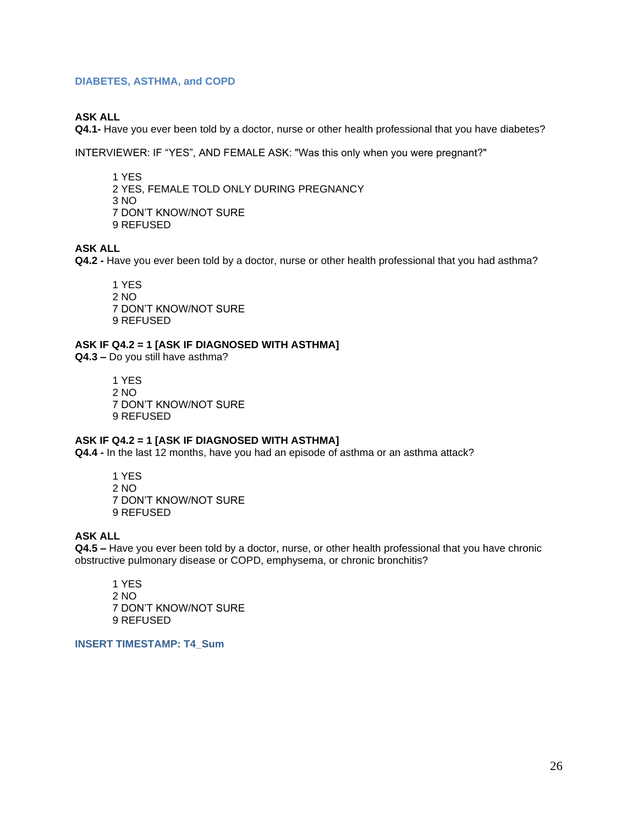#### <span id="page-25-0"></span>**DIABETES, ASTHMA, and COPD**

## **ASK ALL**

**Q4.1-** Have you ever been told by a doctor, nurse or other health professional that you have diabetes?

INTERVIEWER: IF "YES", AND FEMALE ASK: "Was this only when you were pregnant?"

1 YES 2 YES, FEMALE TOLD ONLY DURING PREGNANCY 3 NO 7 DON'T KNOW/NOT SURE 9 REFUSED

## **ASK ALL**

**Q4.2 -** Have you ever been told by a doctor, nurse or other health professional that you had asthma?

1 YES 2 NO 7 DON'T KNOW/NOT SURE 9 REFUSED

#### **ASK IF Q4.2 = 1 [ASK IF DIAGNOSED WITH ASTHMA]**

**Q4.3 –** Do you still have asthma?

1 YES 2 NO 7 DON'T KNOW/NOT SURE 9 REFUSED

#### **ASK IF Q4.2 = 1 [ASK IF DIAGNOSED WITH ASTHMA]**

**Q4.4 -** In the last 12 months, have you had an episode of asthma or an asthma attack?

1 YES 2 NO 7 DON'T KNOW/NOT SURE 9 REFUSED

## **ASK ALL**

**Q4.5 –** Have you ever been told by a doctor, nurse, or other health professional that you have chronic obstructive pulmonary disease or COPD, emphysema, or chronic bronchitis?

1 YES 2 NO 7 DON'T KNOW/NOT SURE 9 REFUSED

**INSERT TIMESTAMP: T4\_Sum**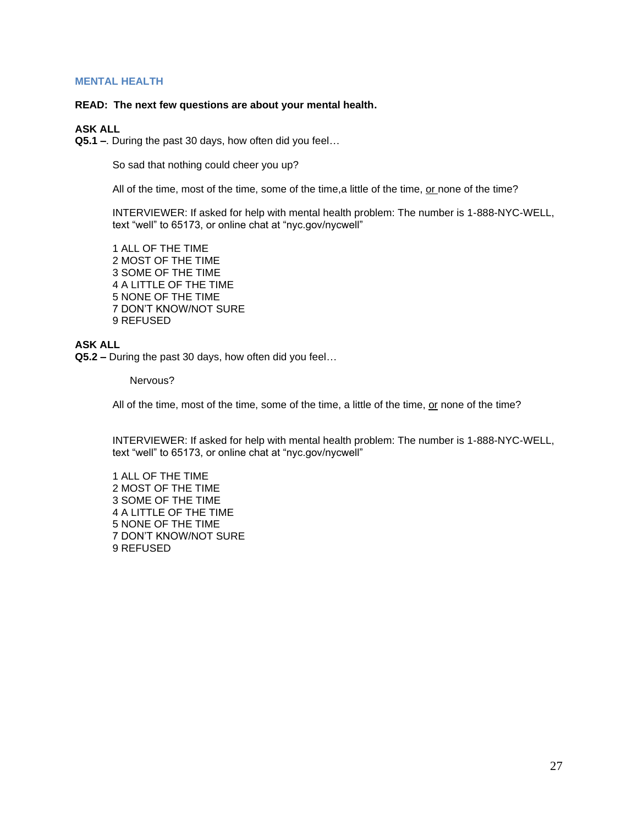#### <span id="page-26-0"></span>**MENTAL HEALTH**

#### **READ: The next few questions are about your mental health.**

#### **ASK ALL**

**Q5.1 –**. During the past 30 days, how often did you feel…

So sad that nothing could cheer you up?

All of the time, most of the time, some of the time, a little of the time, or none of the time?

INTERVIEWER: If asked for help with mental health problem: The number is 1-888-NYC-WELL, text "well" to 65173, or online chat at "nyc.gov/nycwell"

1 ALL OF THE TIME 2 MOST OF THE TIME 3 SOME OF THE TIME 4 A LITTLE OF THE TIME 5 NONE OF THE TIME 7 DON'T KNOW/NOT SURE 9 REFUSED

## **ASK ALL**

**Q5.2 –** During the past 30 days, how often did you feel…

Nervous?

All of the time, most of the time, some of the time, a little of the time, or none of the time?

INTERVIEWER: If asked for help with mental health problem: The number is 1-888-NYC-WELL, text "well" to 65173, or online chat at "nyc.gov/nycwell"

1 ALL OF THE TIME 2 MOST OF THE TIME 3 SOME OF THE TIME 4 A LITTLE OF THE TIME 5 NONE OF THE TIME 7 DON'T KNOW/NOT SURE 9 REFUSED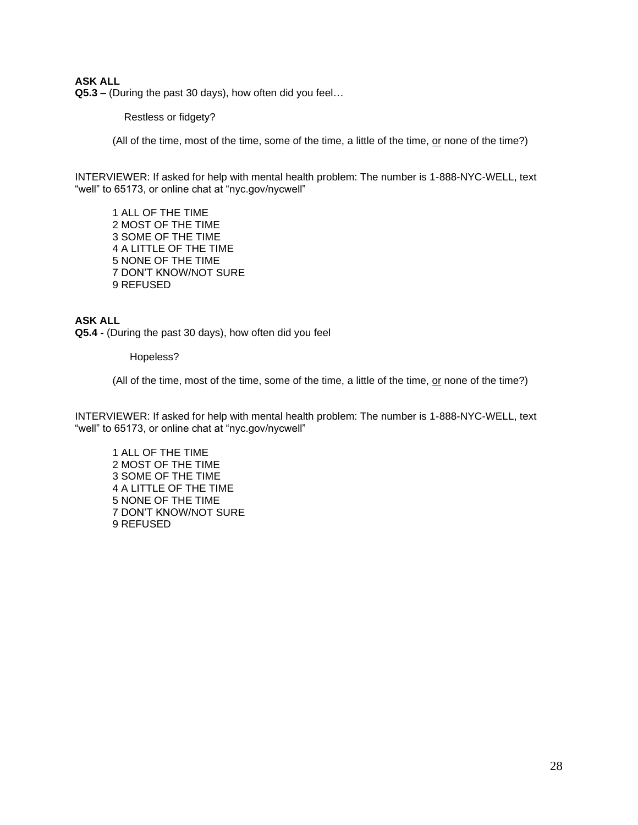## **ASK ALL**

**Q5.3 –** (During the past 30 days), how often did you feel…

Restless or fidgety?

(All of the time, most of the time, some of the time, a little of the time, or none of the time?)

INTERVIEWER: If asked for help with mental health problem: The number is 1-888-NYC-WELL, text "well" to 65173, or online chat at "nyc.gov/nycwell"

1 ALL OF THE TIME 2 MOST OF THE TIME 3 SOME OF THE TIME 4 A LITTLE OF THE TIME 5 NONE OF THE TIME 7 DON'T KNOW/NOT SURE 9 REFUSED

## **ASK ALL**

**Q5.4 -** (During the past 30 days), how often did you feel

Hopeless?

(All of the time, most of the time, some of the time, a little of the time, or none of the time?)

INTERVIEWER: If asked for help with mental health problem: The number is 1-888-NYC-WELL, text "well" to 65173, or online chat at "nyc.gov/nycwell"

1 ALL OF THE TIME 2 MOST OF THE TIME 3 SOME OF THE TIME 4 A LITTLE OF THE TIME 5 NONE OF THE TIME 7 DON'T KNOW/NOT SURE 9 REFUSED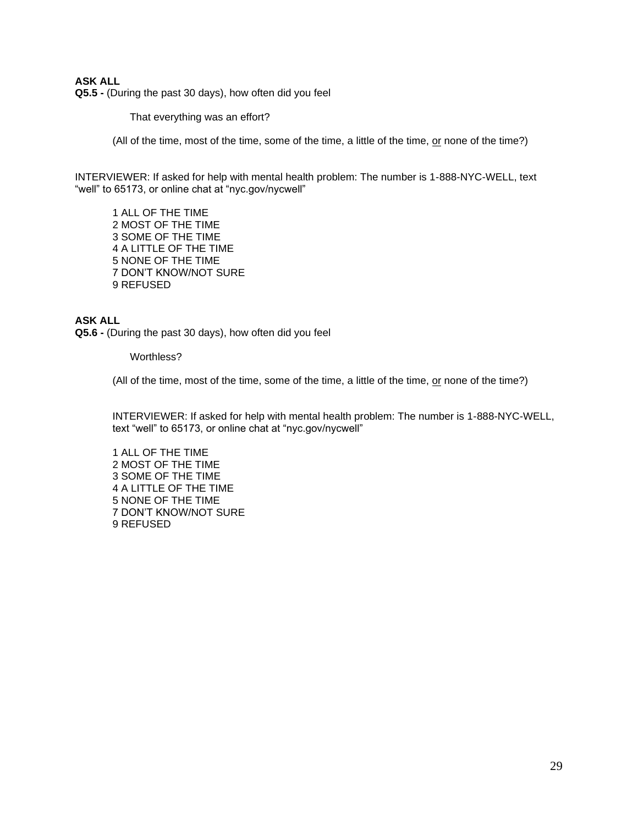## **ASK ALL**

**Q5.5 -** (During the past 30 days), how often did you feel

That everything was an effort?

(All of the time, most of the time, some of the time, a little of the time, or none of the time?)

INTERVIEWER: If asked for help with mental health problem: The number is 1-888-NYC-WELL, text "well" to 65173, or online chat at "nyc.gov/nycwell"

1 ALL OF THE TIME 2 MOST OF THE TIME 3 SOME OF THE TIME 4 A LITTLE OF THE TIME 5 NONE OF THE TIME 7 DON'T KNOW/NOT SURE 9 REFUSED

## **ASK ALL**

**Q5.6 -** (During the past 30 days), how often did you feel

Worthless?

(All of the time, most of the time, some of the time, a little of the time, or none of the time?)

INTERVIEWER: If asked for help with mental health problem: The number is 1-888-NYC-WELL, text "well" to 65173, or online chat at "nyc.gov/nycwell"

1 ALL OF THE TIME 2 MOST OF THE TIME 3 SOME OF THE TIME 4 A LITTLE OF THE TIME 5 NONE OF THE TIME 7 DON'T KNOW/NOT SURE 9 REFUSED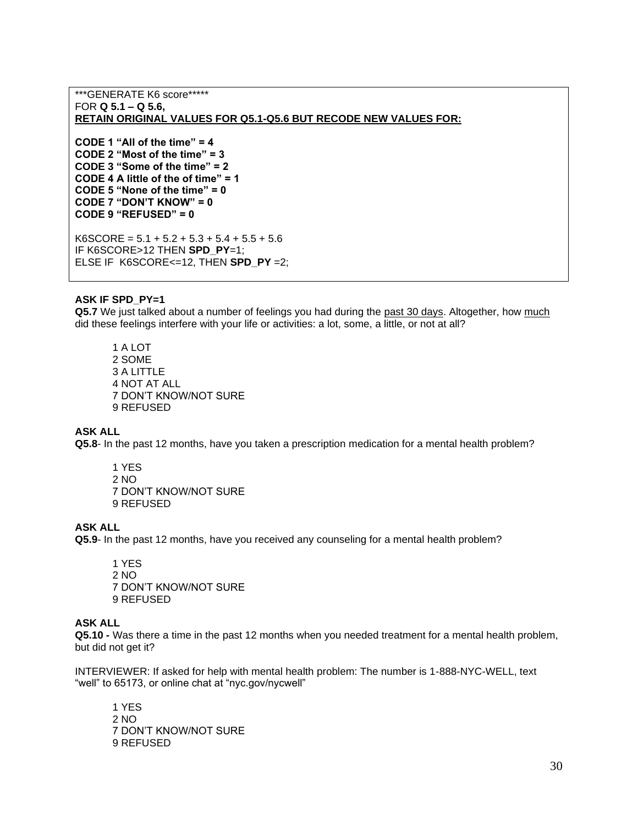\*\*\*GENERATE K6 score\*\*\*\*\* FOR **Q 5.1 – Q 5.6, RETAIN ORIGINAL VALUES FOR Q5.1-Q5.6 BUT RECODE NEW VALUES FOR:**

**CODE 1 "All of the time" = 4 CODE 2 "Most of the time" = 3 CODE 3 "Some of the time" = 2 CODE 4 A little of the of time" = 1 CODE 5 "None of the time" = 0 CODE 7 "DON'T KNOW" = 0 CODE 9 "REFUSED" = 0** 

 $K6SCORE = 5.1 + 5.2 + 5.3 + 5.4 + 5.5 + 5.6$ IF K6SCORE>12 THEN **SPD\_PY**=1; ELSE IF K6SCORE<=12, THEN **SPD\_PY** =2;

#### **ASK IF SPD\_PY=1**

**Q5.7** We just talked about a number of feelings you had during the past 30 days. Altogether, how much did these feelings interfere with your life or activities: a lot, some, a little, or not at all?

1 A LOT 2 SOME 3 A LITTLE 4 NOT AT ALL 7 DON'T KNOW/NOT SURE 9 REFUSED

#### **ASK ALL**

**Q5.8**- In the past 12 months, have you taken a prescription medication for a mental health problem?

1 YES 2 NO 7 DON'T KNOW/NOT SURE 9 REFUSED

#### **ASK ALL**

**Q5.9**- In the past 12 months, have you received any counseling for a mental health problem?

1 YES 2 NO 7 DON'T KNOW/NOT SURE 9 REFUSED

#### **ASK ALL**

**Q5.10 -** Was there a time in the past 12 months when you needed treatment for a mental health problem, but did not get it?

INTERVIEWER: If asked for help with mental health problem: The number is 1-888-NYC-WELL, text "well" to 65173, or online chat at "nyc.gov/nycwell"

1 YES  $2 N()$ 7 DON'T KNOW/NOT SURE 9 REFUSED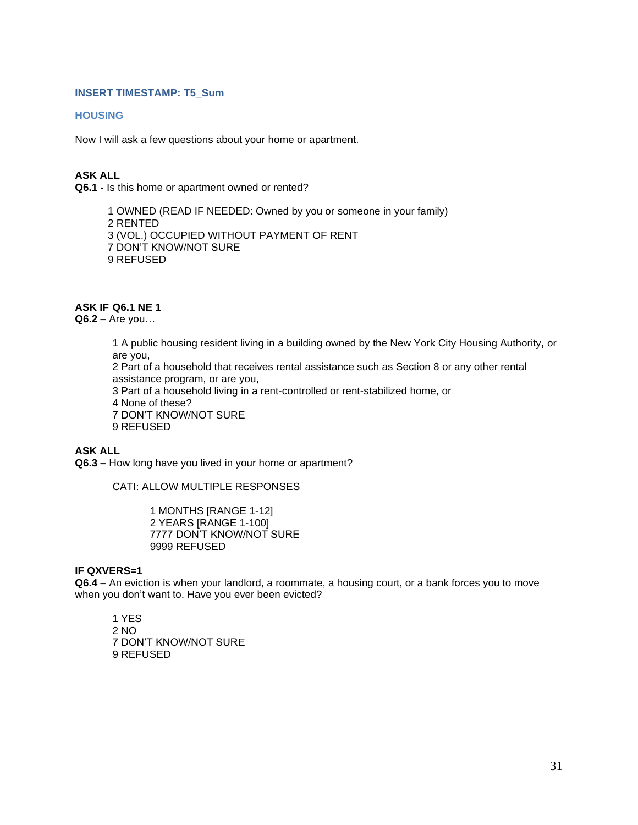#### <span id="page-30-0"></span>**INSERT TIMESTAMP: T5\_Sum**

#### **HOUSING**

Now I will ask a few questions about your home or apartment.

#### **ASK ALL**

**Q6.1 -** Is this home or apartment owned or rented?

1 OWNED (READ IF NEEDED: Owned by you or someone in your family) 2 RENTED 3 (VOL.) OCCUPIED WITHOUT PAYMENT OF RENT 7 DON'T KNOW/NOT SURE 9 REFUSED

#### **ASK IF Q6.1 NE 1**

**Q6.2 –** Are you…

1 A public housing resident living in a building owned by the New York City Housing Authority, or are you, 2 Part of a household that receives rental assistance such as Section 8 or any other rental assistance program, or are you, 3 Part of a household living in a rent-controlled or rent-stabilized home, or 4 None of these?

7 DON'T KNOW/NOT SURE 9 REFUSED

#### **ASK ALL**

**Q6.3 –** How long have you lived in your home or apartment?

CATI: ALLOW MULTIPLE RESPONSES

1 MONTHS [RANGE 1-12] 2 YEARS [RANGE 1-100] 7777 DON'T KNOW/NOT SURE 9999 REFUSED

#### **IF QXVERS=1**

**Q6.4 –** An eviction is when your landlord, a roommate, a housing court, or a bank forces you to move when you don't want to. Have you ever been evicted?

1 YES 2 NO 7 DON'T KNOW/NOT SURE 9 REFUSED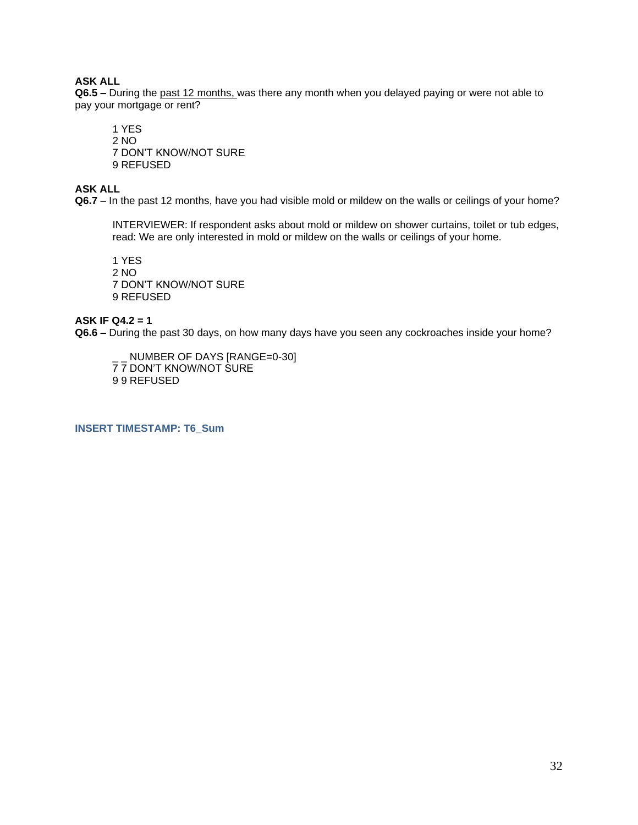## **ASK ALL**

**Q6.5 –** During the past 12 months, was there any month when you delayed paying or were not able to pay your mortgage or rent?

1 YES 2 NO 7 DON'T KNOW/NOT SURE 9 REFUSED

## **ASK ALL**

**Q6.7** – In the past 12 months, have you had visible mold or mildew on the walls or ceilings of your home?

INTERVIEWER: If respondent asks about mold or mildew on shower curtains, toilet or tub edges, read: We are only interested in mold or mildew on the walls or ceilings of your home.

1 YES 2 NO 7 DON'T KNOW/NOT SURE 9 REFUSED

# **ASK IF Q4.2 = 1**

**Q6.6 –** During the past 30 days, on how many days have you seen any cockroaches inside your home?

NUMBER OF DAYS [RANGE=0-30] **77 DON'T KNOW/NOT SURE** 9 9 REFUSED

**INSERT TIMESTAMP: T6\_Sum**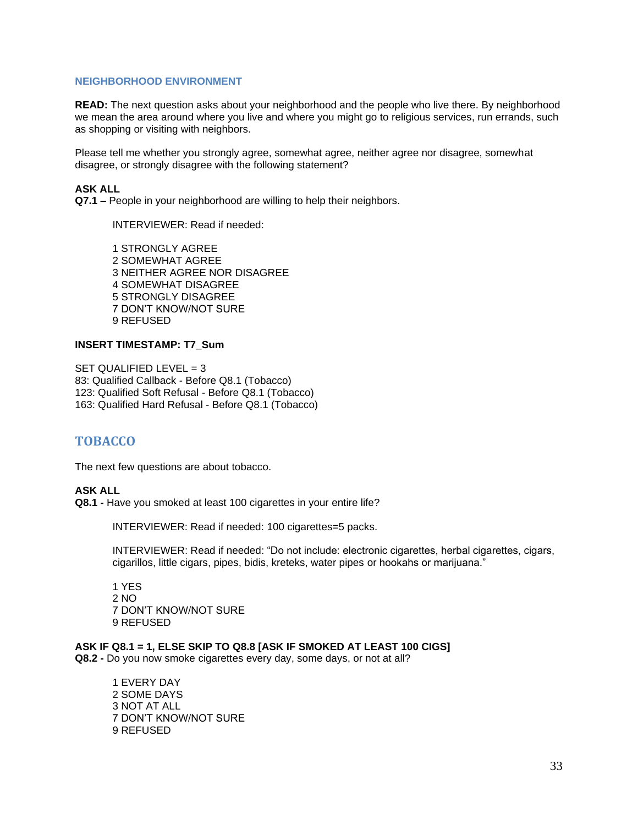#### <span id="page-32-0"></span>**NEIGHBORHOOD ENVIRONMENT**

**READ:** The next question asks about your neighborhood and the people who live there. By neighborhood we mean the area around where you live and where you might go to religious services, run errands, such as shopping or visiting with neighbors.

Please tell me whether you strongly agree, somewhat agree, neither agree nor disagree, somewhat disagree, or strongly disagree with the following statement?

## **ASK ALL**

**Q7.1 –** People in your neighborhood are willing to help their neighbors.

INTERVIEWER: Read if needed:

1 STRONGLY AGREE 2 SOMEWHAT AGREE 3 NEITHER AGREE NOR DISAGREE 4 SOMEWHAT DISAGREE 5 STRONGLY DISAGREE 7 DON'T KNOW/NOT SURE 9 REFUSED

#### **INSERT TIMESTAMP: T7\_Sum**

SET QUALIFIED LEVEL  $= 3$ 83: Qualified Callback - Before Q8.1 (Tobacco) 123: Qualified Soft Refusal - Before Q8.1 (Tobacco) 163: Qualified Hard Refusal - Before Q8.1 (Tobacco)

## <span id="page-32-1"></span>**TOBACCO**

The next few questions are about tobacco.

#### **ASK ALL**

**Q8.1 -** Have you smoked at least 100 cigarettes in your entire life?

INTERVIEWER: Read if needed: 100 cigarettes=5 packs.

INTERVIEWER: Read if needed: "Do not include: electronic cigarettes, herbal cigarettes, cigars, cigarillos, little cigars, pipes, bidis, kreteks, water pipes or hookahs or marijuana."

1 YES 2 NO 7 DON'T KNOW/NOT SURE 9 REFUSED

**ASK IF Q8.1 = 1, ELSE SKIP TO Q8.8 [ASK IF SMOKED AT LEAST 100 CIGS]**

**Q8.2 -** Do you now smoke cigarettes every day, some days, or not at all?

1 EVERY DAY 2 SOME DAYS 3 NOT AT ALL 7 DON'T KNOW/NOT SURE 9 REFUSED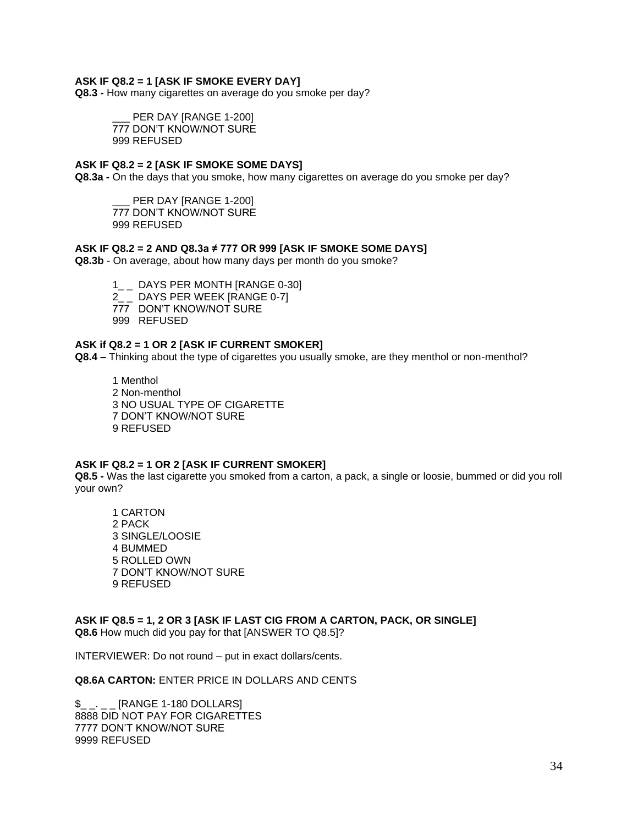#### **ASK IF Q8.2 = 1 [ASK IF SMOKE EVERY DAY]**

**Q8.3 -** How many cigarettes on average do you smoke per day?

PER DAY [RANGE 1-200] 777 DON'T KNOW/NOT SURE 999 REFUSED

#### **ASK IF Q8.2 = 2 [ASK IF SMOKE SOME DAYS]**

**Q8.3a -** On the days that you smoke, how many cigarettes on average do you smoke per day?

PER DAY [RANGE 1-200] 777 DON'T KNOW/NOT SURE 999 REFUSED

#### **ASK IF Q8.2 = 2 AND Q8.3a ≠ 777 OR 999 [ASK IF SMOKE SOME DAYS]**

**Q8.3b** - On average, about how many days per month do you smoke?

1\_ \_ DAYS PER MONTH [RANGE 0-30] 2\_ DAYS PER WEEK [RANGE 0-7] 777 DON'T KNOW/NOT SURE 999 REFUSED

#### **ASK if Q8.2 = 1 OR 2 [ASK IF CURRENT SMOKER]**

**Q8.4 –** Thinking about the type of cigarettes you usually smoke, are they menthol or non-menthol?

1 Menthol 2 Non-menthol 3 NO USUAL TYPE OF CIGARETTE 7 DON'T KNOW/NOT SURE 9 REFUSED

#### **ASK IF Q8.2 = 1 OR 2 [ASK IF CURRENT SMOKER]**

**Q8.5 -** Was the last cigarette you smoked from a carton, a pack, a single or loosie, bummed or did you roll your own?

1 CARTON 2 PACK 3 SINGLE/LOOSIE 4 BUMMED 5 ROLLED OWN 7 DON'T KNOW/NOT SURE 9 REFUSED

**ASK IF Q8.5 = 1, 2 OR 3 [ASK IF LAST CIG FROM A CARTON, PACK, OR SINGLE] Q8.6** How much did you pay for that [ANSWER TO Q8.5]?

INTERVIEWER: Do not round – put in exact dollars/cents.

**Q8.6A CARTON:** ENTER PRICE IN DOLLARS AND CENTS

\$\_ \_. \_ \_ [RANGE 1-180 DOLLARS] 8888 DID NOT PAY FOR CIGARETTES 7777 DON'T KNOW/NOT SURE 9999 REFUSED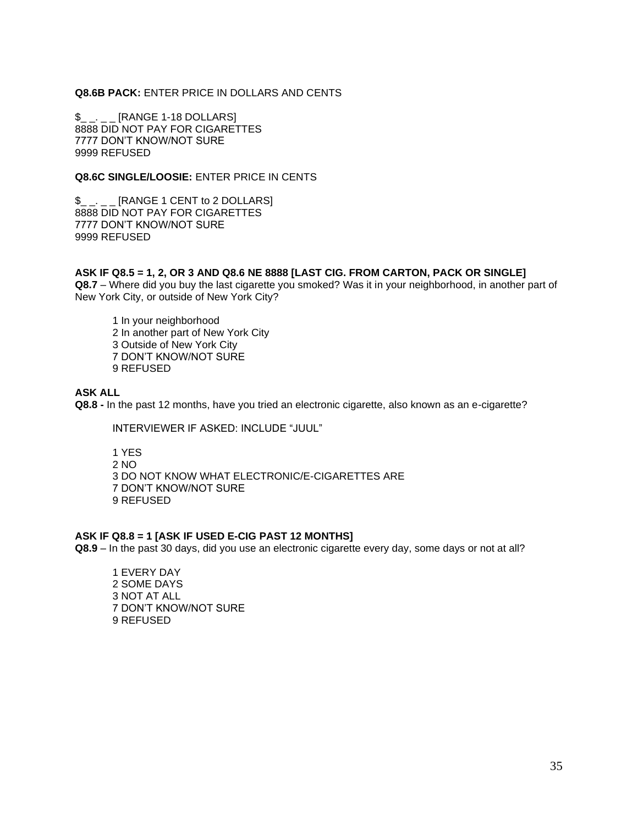## **Q8.6B PACK:** ENTER PRICE IN DOLLARS AND CENTS

\$\_ \_. \_ \_ [RANGE 1-18 DOLLARS] 8888 DID NOT PAY FOR CIGARETTES 7777 DON'T KNOW/NOT SURE 9999 REFUSED

#### **Q8.6C SINGLE/LOOSIE:** ENTER PRICE IN CENTS

 $I_{\text{max}} = 2$  [RANGE 1 CENT to 2 DOLLARS] 8888 DID NOT PAY FOR CIGARETTES 7777 DON'T KNOW/NOT SURE 9999 REFUSED

#### **ASK IF Q8.5 = 1, 2, OR 3 AND Q8.6 NE 8888 [LAST CIG. FROM CARTON, PACK OR SINGLE]**

**Q8.7** – Where did you buy the last cigarette you smoked? Was it in your neighborhood, in another part of New York City, or outside of New York City?

1 In your neighborhood 2 In another part of New York City 3 Outside of New York City 7 DON'T KNOW/NOT SURE 9 REFUSED

#### **ASK ALL**

**Q8.8 -** In the past 12 months, have you tried an electronic cigarette, also known as an e-cigarette?

INTERVIEWER IF ASKED: INCLUDE "JUUL"

1 YES 2 NO 3 DO NOT KNOW WHAT ELECTRONIC/E-CIGARETTES ARE 7 DON'T KNOW/NOT SURE 9 REFUSED

#### **ASK IF Q8.8 = 1 [ASK IF USED E-CIG PAST 12 MONTHS]**

**Q8.9** – In the past 30 days, did you use an electronic cigarette every day, some days or not at all?

1 EVERY DAY 2 SOME DAYS 3 NOT AT ALL 7 DON'T KNOW/NOT SURE 9 REFUSED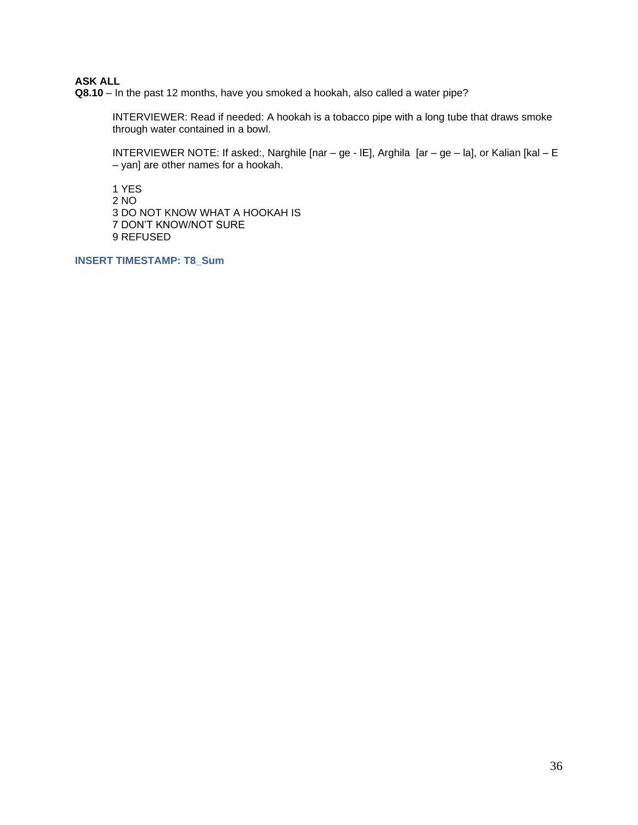## **ASK ALL**

**Q8.10** – In the past 12 months, have you smoked a hookah, also called a water pipe?

INTERVIEWER: Read if needed: A hookah is a tobacco pipe with a long tube that draws smoke through water contained in a bowl.

INTERVIEWER NOTE: If asked:, Narghile [nar – ge - lE], Arghila [ar – ge – la], or Kalian [kal – E – yan] are other names for a hookah.

1 YES 2 NO 3 DO NOT KNOW WHAT A HOOKAH IS 7 DON'T KNOW/NOT SURE 9 REFUSED

**INSERT TIMESTAMP: T8\_Sum**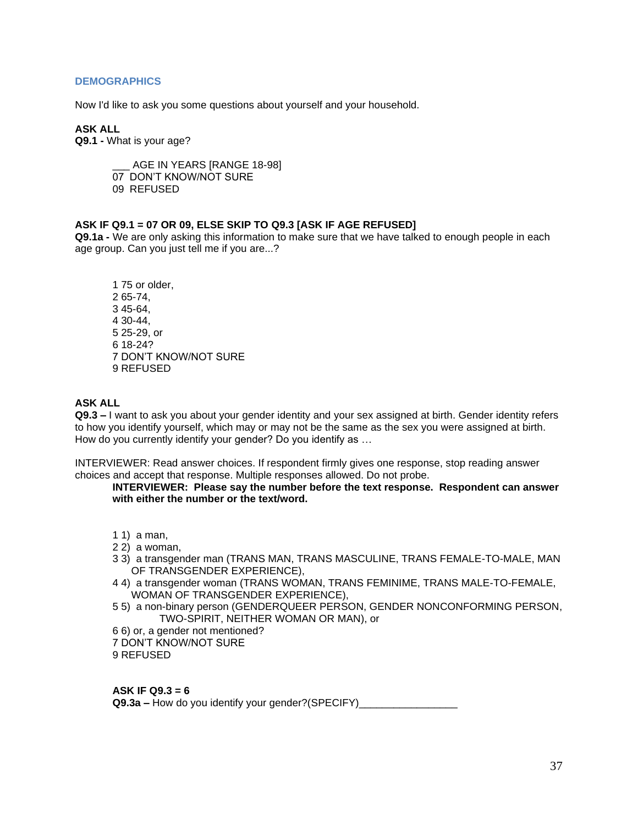### **DEMOGRAPHICS**

Now I'd like to ask you some questions about yourself and your household.

### **ASK ALL**

**Q9.1 -** What is your age?

AGE IN YEARS [RANGE 18-98]

- 07 DON'T KNOW/NOT SURE
- 09 REFUSED

# **ASK IF Q9.1 = 07 OR 09, ELSE SKIP TO Q9.3 [ASK IF AGE REFUSED]**

**Q9.1a -** We are only asking this information to make sure that we have talked to enough people in each age group. Can you just tell me if you are...?

1 75 or older, 2 65-74, 3 45-64, 4 30-44, 5 25-29, or 6 18-24? 7 DON'T KNOW/NOT SURE 9 REFUSED

### **ASK ALL**

**Q9.3 –** I want to ask you about your gender identity and your sex assigned at birth. Gender identity refers to how you identify yourself, which may or may not be the same as the sex you were assigned at birth. How do you currently identify your gender? Do you identify as …

INTERVIEWER: Read answer choices. If respondent firmly gives one response, stop reading answer choices and accept that response. Multiple responses allowed. Do not probe.

#### **INTERVIEWER: Please say the number before the text response. Respondent can answer with either the number or the text/word.**

- 1 1) a man,
- 2 2) a woman,
- 3 3) a transgender man (TRANS MAN, TRANS MASCULINE, TRANS FEMALE-TO-MALE, MAN OF TRANSGENDER EXPERIENCE),
- 4 4) a transgender woman (TRANS WOMAN, TRANS FEMINIME, TRANS MALE-TO-FEMALE, WOMAN OF TRANSGENDER EXPERIENCE),
- 5 5) a non-binary person (GENDERQUEER PERSON, GENDER NONCONFORMING PERSON, TWO-SPIRIT, NEITHER WOMAN OR MAN), or

6 6) or, a gender not mentioned?

7 DON'T KNOW/NOT SURE

9 REFUSED

### **ASK IF Q9.3 = 6**

**Q9.3a –** How do you identify your gender?(SPECIFY)\_\_\_\_\_\_\_\_\_\_\_\_\_\_\_\_\_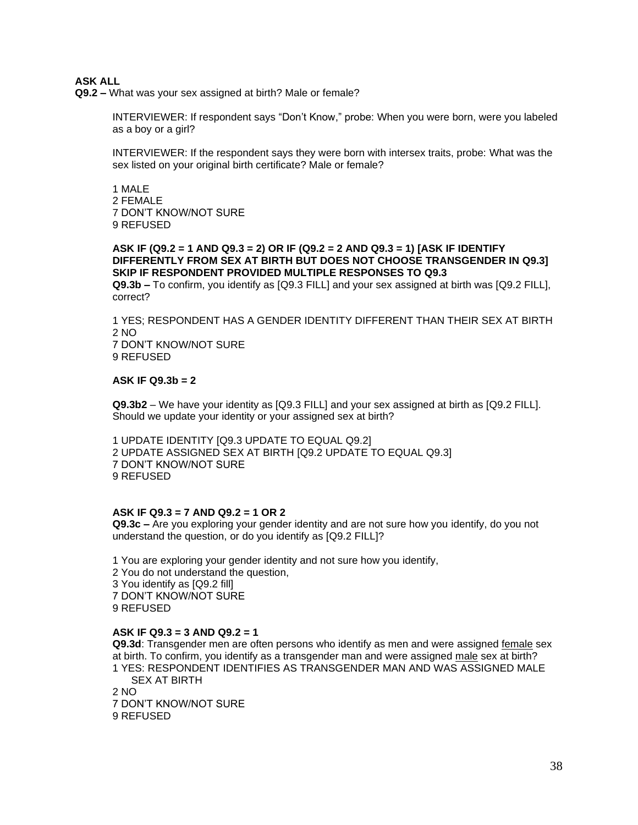# **ASK ALL**

**Q9.2 –** What was your sex assigned at birth? Male or female?

INTERVIEWER: If respondent says "Don't Know," probe: When you were born, were you labeled as a boy or a girl?

INTERVIEWER: If the respondent says they were born with intersex traits, probe: What was the sex listed on your original birth certificate? Male or female?

1 MALE 2 FEMALE 7 DON'T KNOW/NOT SURE 9 REFUSED

**ASK IF (Q9.2 = 1 AND Q9.3 = 2) OR IF (Q9.2 = 2 AND Q9.3 = 1) [ASK IF IDENTIFY DIFFERENTLY FROM SEX AT BIRTH BUT DOES NOT CHOOSE TRANSGENDER IN Q9.3] SKIP IF RESPONDENT PROVIDED MULTIPLE RESPONSES TO Q9.3**

**Q9.3b –** To confirm, you identify as [Q9.3 FILL] and your sex assigned at birth was [Q9.2 FILL], correct?

1 YES; RESPONDENT HAS A GENDER IDENTITY DIFFERENT THAN THEIR SEX AT BIRTH 2 NO 7 DON'T KNOW/NOT SURE 9 REFUSED

### **ASK IF Q9.3b = 2**

**Q9.3b2** – We have your identity as [Q9.3 FILL] and your sex assigned at birth as [Q9.2 FILL]. Should we update your identity or your assigned sex at birth?

1 UPDATE IDENTITY [Q9.3 UPDATE TO EQUAL Q9.2] 2 UPDATE ASSIGNED SEX AT BIRTH [Q9.2 UPDATE TO EQUAL Q9.3] 7 DON'T KNOW/NOT SURE 9 REFUSED

### **ASK IF Q9.3 = 7 AND Q9.2 = 1 OR 2**

**Q9.3c –** Are you exploring your gender identity and are not sure how you identify, do you not understand the question, or do you identify as [Q9.2 FILL]?

1 You are exploring your gender identity and not sure how you identify, 2 You do not understand the question, 3 You identify as [Q9.2 fill] 7 DON'T KNOW/NOT SURE 9 REFUSED

#### **ASK IF Q9.3 = 3 AND Q9.2 = 1**

**Q9.3d**: Transgender men are often persons who identify as men and were assigned female sex at birth. To confirm, you identify as a transgender man and were assigned male sex at birth? 1 YES: RESPONDENT IDENTIFIES AS TRANSGENDER MAN AND WAS ASSIGNED MALE SEX AT BIRTH 2 NO 7 DON'T KNOW/NOT SURE 9 REFUSED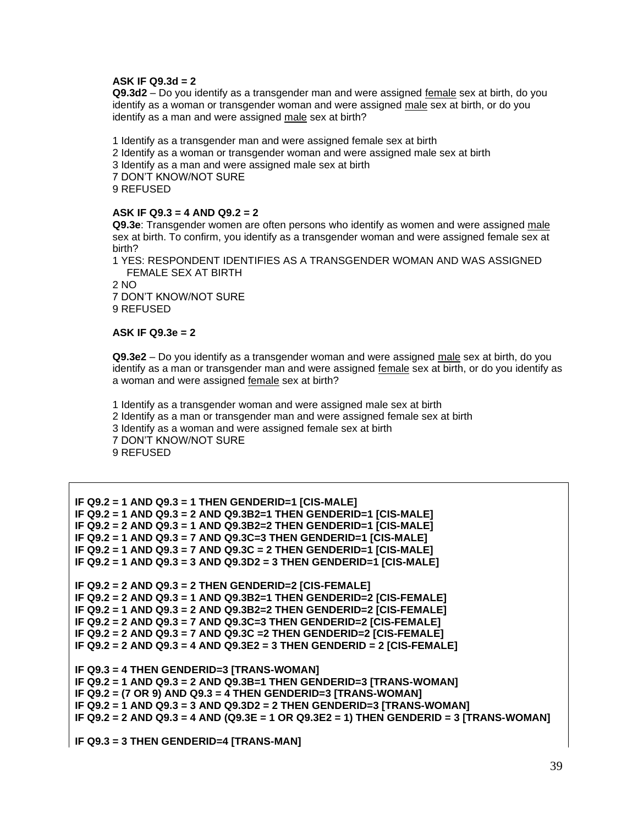### **ASK IF Q9.3d = 2**

**Q9.3d2** – Do you identify as a transgender man and were assigned female sex at birth, do you identify as a woman or transgender woman and were assigned male sex at birth, or do you identify as a man and were assigned male sex at birth?

1 Identify as a transgender man and were assigned female sex at birth 2 Identify as a woman or transgender woman and were assigned male sex at birth 3 Identify as a man and were assigned male sex at birth 7 DON'T KNOW/NOT SURE 9 REFUSED

# **ASK IF Q9.3 = 4 AND Q9.2 = 2**

**Q9.3e**: Transgender women are often persons who identify as women and were assigned male sex at birth. To confirm, you identify as a transgender woman and were assigned female sex at birth?

1 YES: RESPONDENT IDENTIFIES AS A TRANSGENDER WOMAN AND WAS ASSIGNED FEMALE SEX AT BIRTH

 $2 NQ$ 7 DON'T KNOW/NOT SURE 9 REFUSED

## **ASK IF Q9.3e = 2**

**Q9.3e2** – Do you identify as a transgender woman and were assigned male sex at birth, do you identify as a man or transgender man and were assigned female sex at birth, or do you identify as a woman and were assigned female sex at birth?

1 Identify as a transgender woman and were assigned male sex at birth 2 Identify as a man or transgender man and were assigned female sex at birth 3 Identify as a woman and were assigned female sex at birth 7 DON'T KNOW/NOT SURE 9 REFUSED

```
IF Q9.2 = 1 AND Q9.3 = 1 THEN GENDERID=1 [CIS-MALE]
IF Q9.2 = 1 AND Q9.3 = 2 AND Q9.3B2=1 THEN GENDERID=1 [CIS-MALE]
IF Q9.2 = 2 AND Q9.3 = 1 AND Q9.3B2=2 THEN GENDERID=1 [CIS-MALE]
IF Q9.2 = 1 AND Q9.3 = 7 AND Q9.3C=3 THEN GENDERID=1 [CIS-MALE]
IF Q9.2 = 1 AND Q9.3 = 7 AND Q9.3C = 2 THEN GENDERID=1 [CIS-MALE]
IF Q9.2 = 1 AND Q9.3 = 3 AND Q9.3D2 = 3 THEN GENDERID=1 [CIS-MALE]
IF Q9.2 = 2 AND Q9.3 = 2 THEN GENDERID=2 [CIS-FEMALE]
IF Q9.2 = 2 AND Q9.3 = 1 AND Q9.3B2=1 THEN GENDERID=2 [CIS-FEMALE]
IF Q9.2 = 1 AND Q9.3 = 2 AND Q9.3B2=2 THEN GENDERID=2 [CIS-FEMALE]
IF Q9.2 = 2 AND Q9.3 = 7 AND Q9.3C=3 THEN GENDERID=2 [CIS-FEMALE]
IF Q9.2 = 2 AND Q9.3 = 7 AND Q9.3C =2 THEN GENDERID=2 [CIS-FEMALE]
IF Q9.2 = 2 AND Q9.3 = 4 AND Q9.3E2 = 3 THEN GENDERID = 2 [CIS-FEMALE]
IF Q9.3 = 4 THEN GENDERID=3 [TRANS-WOMAN]
IF Q9.2 = 1 AND Q9.3 = 2 AND Q9.3B=1 THEN GENDERID=3 [TRANS-WOMAN]
IF Q9.2 = (7 OR 9) AND Q9.3 = 4 THEN GENDERID=3 [TRANS-WOMAN]
IF Q9.2 = 1 AND Q9.3 = 3 AND Q9.3D2 = 2 THEN GENDERID=3 [TRANS-WOMAN]
IF Q9.2 = 2 AND Q9.3 = 4 AND (Q9.3E = 1 OR Q9.3E2 = 1) THEN GENDERID = 3 [TRANS-WOMAN]
IF Q9.3 = 3 THEN GENDERID=4 [TRANS-MAN]
```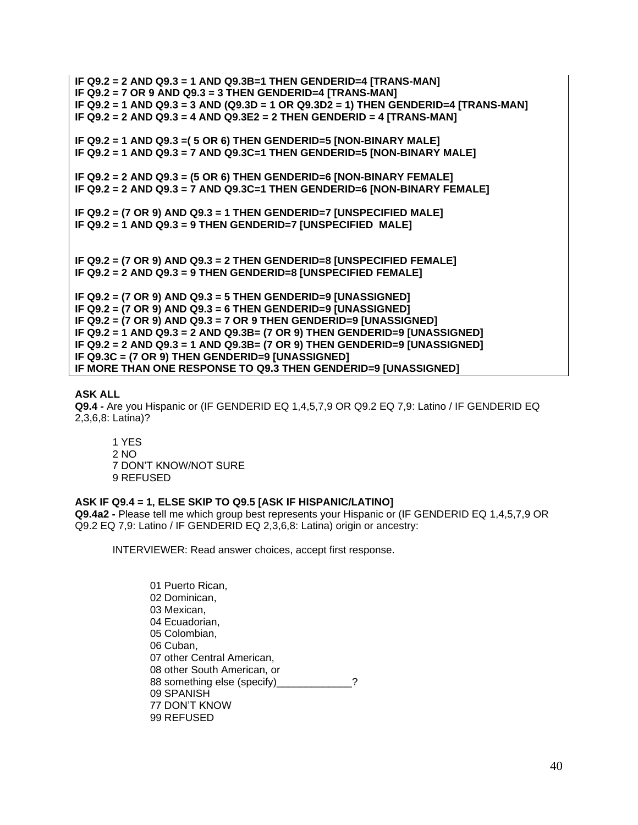**IF Q9.2 = 2 AND Q9.3 = 1 AND Q9.3B=1 THEN GENDERID=4 [TRANS-MAN] IF Q9.2 = 7 OR 9 AND Q9.3 = 3 THEN GENDERID=4 [TRANS-MAN] IF Q9.2 = 1 AND Q9.3 = 3 AND (Q9.3D = 1 OR Q9.3D2 = 1) THEN GENDERID=4 [TRANS-MAN] IF Q9.2 = 2 AND Q9.3 = 4 AND Q9.3E2 = 2 THEN GENDERID = 4 [TRANS-MAN] IF Q9.2 = 1 AND Q9.3 =( 5 OR 6) THEN GENDERID=5 [NON-BINARY MALE] IF Q9.2 = 1 AND Q9.3 = 7 AND Q9.3C=1 THEN GENDERID=5 [NON-BINARY MALE] IF Q9.2 = 2 AND Q9.3 = (5 OR 6) THEN GENDERID=6 [NON-BINARY FEMALE] IF Q9.2 = 2 AND Q9.3 = 7 AND Q9.3C=1 THEN GENDERID=6 [NON-BINARY FEMALE] IF Q9.2 = (7 OR 9) AND Q9.3 = 1 THEN GENDERID=7 [UNSPECIFIED MALE] IF Q9.2 = 1 AND Q9.3 = 9 THEN GENDERID=7 [UNSPECIFIED MALE] IF Q9.2 = (7 OR 9) AND Q9.3 = 2 THEN GENDERID=8 [UNSPECIFIED FEMALE] IF Q9.2 = 2 AND Q9.3 = 9 THEN GENDERID=8 [UNSPECIFIED FEMALE] IF Q9.2 = (7 OR 9) AND Q9.3 = 5 THEN GENDERID=9 [UNASSIGNED] IF Q9.2 = (7 OR 9) AND Q9.3 = 6 THEN GENDERID=9 [UNASSIGNED] IF Q9.2 = (7 OR 9) AND Q9.3 = 7 OR 9 THEN GENDERID=9 [UNASSIGNED] IF Q9.2 = 1 AND Q9.3 = 2 AND Q9.3B= (7 OR 9) THEN GENDERID=9 [UNASSIGNED] IF Q9.2 = 2 AND Q9.3 = 1 AND Q9.3B= (7 OR 9) THEN GENDERID=9 [UNASSIGNED] IF Q9.3C = (7 OR 9) THEN GENDERID=9 [UNASSIGNED] IF MORE THAN ONE RESPONSE TO Q9.3 THEN GENDERID=9 [UNASSIGNED]**

### **ASK ALL**

**Q9.4 -** Are you Hispanic or (IF GENDERID EQ 1,4,5,7,9 OR Q9.2 EQ 7,9: Latino / IF GENDERID EQ 2,3,6,8: Latina)?

1 YES 2 NO 7 DON'T KNOW/NOT SURE 9 REFUSED

### **ASK IF Q9.4 = 1, ELSE SKIP TO Q9.5 [ASK IF HISPANIC/LATINO]**

**Q9.4a2 -** Please tell me which group best represents your Hispanic or (IF GENDERID EQ 1,4,5,7,9 OR Q9.2 EQ 7,9: Latino / IF GENDERID EQ 2,3,6,8: Latina) origin or ancestry:

INTERVIEWER: Read answer choices, accept first response.

01 Puerto Rican, 02 Dominican, 03 Mexican, 04 Ecuadorian, 05 Colombian, 06 Cuban, 07 other Central American, 08 other South American, or 88 something else (specify) and the something  $\frac{1}{2}$ 09 SPANISH 77 DON'T KNOW 99 REFUSED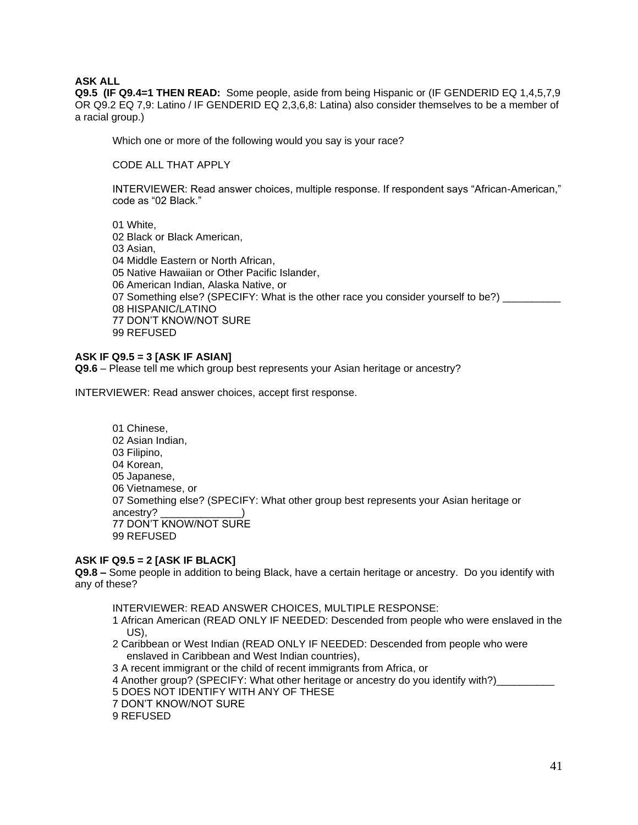### **ASK ALL**

**Q9.5 (IF Q9.4=1 THEN READ:** Some people, aside from being Hispanic or (IF GENDERID EQ 1,4,5,7,9 OR Q9.2 EQ 7,9: Latino / IF GENDERID EQ 2,3,6,8: Latina) also consider themselves to be a member of a racial group.)

Which one or more of the following would you say is your race?

CODE ALL THAT APPLY

INTERVIEWER: Read answer choices, multiple response. If respondent says "African-American," code as "02 Black."

01 White, 02 Black or Black American, 03 Asian, 04 Middle Eastern or North African, 05 Native Hawaiian or Other Pacific Islander, 06 American Indian, Alaska Native, or 07 Something else? (SPECIFY: What is the other race you consider yourself to be?) \_\_\_\_\_\_\_\_\_\_ 08 HISPANIC/LATINO 77 DON'T KNOW/NOT SURE 99 REFUSED

### **ASK IF Q9.5 = 3 [ASK IF ASIAN]**

**Q9.6** – Please tell me which group best represents your Asian heritage or ancestry?

INTERVIEWER: Read answer choices, accept first response.

01 Chinese, 02 Asian Indian, 03 Filipino, 04 Korean, 05 Japanese, 06 Vietnamese, or 07 Something else? (SPECIFY: What other group best represents your Asian heritage or ancestry? \_ 77 DON'T KNOW/NOT SURE 99 REFUSED

### **ASK IF Q9.5 = 2 [ASK IF BLACK]**

**Q9.8 –** Some people in addition to being Black, have a certain heritage or ancestry. Do you identify with any of these?

INTERVIEWER: READ ANSWER CHOICES, MULTIPLE RESPONSE:

- 1 African American (READ ONLY IF NEEDED: Descended from people who were enslaved in the US),
- 2 Caribbean or West Indian (READ ONLY IF NEEDED: Descended from people who were enslaved in Caribbean and West Indian countries),
- 3 A recent immigrant or the child of recent immigrants from Africa, or

4 Another group? (SPECIFY: What other heritage or ancestry do you identify with?)\_\_\_\_\_\_\_\_\_\_

- 5 DOES NOT IDENTIFY WITH ANY OF THESE
- 7 DON'T KNOW/NOT SURE

9 REFUSED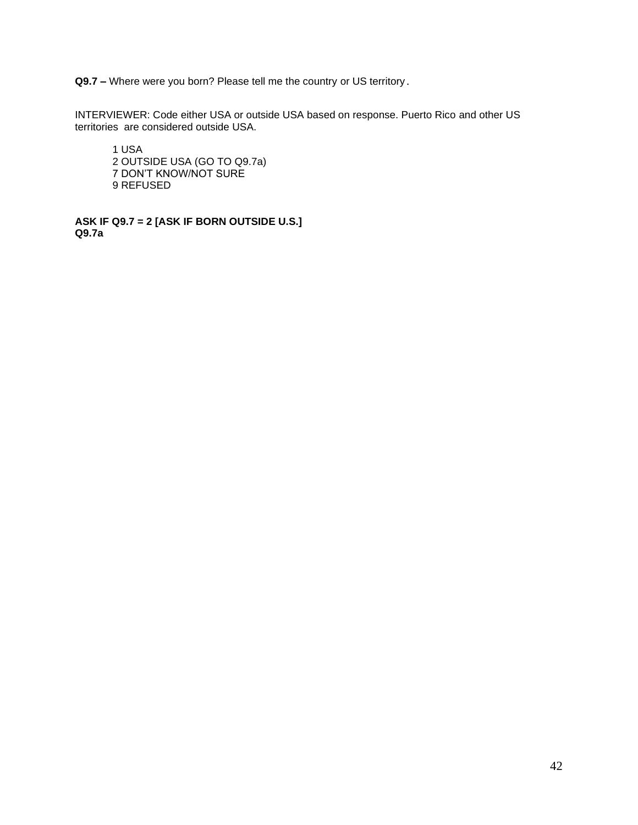**Q9.7 –** Where were you born? Please tell me the country or US territory.

INTERVIEWER: Code either USA or outside USA based on response. Puerto Rico and other US territories are considered outside USA.

1 USA 2 OUTSIDE USA (GO TO Q9.7a) 7 DON'T KNOW/NOT SURE 9 REFUSED

**ASK IF Q9.7 = 2 [ASK IF BORN OUTSIDE U.S.] Q9.7a**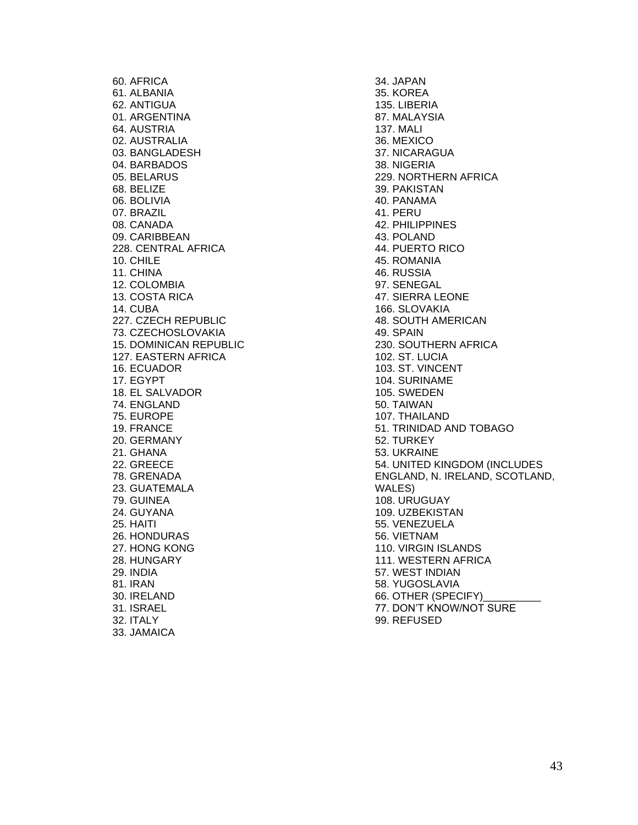60. AFRICA 61. ALBANIA 62. ANTIGUA 01. ARGENTINA 64. AUSTRIA 02. AUSTRALIA 03. BANGLADESH 04. BARBADOS 05. BELARUS 68. BELIZE 06. BOLIVIA 07. BRAZIL 08. CANADA 09. CARIBBEAN 228. CENTRAL AFRICA 10. CHILE 11. CHINA 12. COLOMBIA 13. COSTA RICA 14. CUBA 227. CZECH REPUBLIC 73. CZECHOSLOVAKIA 15. DOMINICAN REPUBLIC 127. EASTERN AFRICA 16. ECUADOR 17. EGYPT 18. EL SALVADOR 74. ENGLAND 75. EUROPE 19. FRANCE 20. GERMANY 21. GHANA 22. GREECE 78. GRENADA 23. GUATEMALA 79. GUINEA 24. GUYANA 25. HAITI 26. HONDURAS 27. HONG KONG 28. HUNGARY 29. INDIA 81. IRAN 30. IRELAND 31. ISRAEL 32. ITALY 33. JAMAICA

34. JAPAN 35. KOREA 135. LIBERIA 87. MALAYSIA 137. MALI 36. MEXICO 37. NICARAGUA 38. NIGERIA 229. NORTHERN AFRICA 39. PAKISTAN 40. PANAMA 41. PERU 42. PHILIPPINES 43. POLAND 44. PUERTO RICO 45. ROMANIA 46. RUSSIA 97. SENEGAL 47. SIERRA LEONE 166. SLOVAKIA 48. SOUTH AMERICAN 49. SPAIN 230. SOUTHERN AFRICA 102. ST. LUCIA 103. ST. VINCENT 104. SURINAME 105. SWEDEN 50. TAIWAN 107. THAILAND 51. TRINIDAD AND TOBAGO 52. TURKEY 53. UKRAINE 54. UNITED KINGDOM (INCLUDES ENGLAND, N. IRELAND, SCOTLAND, WALES) 108. URUGUAY 109. UZBEKISTAN 55. VENEZUELA 56. VIETNAM 110. VIRGIN ISLANDS 111. WESTERN AFRICA 57. WEST INDIAN 58. YUGOSLAVIA 66. OTHER (SPECIFY)\_\_\_\_\_\_\_\_\_\_ 77. DON'T KNOW/NOT SURE 99. REFUSED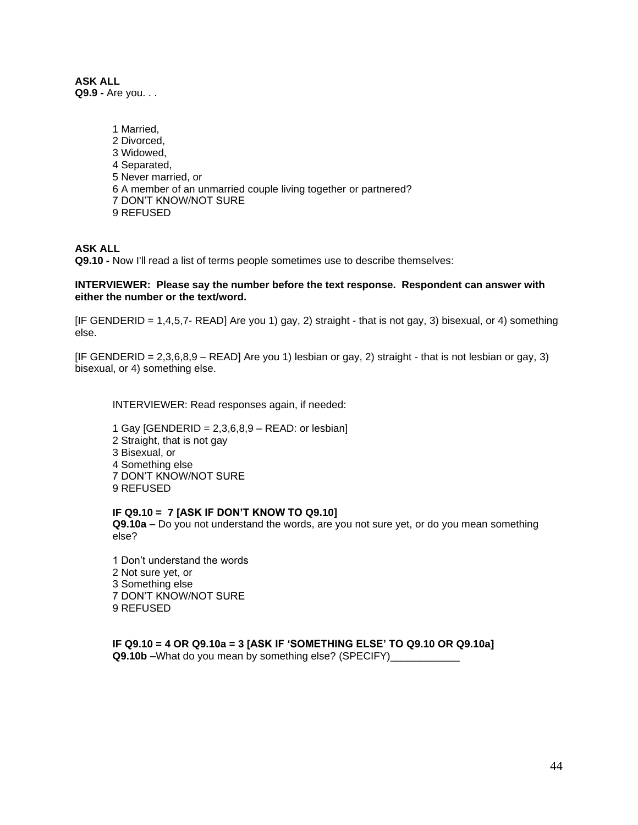**ASK ALL Q9.9 -** Are you. . .

> 1 Married, 2 Divorced, 3 Widowed, 4 Separated, 5 Never married, or 6 A member of an unmarried couple living together or partnered? 7 DON'T KNOW/NOT SURE 9 REFUSED

### **ASK ALL**

**Q9.10 -** Now I'll read a list of terms people sometimes use to describe themselves:

**INTERVIEWER: Please say the number before the text response. Respondent can answer with either the number or the text/word.** 

[IF GENDERID = 1,4,5,7- READ] Are you 1) gay, 2) straight - that is not gay, 3) bisexual, or 4) something else.

 $[IF GENDERID = 2,3,6,8,9 - READ]$  Are you 1) lesbian or gay, 2) straight - that is not lesbian or gay, 3) bisexual, or 4) something else.

INTERVIEWER: Read responses again, if needed:

1 Gay  $[GENDERID = 2, 3, 6, 8, 9 - READ:$  or lesbian] 2 Straight, that is not gay 3 Bisexual, or 4 Something else 7 DON'T KNOW/NOT SURE 9 REFUSED

#### **IF Q9.10 = 7 [ASK IF DON'T KNOW TO Q9.10]**

**Q9.10a –** Do you not understand the words, are you not sure yet, or do you mean something else?

1 Don't understand the words 2 Not sure yet, or 3 Something else 7 DON'T KNOW/NOT SURE 9 REFUSED

**IF Q9.10 = 4 OR Q9.10a = 3 [ASK IF 'SOMETHING ELSE' TO Q9.10 OR Q9.10a] Q9.10b –**What do you mean by something else? (SPECIFY)\_\_\_\_\_\_\_\_\_\_\_\_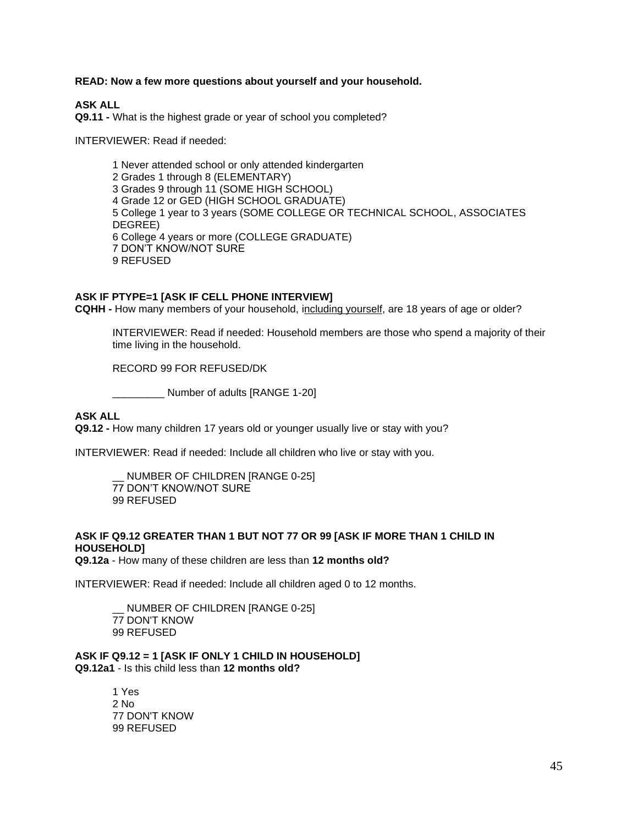**READ: Now a few more questions about yourself and your household.**

### **ASK ALL**

**Q9.11 -** What is the highest grade or year of school you completed?

INTERVIEWER: Read if needed:

1 Never attended school or only attended kindergarten 2 Grades 1 through 8 (ELEMENTARY) 3 Grades 9 through 11 (SOME HIGH SCHOOL) 4 Grade 12 or GED (HIGH SCHOOL GRADUATE) 5 College 1 year to 3 years (SOME COLLEGE OR TECHNICAL SCHOOL, ASSOCIATES DEGREE) 6 College 4 years or more (COLLEGE GRADUATE) 7 DON'T KNOW/NOT SURE 9 REFUSED

### **ASK IF PTYPE=1 [ASK IF CELL PHONE INTERVIEW]**

**CQHH -** How many members of your household, including yourself, are 18 years of age or older?

INTERVIEWER: Read if needed: Household members are those who spend a majority of their time living in the household.

RECORD 99 FOR REFUSED/DK

Number of adults [RANGE 1-20]

### **ASK ALL**

**Q9.12 -** How many children 17 years old or younger usually live or stay with you?

INTERVIEWER: Read if needed: Include all children who live or stay with you.

NUMBER OF CHILDREN [RANGE 0-25] 77 DON'T KNOW/NOT SURE 99 REFUSED

### **ASK IF Q9.12 GREATER THAN 1 BUT NOT 77 OR 99 [ASK IF MORE THAN 1 CHILD IN HOUSEHOLD]**

**Q9.12a** - How many of these children are less than **12 months old?** 

INTERVIEWER: Read if needed: Include all children aged 0 to 12 months.

NUMBER OF CHILDREN [RANGE 0-25] 77 DON'T KNOW 99 REFUSED

**ASK IF Q9.12 = 1 [ASK IF ONLY 1 CHILD IN HOUSEHOLD] Q9.12a1** - Is this child less than **12 months old?** 

> 1 Yes 2 No 77 DON'T KNOW 99 REFUSED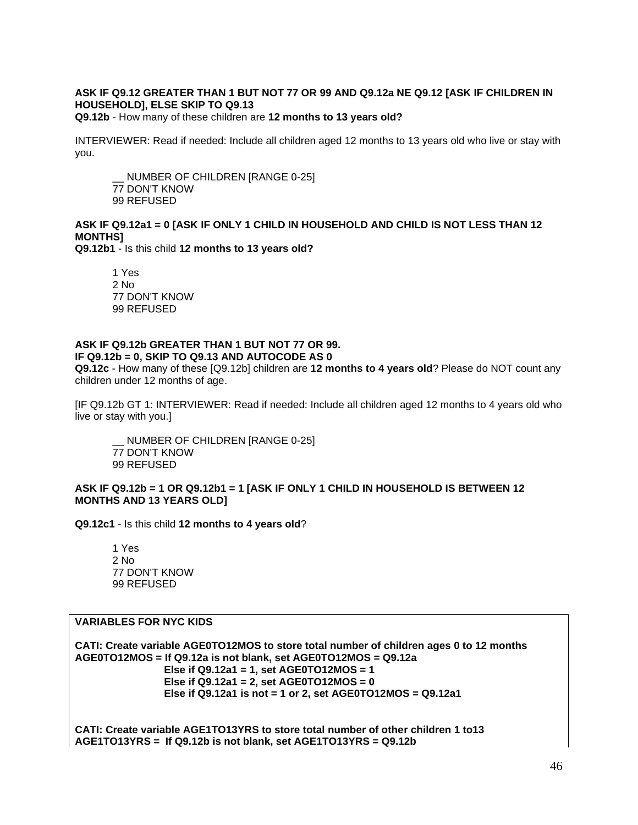# **ASK IF Q9.12 GREATER THAN 1 BUT NOT 77 OR 99 AND Q9.12a NE Q9.12 [ASK IF CHILDREN IN HOUSEHOLD], ELSE SKIP TO Q9.13**

**Q9.12b** - How many of these children are **12 months to 13 years old?** 

INTERVIEWER: Read if needed: Include all children aged 12 months to 13 years old who live or stay with you.

NUMBER OF CHILDREN [RANGE 0-25] 77 DON'T KNOW 99 REFUSED

# **ASK IF Q9.12a1 = 0 [ASK IF ONLY 1 CHILD IN HOUSEHOLD AND CHILD IS NOT LESS THAN 12 MONTHS]**

**Q9.12b1** - Is this child **12 months to 13 years old?** 

1 Yes 2 No 77 DON'T KNOW 99 REFUSED

#### **ASK IF Q9.12b GREATER THAN 1 BUT NOT 77 OR 99. IF Q9.12b = 0, SKIP TO Q9.13 AND AUTOCODE AS 0**

**Q9.12c** - How many of these [Q9.12b] children are **12 months to 4 years old**? Please do NOT count any children under 12 months of age.

[IF Q9.12b GT 1: INTERVIEWER: Read if needed: Include all children aged 12 months to 4 years old who live or stay with you.]

NUMBER OF CHILDREN [RANGE 0-25] 77 DON'T KNOW 99 REFUSED

### **ASK IF Q9.12b = 1 OR Q9.12b1 = 1 [ASK IF ONLY 1 CHILD IN HOUSEHOLD IS BETWEEN 12 MONTHS AND 13 YEARS OLD]**

**Q9.12c1** - Is this child **12 months to 4 years old**?

1 Yes 2 No 77 DON'T KNOW 99 REFUSED

# **VARIABLES FOR NYC KIDS**

**CATI: Create variable AGE0TO12MOS to store total number of children ages 0 to 12 months AGE0TO12MOS = If Q9.12a is not blank, set AGE0TO12MOS = Q9.12a Else if Q9.12a1 = 1, set AGE0TO12MOS = 1 Else if Q9.12a1 = 2, set AGE0TO12MOS = 0 Else if Q9.12a1 is not = 1 or 2, set AGE0TO12MOS = Q9.12a1**

**CATI: Create variable AGE1TO13YRS to store total number of other children 1 to13 AGE1TO13YRS = If Q9.12b is not blank, set AGE1TO13YRS = Q9.12b**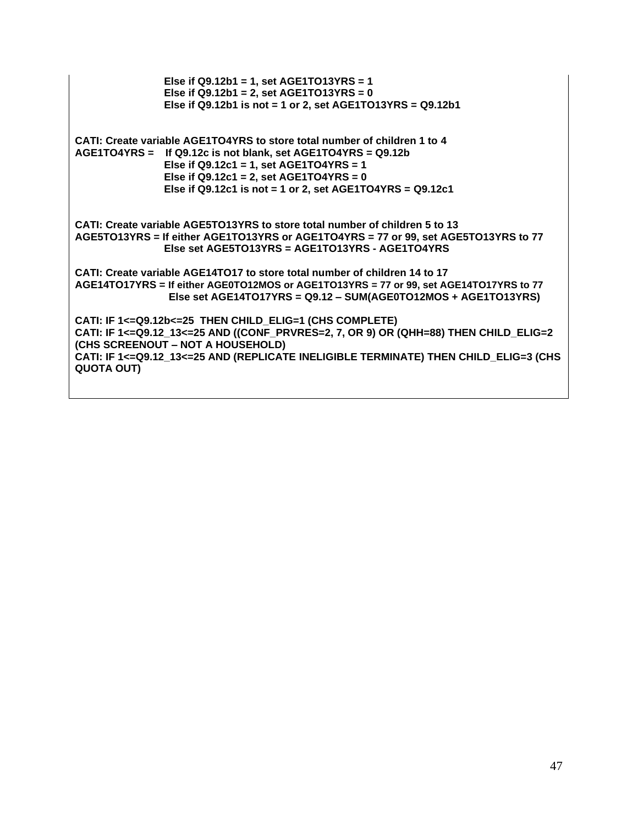|                   | Else if $Q9.12b1 = 1$ , set AGE1TO13YRS = 1<br>Else if $Q9.12b1 = 2$ , set AGE1TO13YRS = 0<br>Else if Q9.12b1 is not = 1 or 2, set AGE1TO13YRS = Q9.12b1                                                                                                                                            |
|-------------------|-----------------------------------------------------------------------------------------------------------------------------------------------------------------------------------------------------------------------------------------------------------------------------------------------------|
|                   | CATI: Create variable AGE1TO4YRS to store total number of children 1 to 4<br>AGE1TO4YRS = If Q9.12c is not blank, set AGE1TO4YRS = Q9.12b<br>Else if Q9.12c1 = 1, set AGE1TO4YRS = 1<br>Else if $Q9.12c1 = 2$ , set AGE1TO4YRS = 0<br>Else if $Q9.12c1$ is not = 1 or 2, set AGE1TO4YRS = $Q9.12c1$ |
|                   | CATI: Create variable AGE5TO13YRS to store total number of children 5 to 13<br>AGE5TO13YRS = If either AGE1TO13YRS or AGE1TO4YRS = 77 or 99, set AGE5TO13YRS to 77<br>Else set AGE5TO13YRS = AGE1TO13YRS - AGE1TO4YRS                                                                               |
|                   | CATI: Create variable AGE14TO17 to store total number of children 14 to 17<br>AGE14TO17YRS = If either AGE0TO12MOS or AGE1TO13YRS = 77 or 99, set AGE14TO17YRS to 77<br>Else set AGE14TO17YRS = Q9.12 - SUM(AGE0TO12MOS + AGE1TO13YRS)                                                              |
| <b>QUOTA OUT)</b> | CATI: IF 1<=Q9.12b<=25 THEN CHILD_ELIG=1 (CHS COMPLETE)<br>CATI: IF 1<=Q9.12_13<=25 AND ((CONF_PRVRES=2, 7, OR 9) OR (QHH=88) THEN CHILD_ELIG=2<br>(CHS SCREENOUT – NOT A HOUSEHOLD)<br>CATI: IF 1<=Q9.12_13<=25 AND (REPLICATE INELIGIBLE TERMINATE) THEN CHILD_ELIG=3 (CHS                        |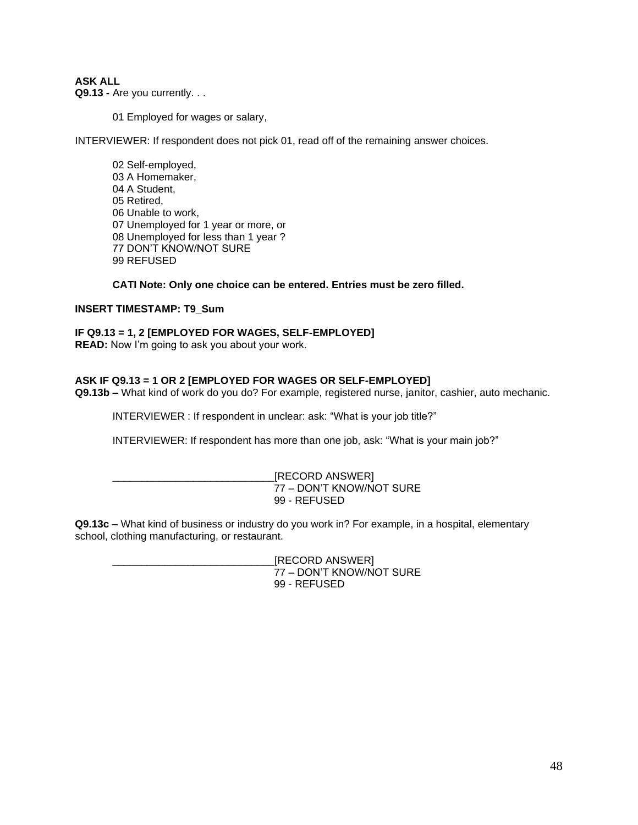**ASK ALL Q9.13 -** Are you currently. . .

01 Employed for wages or salary,

INTERVIEWER: If respondent does not pick 01, read off of the remaining answer choices.

02 Self-employed, 03 A Homemaker, 04 A Student, 05 Retired, 06 Unable to work, 07 Unemployed for 1 year or more, or 08 Unemployed for less than 1 year ? 77 DON'T KNOW/NOT SURE 99 REFUSED

### **CATI Note: Only one choice can be entered. Entries must be zero filled.**

### **INSERT TIMESTAMP: T9\_Sum**

**IF Q9.13 = 1, 2 [EMPLOYED FOR WAGES, SELF-EMPLOYED] READ:** Now I'm going to ask you about your work.

### **ASK IF Q9.13 = 1 OR 2 [EMPLOYED FOR WAGES OR SELF-EMPLOYED]**

**Q9.13b –** What kind of work do you do? For example, registered nurse, janitor, cashier, auto mechanic.

INTERVIEWER : If respondent in unclear: ask: "What is your job title?"

INTERVIEWER: If respondent has more than one job, ask: "What is your main job?"

[RECORD ANSWER] 77 – DON'T KNOW/NOT SURE 99 - REFUSED

**Q9.13c –** What kind of business or industry do you work in? For example, in a hospital, elementary school, clothing manufacturing, or restaurant.

> [RECORD ANSWER] 77 – DON'T KNOW/NOT SURE 99 - REFUSED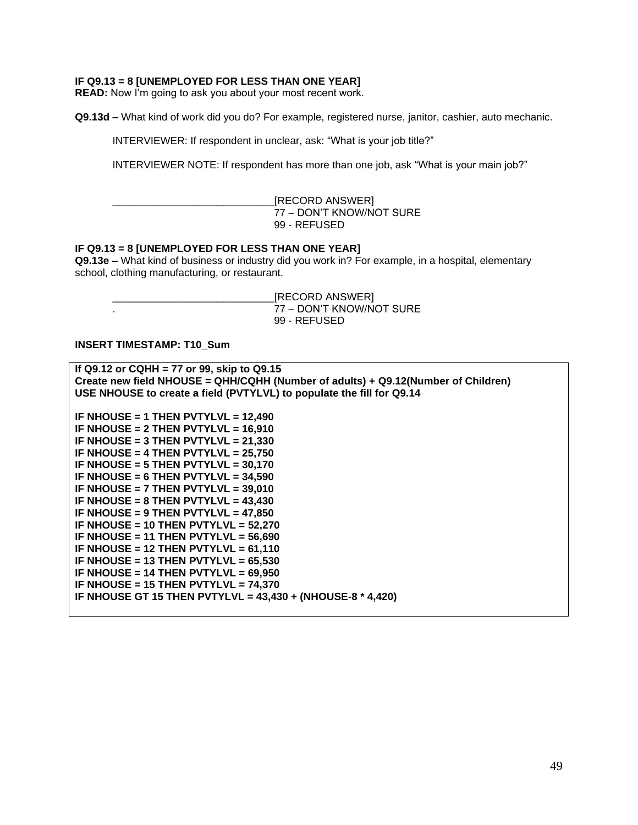# **IF Q9.13 = 8 [UNEMPLOYED FOR LESS THAN ONE YEAR]**

**READ:** Now I'm going to ask you about your most recent work.

**Q9.13d –** What kind of work did you do? For example, registered nurse, janitor, cashier, auto mechanic.

INTERVIEWER: If respondent in unclear, ask: "What is your job title?"

INTERVIEWER NOTE: If respondent has more than one job, ask "What is your main job?"

| [RECORD ANSWER]          |
|--------------------------|
| 77 – DON'T KNOW/NOT SURE |
| 99 - REFUSED             |

# **IF Q9.13 = 8 [UNEMPLOYED FOR LESS THAN ONE YEAR]**

**Q9.13e –** What kind of business or industry did you work in? For example, in a hospital, elementary school, clothing manufacturing, or restaurant.

| [RECORD ANSWER]                          |
|------------------------------------------|
| 77 – DON'T KNOW/NOT SURE<br>99 - REFUSED |

### **INSERT TIMESTAMP: T10\_Sum**

| If Q9.12 or CQHH = 77 or 99, skip to Q9.15                                        |
|-----------------------------------------------------------------------------------|
| Create new field NHOUSE = QHH/CQHH (Number of adults) + Q9.12(Number of Children) |
| USE NHOUSE to create a field (PVTYLVL) to populate the fill for Q9.14             |
|                                                                                   |
| IF NHOUSE = 1 THEN PVTYLVL = $12,490$                                             |
| IF NHOUSE = $2$ THEN PVTYLVL = 16,910                                             |
| IF NHOUSE = $3$ THEN PVTYLVL = $21,330$                                           |
| IF NHOUSE = 4 THEN PVTYLVL = $25,750$                                             |
| IF NHOUSE = 5 THEN PVTYLVL = 30,170                                               |
| IF NHOUSE = $6$ THEN PVTYLVL = 34,590                                             |
| IF NHOUSE = $7$ THEN PVTYLVL = 39,010                                             |
| IF NHOUSE = $8$ THEN PVTYLVL = $43,430$                                           |
| IF NHOUSE = 9 THEN PVTYLVL = $47,850$                                             |
| IF NHOUSE = 10 THEN PVTYLVL = 52,270                                              |
| IF NHOUSE = 11 THEN PVTYLVL = $56,690$                                            |
| IF NHOUSE = 12 THEN PVTYLVL = 61,110                                              |
| IF NHOUSE = 13 THEN PVTYLVL = $65,530$                                            |
| IF NHOUSE = 14 THEN PVTYLVL = $69,950$                                            |
| IF NHOUSE = 15 THEN PVTYLVL = 74,370                                              |
| IF NHOUSE GT 15 THEN PVTYLVL = $43,430 + (NHOUSE-8 * 4,420)$                      |
|                                                                                   |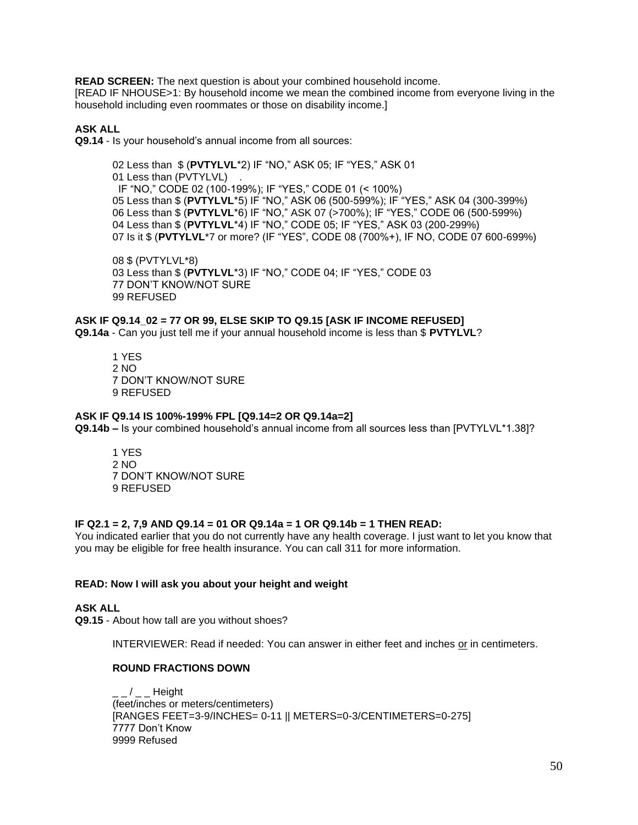**READ SCREEN:** The next question is about your combined household income.

[READ IF NHOUSE>1: By household income we mean the combined income from everyone living in the household including even roommates or those on disability income.]

### **ASK ALL**

**Q9.14** - Is your household's annual income from all sources:

02 Less than \$ (**PVTYLVL**\*2) IF "NO," ASK 05; IF "YES," ASK 01 01 Less than (PVTYLVL) . IF "NO," CODE 02 (100-199%); IF "YES," CODE 01 (< 100%) 05 Less than \$ (**PVTYLVL**\*5) IF "NO," ASK 06 (500-599%); IF "YES," ASK 04 (300-399%) 06 Less than \$ (**PVTYLVL**\*6) IF "NO," ASK 07 (>700%); IF "YES," CODE 06 (500-599%) 04 Less than \$ (**PVTYLVL**\*4) IF "NO," CODE 05; IF "YES," ASK 03 (200-299%) 07 Is it \$ (**PVTYLVL**\*7 or more? (IF "YES", CODE 08 (700%+), IF NO, CODE 07 600-699%)

08 \$ (PVTYLVL\*8) 03 Less than \$ (**PVTYLVL**\*3) IF "NO," CODE 04; IF "YES," CODE 03 77 DON'T KNOW/NOT SURE 99 REFUSED

#### **ASK IF Q9.14\_02 = 77 OR 99, ELSE SKIP TO Q9.15 [ASK IF INCOME REFUSED] Q9.14a** - Can you just tell me if your annual household income is less than \$ **PVTYLVL**?

1 YES 2 NO 7 DON'T KNOW/NOT SURE 9 REFUSED

### **ASK IF Q9.14 IS 100%-199% FPL [Q9.14=2 OR Q9.14a=2]**

**Q9.14b –** Is your combined household's annual income from all sources less than [PVTYLVL\*1.38]?

1 YES 2 NO 7 DON'T KNOW/NOT SURE 9 REFUSED

### **IF Q2.1 = 2, 7,9 AND Q9.14 = 01 OR Q9.14a = 1 OR Q9.14b = 1 THEN READ:**

You indicated earlier that you do not currently have any health coverage. I just want to let you know that you may be eligible for free health insurance. You can call 311 for more information.

#### **READ: Now I will ask you about your height and weight**

### **ASK ALL**

**Q9.15** - About how tall are you without shoes?

INTERVIEWER: Read if needed: You can answer in either feet and inches or in centimeters.

#### **ROUND FRACTIONS DOWN**

 $_{-}$   $_{-}$   $/$   $_{-}$   $_{-}$  Height (feet/inches or meters/centimeters) [RANGES FEET=3-9/INCHES= 0-11 || METERS=0-3/CENTIMETERS=0-275] -<br>7777 Don't Know 9999 Refused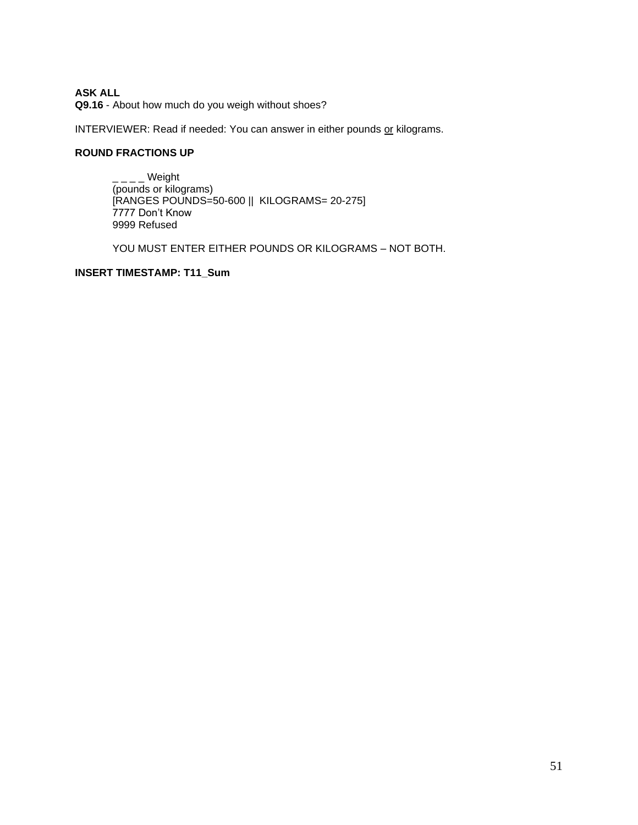### **ASK ALL Q9.16** - About how much do you weigh without shoes?

INTERVIEWER: Read if needed: You can answer in either pounds or kilograms.

# **ROUND FRACTIONS UP**

 $---$  Weight  $\frac{2}{2}$  (pounds or kilograms) [RANGES POUNDS=50-600 || KILOGRAMS= 20-275] 7777 Don't Know 9999 Refused

YOU MUST ENTER EITHER POUNDS OR KILOGRAMS – NOT BOTH.

### **INSERT TIMESTAMP: T11\_Sum**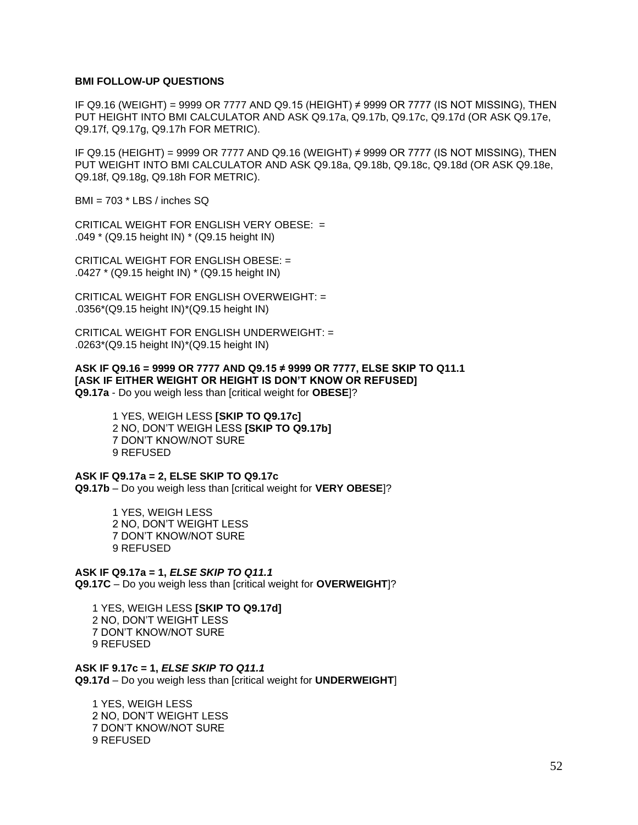### **BMI FOLLOW-UP QUESTIONS**

IF Q9.16 (WEIGHT) = 9999 OR 7777 AND Q9.15 (HEIGHT) ≠ 9999 OR 7777 (IS NOT MISSING), THEN PUT HEIGHT INTO BMI CALCULATOR AND ASK Q9.17a, Q9.17b, Q9.17c, Q9.17d (OR ASK Q9.17e, Q9.17f, Q9.17g, Q9.17h FOR METRIC).

IF Q9.15 (HEIGHT) = 9999 OR 7777 AND Q9.16 (WEIGHT) ≠ 9999 OR 7777 (IS NOT MISSING), THEN PUT WEIGHT INTO BMI CALCULATOR AND ASK Q9.18a, Q9.18b, Q9.18c, Q9.18d (OR ASK Q9.18e, Q9.18f, Q9.18g, Q9.18h FOR METRIC).

BMI = 703 \* LBS / inches SQ

CRITICAL WEIGHT FOR ENGLISH VERY OBESE: = .049 \* (Q9.15 height IN) \* (Q9.15 height IN)

CRITICAL WEIGHT FOR ENGLISH OBESE: = .0427 \* (Q9.15 height IN) \* (Q9.15 height IN)

CRITICAL WEIGHT FOR ENGLISH OVERWEIGHT: = .0356\*(Q9.15 height IN)\*(Q9.15 height IN)

CRITICAL WEIGHT FOR ENGLISH UNDERWEIGHT: = .0263\*(Q9.15 height IN)\*(Q9.15 height IN)

**ASK IF Q9.16 = 9999 OR 7777 AND Q9.15 ≠ 9999 OR 7777, ELSE SKIP TO Q11.1 [ASK IF EITHER WEIGHT OR HEIGHT IS DON'T KNOW OR REFUSED] Q9.17a** - Do you weigh less than [critical weight for **OBESE**]?

1 YES, WEIGH LESS **[SKIP TO Q9.17c]** 2 NO, DON'T WEIGH LESS **[SKIP TO Q9.17b]** 7 DON'T KNOW/NOT SURE 9 REFUSED

**ASK IF Q9.17a = 2, ELSE SKIP TO Q9.17c Q9.17b** – Do you weigh less than [critical weight for **VERY OBESE**]?

> 1 YES, WEIGH LESS 2 NO, DON'T WEIGHT LESS 7 DON'T KNOW/NOT SURE 9 REFUSED

**ASK IF Q9.17a = 1,** *ELSE SKIP TO Q11.1* **Q9.17C** – Do you weigh less than [critical weight for **OVERWEIGHT**]?

 1 YES, WEIGH LESS **[SKIP TO Q9.17d]** 2 NO, DON'T WEIGHT LESS 7 DON'T KNOW/NOT SURE 9 REFUSED

**ASK IF 9.17c = 1,** *ELSE SKIP TO Q11.1* **Q9.17d** – Do you weigh less than [critical weight for **UNDERWEIGHT**]

 1 YES, WEIGH LESS 2 NO, DON'T WEIGHT LESS 7 DON'T KNOW/NOT SURE 9 REFUSED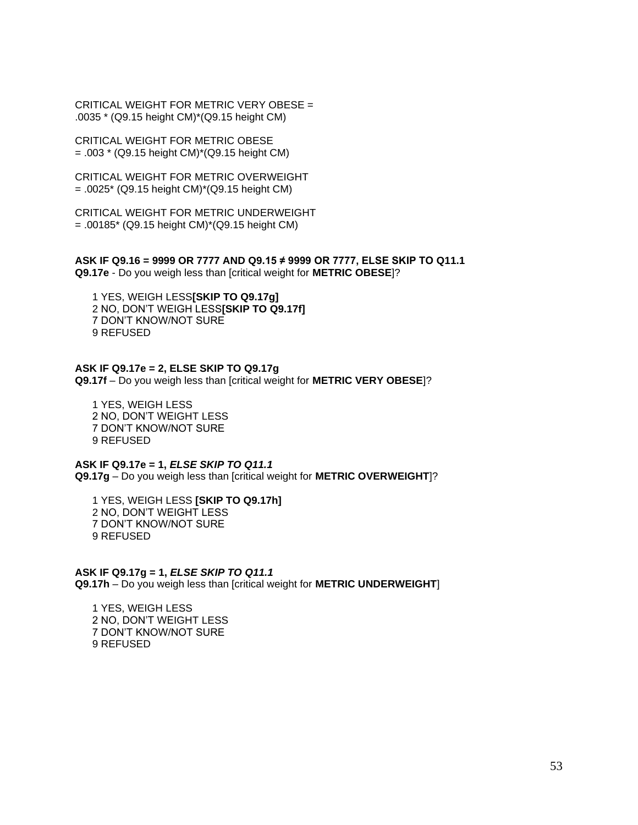CRITICAL WEIGHT FOR METRIC VERY OBESE = .0035 \* (Q9.15 height CM)\*(Q9.15 height CM)

CRITICAL WEIGHT FOR METRIC OBESE  $= .003$   $*$  (Q9.15 height CM) $*$ (Q9.15 height CM)

CRITICAL WEIGHT FOR METRIC OVERWEIGHT = .0025\* (Q9.15 height CM)\*(Q9.15 height CM)

CRITICAL WEIGHT FOR METRIC UNDERWEIGHT  $= .00185$ <sup>\*</sup> (Q9.15 height CM)<sup>\*</sup> (Q9.15 height CM)

**ASK IF Q9.16 = 9999 OR 7777 AND Q9.15 ≠ 9999 OR 7777, ELSE SKIP TO Q11.1 Q9.17e** - Do you weigh less than [critical weight for **METRIC OBESE**]?

 1 YES, WEIGH LESS**[SKIP TO Q9.17g]** 2 NO, DON'T WEIGH LESS**[SKIP TO Q9.17f]** 7 DON'T KNOW/NOT SURE 9 REFUSED

#### **ASK IF Q9.17e = 2, ELSE SKIP TO Q9.17g**

**Q9.17f** – Do you weigh less than [critical weight for **METRIC VERY OBESE**]?

 1 YES, WEIGH LESS 2 NO, DON'T WEIGHT LESS 7 DON'T KNOW/NOT SURE 9 REFUSED

**ASK IF Q9.17e = 1,** *ELSE SKIP TO Q11.1* **Q9.17g** – Do you weigh less than [critical weight for **METRIC OVERWEIGHT**]?

 1 YES, WEIGH LESS **[SKIP TO Q9.17h]** 2 NO, DON'T WEIGHT LESS 7 DON'T KNOW/NOT SURE 9 REFUSED

**ASK IF Q9.17g = 1,** *ELSE SKIP TO Q11.1* **Q9.17h** – Do you weigh less than [critical weight for **METRIC UNDERWEIGHT**]

 1 YES, WEIGH LESS 2 NO, DON'T WEIGHT LESS 7 DON'T KNOW/NOT SURE 9 REFUSED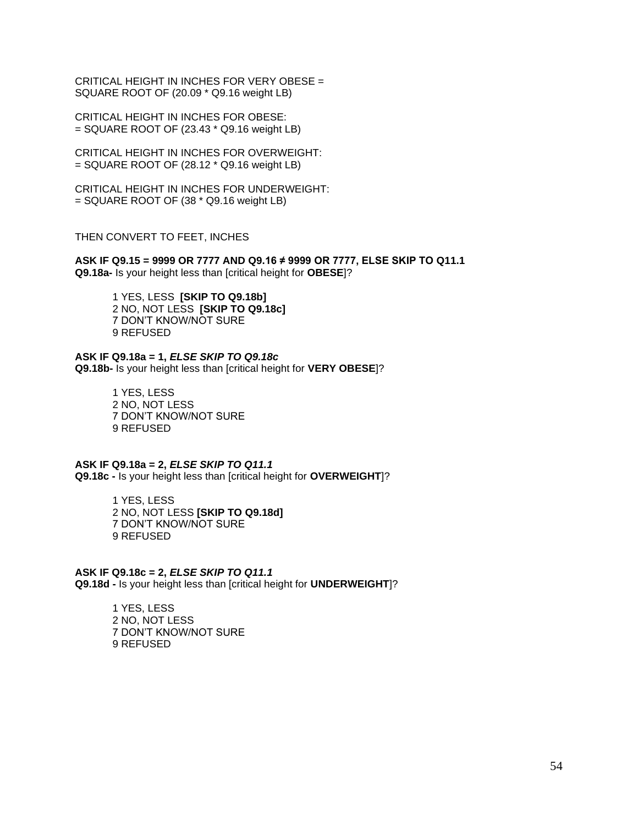CRITICAL HEIGHT IN INCHES FOR VERY OBESE = SQUARE ROOT OF (20.09 \* Q9.16 weight LB)

CRITICAL HEIGHT IN INCHES FOR OBESE:  $=$  SQUARE ROOT OF (23.43  $*$  Q9.16 weight LB)

CRITICAL HEIGHT IN INCHES FOR OVERWEIGHT:  $=$  SQUARE ROOT OF (28.12  $*$  Q9.16 weight LB)

CRITICAL HEIGHT IN INCHES FOR UNDERWEIGHT:  $=$  SQUARE ROOT OF (38  $*$  Q9.16 weight LB)

#### THEN CONVERT TO FEET, INCHES

**ASK IF Q9.15 = 9999 OR 7777 AND Q9.16 ≠ 9999 OR 7777, ELSE SKIP TO Q11.1 Q9.18a-** Is your height less than [critical height for **OBESE**]?

1 YES, LESS **[SKIP TO Q9.18b]** 2 NO, NOT LESS **[SKIP TO Q9.18c]** 7 DON'T KNOW/NOT SURE 9 REFUSED

# **ASK IF Q9.18a = 1,** *ELSE SKIP TO Q9.18c*

**Q9.18b-** Is your height less than [critical height for **VERY OBESE**]?

1 YES, LESS 2 NO, NOT LESS 7 DON'T KNOW/NOT SURE 9 REFUSED

# **ASK IF Q9.18a = 2,** *ELSE SKIP TO Q11.1*

**Q9.18c -** Is your height less than [critical height for **OVERWEIGHT**]?

1 YES, LESS 2 NO, NOT LESS **[SKIP TO Q9.18d]** 7 DON'T KNOW/NOT SURE 9 REFUSED

### **ASK IF Q9.18c = 2,** *ELSE SKIP TO Q11.1*

**Q9.18d -** Is your height less than [critical height for **UNDERWEIGHT**]?

1 YES, LESS 2 NO, NOT LESS 7 DON'T KNOW/NOT SURE 9 REFUSED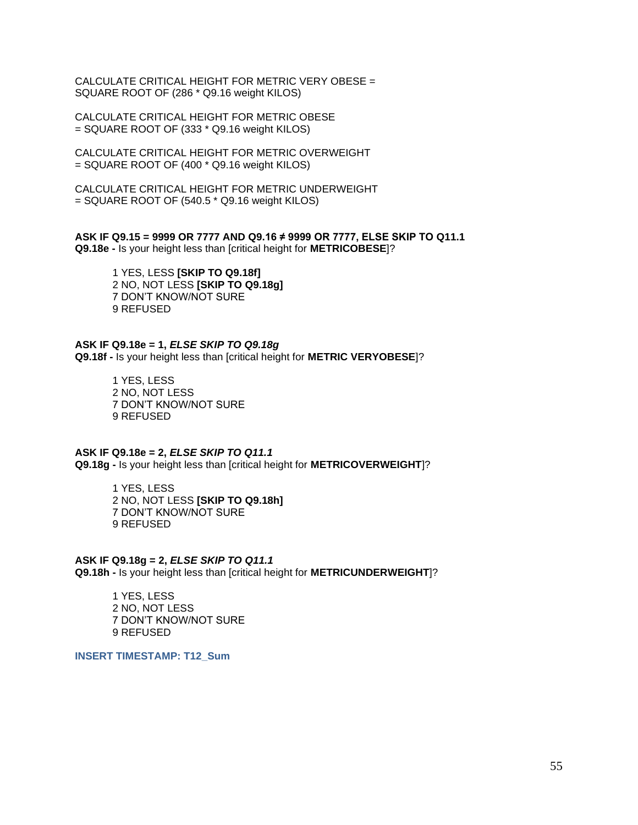CALCULATE CRITICAL HEIGHT FOR METRIC VERY OBESE = SQUARE ROOT OF (286 \* Q9.16 weight KILOS)

CALCULATE CRITICAL HEIGHT FOR METRIC OBESE  $=$  SQUARE ROOT OF (333  $*$  Q9.16 weight KILOS)

CALCULATE CRITICAL HEIGHT FOR METRIC OVERWEIGHT  $=$  SQUARE ROOT OF (400  $*$  Q9.16 weight KILOS)

CALCULATE CRITICAL HEIGHT FOR METRIC UNDERWEIGHT  $=$  SQUARE ROOT OF (540.5  $*$  Q9.16 weight KILOS)

**ASK IF Q9.15 = 9999 OR 7777 AND Q9.16 ≠ 9999 OR 7777, ELSE SKIP TO Q11.1 Q9.18e -** Is your height less than [critical height for **METRICOBESE**]?

1 YES, LESS **[SKIP TO Q9.18f]** 2 NO, NOT LESS **[SKIP TO Q9.18g]** 7 DON'T KNOW/NOT SURE 9 REFUSED

# **ASK IF Q9.18e = 1,** *ELSE SKIP TO Q9.18g*

**Q9.18f -** Is your height less than [critical height for **METRIC VERYOBESE**]?

1 YES, LESS 2 NO, NOT LESS 7 DON'T KNOW/NOT SURE 9 REFUSED

## **ASK IF Q9.18e = 2,** *ELSE SKIP TO Q11.1*

**Q9.18g -** Is your height less than [critical height for **METRICOVERWEIGHT**]?

1 YES, LESS 2 NO, NOT LESS **[SKIP TO Q9.18h]** 7 DON'T KNOW/NOT SURE 9 REFUSED

#### **ASK IF Q9.18g = 2,** *ELSE SKIP TO Q11.1*

**Q9.18h -** Is your height less than [critical height for **METRICUNDERWEIGHT**]?

1 YES, LESS 2 NO, NOT LESS 7 DON'T KNOW/NOT SURE 9 REFUSED

**INSERT TIMESTAMP: T12\_Sum**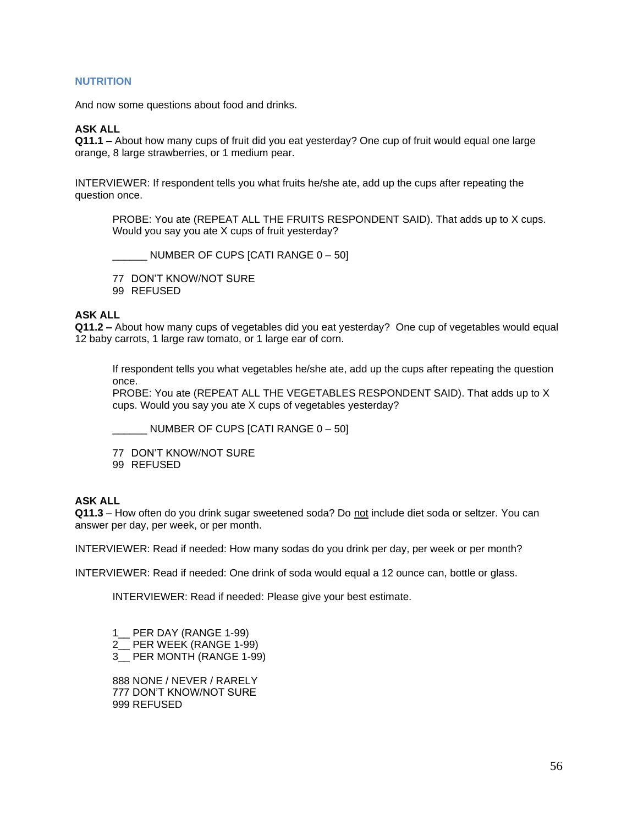### **NUTRITION**

And now some questions about food and drinks.

### **ASK ALL**

**Q11.1 –** About how many cups of fruit did you eat yesterday? One cup of fruit would equal one large orange, 8 large strawberries, or 1 medium pear.

INTERVIEWER: If respondent tells you what fruits he/she ate, add up the cups after repeating the question once.

PROBE: You ate (REPEAT ALL THE FRUITS RESPONDENT SAID). That adds up to X cups. Would you say you ate X cups of fruit yesterday?

NUMBER OF CUPS  $[CATI$  RANGE  $0 - 50]$ 

77 DON'T KNOW/NOT SURE

99 REFUSED

# **ASK ALL**

**Q11.2 –** About how many cups of vegetables did you eat yesterday? One cup of vegetables would equal 12 baby carrots, 1 large raw tomato, or 1 large ear of corn.

If respondent tells you what vegetables he/she ate, add up the cups after repeating the question once.

PROBE: You ate (REPEAT ALL THE VEGETABLES RESPONDENT SAID). That adds up to X cups. Would you say you ate X cups of vegetables yesterday?

NUMBER OF CUPS  $[CATI$  RANGE  $0 - 50]$ 

77 DON'T KNOW/NOT SURE

99 REFUSED

### **ASK ALL**

**Q11.3** – How often do you drink sugar sweetened soda? Do not include diet soda or seltzer. You can answer per day, per week, or per month.

INTERVIEWER: Read if needed: How many sodas do you drink per day, per week or per month?

INTERVIEWER: Read if needed: One drink of soda would equal a 12 ounce can, bottle or glass.

INTERVIEWER: Read if needed: Please give your best estimate.

1\_\_ PER DAY (RANGE 1-99) 2\_\_ PER WEEK (RANGE 1-99) 3\_\_ PER MONTH (RANGE 1-99)

888 NONE / NEVER / RARELY 777 DON'T KNOW/NOT SURE 999 REFUSED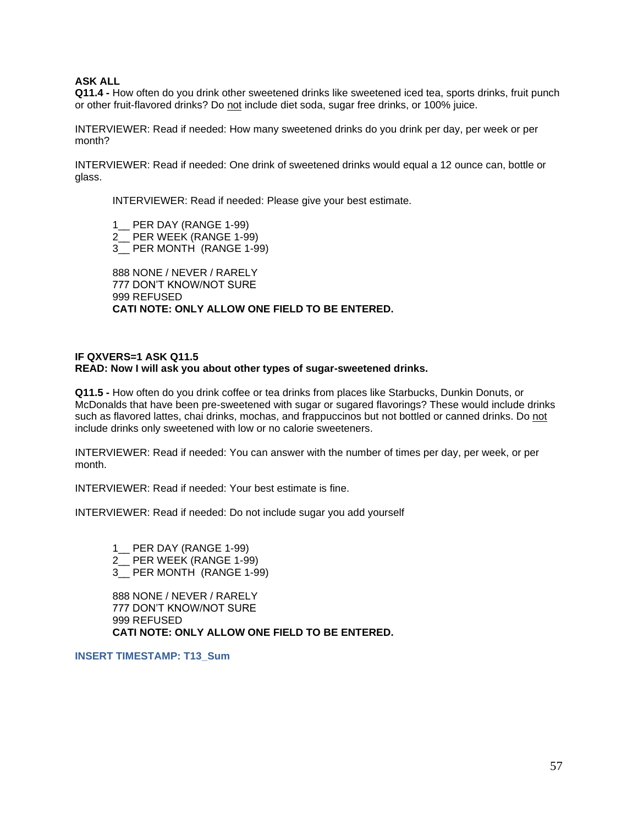### **ASK ALL**

**Q11.4 -** How often do you drink other sweetened drinks like sweetened iced tea, sports drinks, fruit punch or other fruit-flavored drinks? Do not include diet soda, sugar free drinks, or 100% juice.

INTERVIEWER: Read if needed: How many sweetened drinks do you drink per day, per week or per month?

INTERVIEWER: Read if needed: One drink of sweetened drinks would equal a 12 ounce can, bottle or glass.

INTERVIEWER: Read if needed: Please give your best estimate.

1\_\_ PER DAY (RANGE 1-99) 2\_\_ PER WEEK (RANGE 1-99) 3\_\_ PER MONTH (RANGE 1-99)

888 NONE / NEVER / RARELY 777 DON'T KNOW/NOT SURE 999 REFUSED **CATI NOTE: ONLY ALLOW ONE FIELD TO BE ENTERED.**

### **IF QXVERS=1 ASK Q11.5 READ: Now I will ask you about other types of sugar-sweetened drinks.**

**Q11.5 -** How often do you drink coffee or tea drinks from places like Starbucks, Dunkin Donuts, or McDonalds that have been pre-sweetened with sugar or sugared flavorings? These would include drinks such as flavored lattes, chai drinks, mochas, and frappuccinos but not bottled or canned drinks. Do not include drinks only sweetened with low or no calorie sweeteners.

INTERVIEWER: Read if needed: You can answer with the number of times per day, per week, or per month.

INTERVIEWER: Read if needed: Your best estimate is fine.

INTERVIEWER: Read if needed: Do not include sugar you add yourself

1\_\_ PER DAY (RANGE 1-99) 2\_\_ PER WEEK (RANGE 1-99) 3\_\_ PER MONTH (RANGE 1-99)

888 NONE / NEVER / RARELY 777 DON'T KNOW/NOT SURE 999 REFUSED **CATI NOTE: ONLY ALLOW ONE FIELD TO BE ENTERED.**

**INSERT TIMESTAMP: T13\_Sum**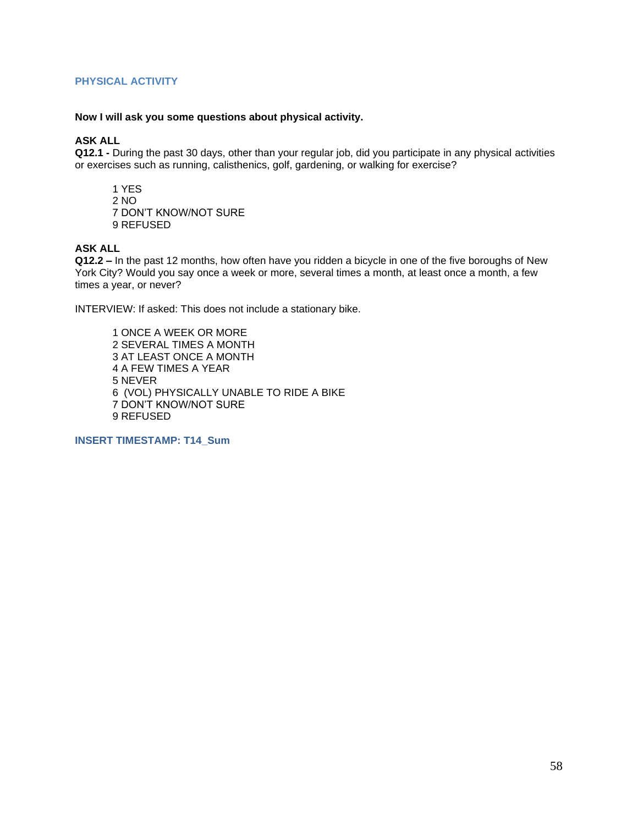# **PHYSICAL ACTIVITY**

### **Now I will ask you some questions about physical activity.**

### **ASK ALL**

**Q12.1 -** During the past 30 days, other than your regular job, did you participate in any physical activities or exercises such as running, calisthenics, golf, gardening, or walking for exercise?

1 YES 2 NO 7 DON'T KNOW/NOT SURE 9 REFUSED

### **ASK ALL**

**Q12.2 –** In the past 12 months, how often have you ridden a bicycle in one of the five boroughs of New York City? Would you say once a week or more, several times a month, at least once a month, a few times a year, or never?

INTERVIEW: If asked: This does not include a stationary bike.

1 ONCE A WEEK OR MORE 2 SEVERAL TIMES A MONTH 3 AT LEAST ONCE A MONTH 4 A FEW TIMES A YEAR 5 NEVER 6 (VOL) PHYSICALLY UNABLE TO RIDE A BIKE 7 DON'T KNOW/NOT SURE 9 REFUSED

**INSERT TIMESTAMP: T14\_Sum**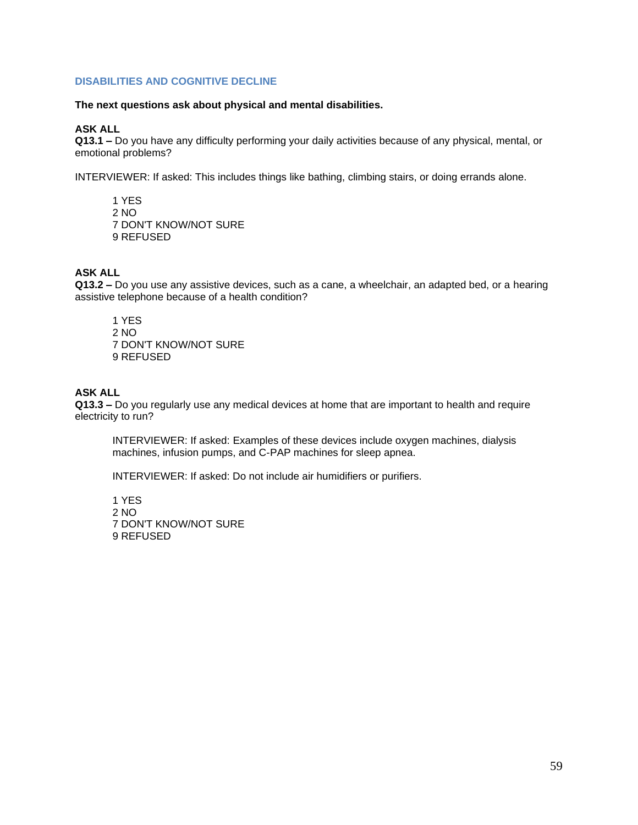# **DISABILITIES AND COGNITIVE DECLINE**

**The next questions ask about physical and mental disabilities.**

### **ASK ALL**

**Q13.1 –** Do you have any difficulty performing your daily activities because of any physical, mental, or emotional problems?

INTERVIEWER: If asked: This includes things like bathing, climbing stairs, or doing errands alone.

1 YES 2 NO 7 DON'T KNOW/NOT SURE 9 REFUSED

### **ASK ALL**

**Q13.2 –** Do you use any assistive devices, such as a cane, a wheelchair, an adapted bed, or a hearing assistive telephone because of a health condition?

1 YES 2 NO 7 DON'T KNOW/NOT SURE 9 REFUSED

### **ASK ALL**

**Q13.3 –** Do you regularly use any medical devices at home that are important to health and require electricity to run?

INTERVIEWER: If asked: Examples of these devices include oxygen machines, dialysis machines, infusion pumps, and C-PAP machines for sleep apnea.

INTERVIEWER: If asked: Do not include air humidifiers or purifiers.

1 YES 2 NO 7 DON'T KNOW/NOT SURE 9 REFUSED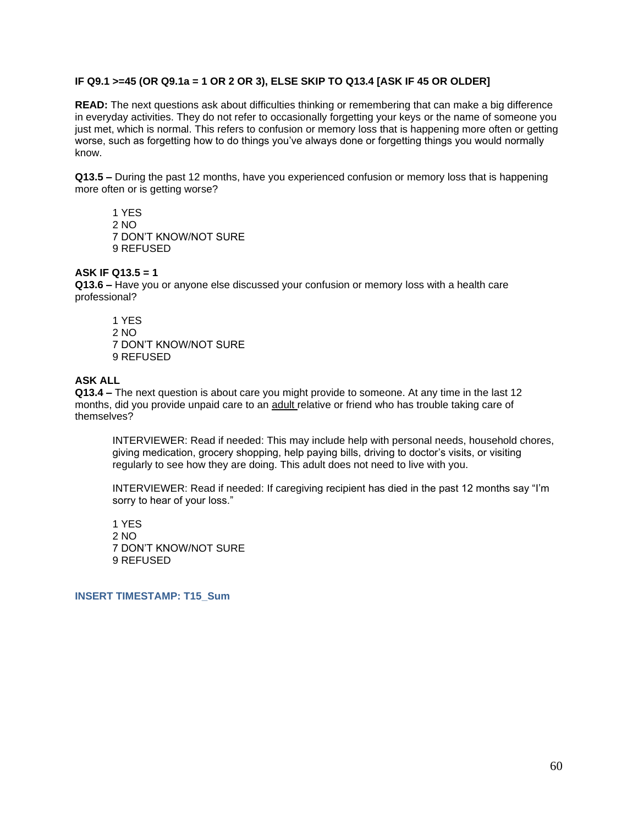### **IF Q9.1 >=45 (OR Q9.1a = 1 OR 2 OR 3), ELSE SKIP TO Q13.4 [ASK IF 45 OR OLDER]**

**READ:** The next questions ask about difficulties thinking or remembering that can make a big difference in everyday activities. They do not refer to occasionally forgetting your keys or the name of someone you just met, which is normal. This refers to confusion or memory loss that is happening more often or getting worse, such as forgetting how to do things you've always done or forgetting things you would normally know.

**Q13.5 –** During the past 12 months, have you experienced confusion or memory loss that is happening more often or is getting worse?

1 YES 2 NO 7 DON'T KNOW/NOT SURE 9 REFUSED

### **ASK IF Q13.5 = 1**

**Q13.6 –** Have you or anyone else discussed your confusion or memory loss with a health care professional?

1 YES 2 NO 7 DON'T KNOW/NOT SURE 9 REFUSED

### **ASK ALL**

**Q13.4 –** The next question is about care you might provide to someone. At any time in the last 12 months, did you provide unpaid care to an adult relative or friend who has trouble taking care of themselves?

INTERVIEWER: Read if needed: This may include help with personal needs, household chores, giving medication, grocery shopping, help paying bills, driving to doctor's visits, or visiting regularly to see how they are doing. This adult does not need to live with you.

INTERVIEWER: Read if needed: If caregiving recipient has died in the past 12 months say "I'm sorry to hear of your loss."

1 YES 2 NO 7 DON'T KNOW/NOT SURE 9 REFUSED

**INSERT TIMESTAMP: T15\_Sum**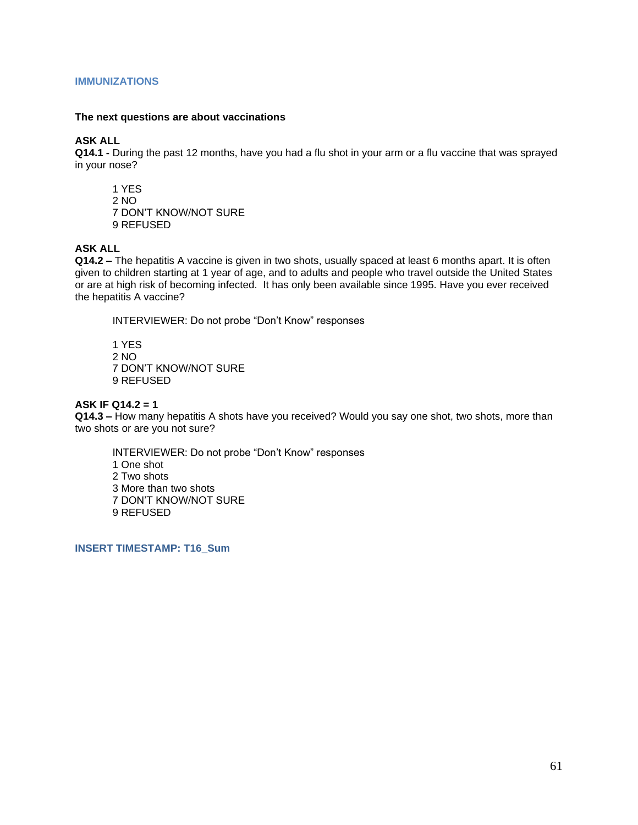#### **IMMUNIZATIONS**

#### **The next questions are about vaccinations**

### **ASK ALL**

**Q14.1 -** During the past 12 months, have you had a flu shot in your arm or a flu vaccine that was sprayed in your nose?

1 YES 2 NO 7 DON'T KNOW/NOT SURE 9 REFUSED

### **ASK ALL**

**Q14.2 –** The hepatitis A vaccine is given in two shots, usually spaced at least 6 months apart. It is often given to children starting at 1 year of age, and to adults and people who travel outside the United States or are at high risk of becoming infected. It has only been available since 1995. Have you ever received the hepatitis A vaccine?

INTERVIEWER: Do not probe "Don't Know" responses

1 YES 2 NO 7 DON'T KNOW/NOT SURE 9 REFUSED

### **ASK IF Q14.2 = 1**

**Q14.3 –** How many hepatitis A shots have you received? Would you say one shot, two shots, more than two shots or are you not sure?

INTERVIEWER: Do not probe "Don't Know" responses 1 One shot 2 Two shots 3 More than two shots 7 DON'T KNOW/NOT SURE 9 REFUSED

**INSERT TIMESTAMP: T16\_Sum**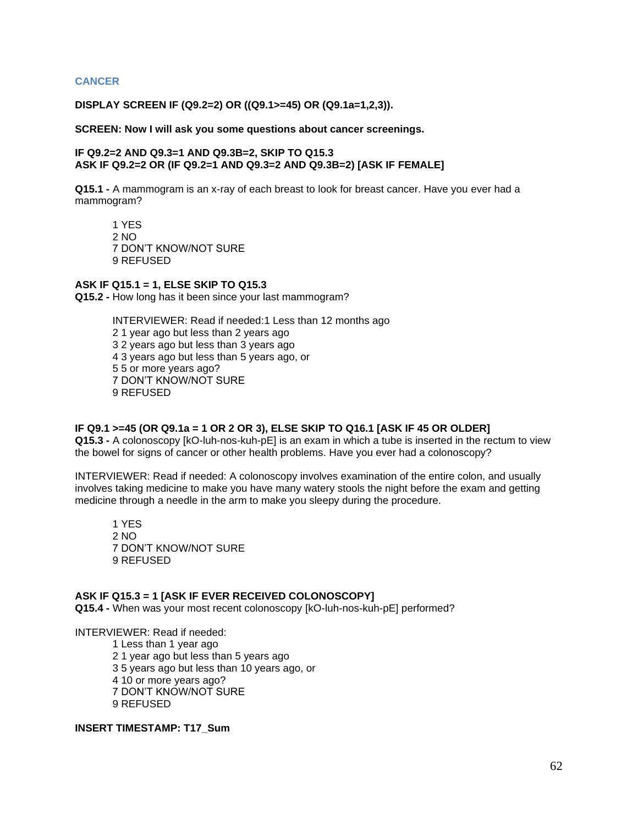### **CANCER**

**DISPLAY SCREEN IF (Q9.2=2) OR ((Q9.1>=45) OR (Q9.1a=1,2,3)).**

**SCREEN: Now I will ask you some questions about cancer screenings.**

#### **IF Q9.2=2 AND Q9.3=1 AND Q9.3B=2, SKIP TO Q15.3 ASK IF Q9.2=2 OR (IF Q9.2=1 AND Q9.3=2 AND Q9.3B=2) [ASK IF FEMALE]**

**Q15.1 -** A mammogram is an x-ray of each breast to look for breast cancer. Have you ever had a mammogram?

1 YES 2 NO 7 DON'T KNOW/NOT SURE 9 REFUSED

### **ASK IF Q15.1 = 1, ELSE SKIP TO Q15.3**

**Q15.2 -** How long has it been since your last mammogram?

INTERVIEWER: Read if needed:1 Less than 12 months ago 2 1 year ago but less than 2 years ago 3 2 years ago but less than 3 years ago 4 3 years ago but less than 5 years ago, or 5 5 or more years ago? 7 DON'T KNOW/NOT SURE 9 REFUSED

### **IF Q9.1 >=45 (OR Q9.1a = 1 OR 2 OR 3), ELSE SKIP TO Q16.1 [ASK IF 45 OR OLDER]**

**Q15.3 -** A colonoscopy [kO-luh-nos-kuh-pE] is an exam in which a tube is inserted in the rectum to view the bowel for signs of cancer or other health problems. Have you ever had a colonoscopy?

INTERVIEWER: Read if needed: A colonoscopy involves examination of the entire colon, and usually involves taking medicine to make you have many watery stools the night before the exam and getting medicine through a needle in the arm to make you sleepy during the procedure.

1 YES 2 NO 7 DON'T KNOW/NOT SURE 9 REFUSED

## **ASK IF Q15.3 = 1 [ASK IF EVER RECEIVED COLONOSCOPY]**

**Q15.4 -** When was your most recent colonoscopy [kO-luh-nos-kuh-pE] performed?

INTERVIEWER: Read if needed: 1 Less than 1 year ago 2 1 year ago but less than 5 years ago 3 5 years ago but less than 10 years ago, or 4 10 or more years ago? 7 DON'T KNOW/NOT SURE 9 REFUSED

**INSERT TIMESTAMP: T17\_Sum**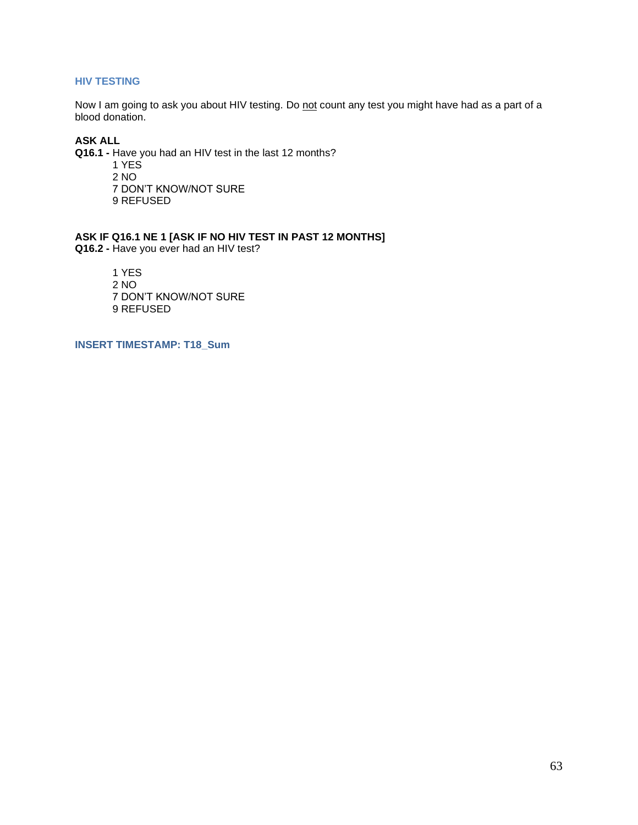# **HIV TESTING**

Now I am going to ask you about HIV testing. Do not count any test you might have had as a part of a blood donation.

# **ASK ALL**

**Q16.1 -** Have you had an HIV test in the last 12 months?

1 YES 2 NO 7 DON'T KNOW/NOT SURE 9 REFUSED

# **ASK IF Q16.1 NE 1 [ASK IF NO HIV TEST IN PAST 12 MONTHS]**

**Q16.2 -** Have you ever had an HIV test?

1 YES 2 NO 7 DON'T KNOW/NOT SURE 9 REFUSED

**INSERT TIMESTAMP: T18\_Sum**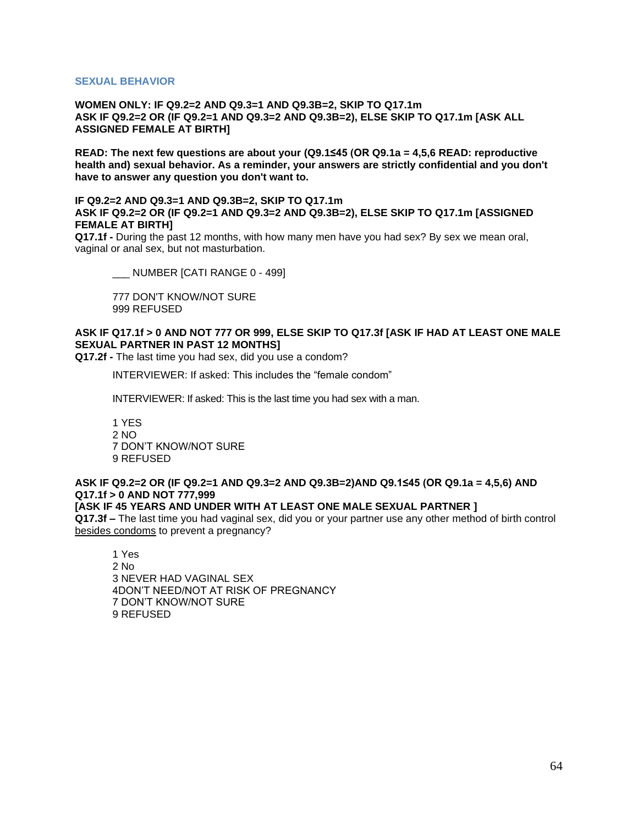### **SEXUAL BEHAVIOR**

#### **WOMEN ONLY: IF Q9.2=2 AND Q9.3=1 AND Q9.3B=2, SKIP TO Q17.1m ASK IF Q9.2=2 OR (IF Q9.2=1 AND Q9.3=2 AND Q9.3B=2), ELSE SKIP TO Q17.1m [ASK ALL ASSIGNED FEMALE AT BIRTH]**

**READ: The next few questions are about your (Q9.1≤45 (OR Q9.1a = 4,5,6 READ: reproductive health and) sexual behavior. As a reminder, your answers are strictly confidential and you don't have to answer any question you don't want to.**

#### **IF Q9.2=2 AND Q9.3=1 AND Q9.3B=2, SKIP TO Q17.1m ASK IF Q9.2=2 OR (IF Q9.2=1 AND Q9.3=2 AND Q9.3B=2), ELSE SKIP TO Q17.1m [ASSIGNED FEMALE AT BIRTH]**

**Q17.1f -** During the past 12 months, with how many men have you had sex? By sex we mean oral, vaginal or anal sex, but not masturbation.

\_\_\_ NUMBER [CATI RANGE 0 - 499]

777 DON'T KNOW/NOT SURE 999 REFUSED

### **ASK IF Q17.1f > 0 AND NOT 777 OR 999, ELSE SKIP TO Q17.3f [ASK IF HAD AT LEAST ONE MALE SEXUAL PARTNER IN PAST 12 MONTHS]**

**Q17.2f -** The last time you had sex, did you use a condom?

INTERVIEWER: If asked: This includes the "female condom"

INTERVIEWER: If asked: This is the last time you had sex with a man.

1 YES 2 NO 7 DON'T KNOW/NOT SURE 9 REFUSED

### **ASK IF Q9.2=2 OR (IF Q9.2=1 AND Q9.3=2 AND Q9.3B=2)AND Q9.1≤45 (OR Q9.1a = 4,5,6) AND Q17.1f > 0 AND NOT 777,999**

#### **[ASK IF 45 YEARS AND UNDER WITH AT LEAST ONE MALE SEXUAL PARTNER ]**

**Q17.3f –** The last time you had vaginal sex, did you or your partner use any other method of birth control besides condoms to prevent a pregnancy?

1 Yes 2 No 3 NEVER HAD VAGINAL SEX 4DON'T NEED/NOT AT RISK OF PREGNANCY 7 DON'T KNOW/NOT SURE 9 REFUSED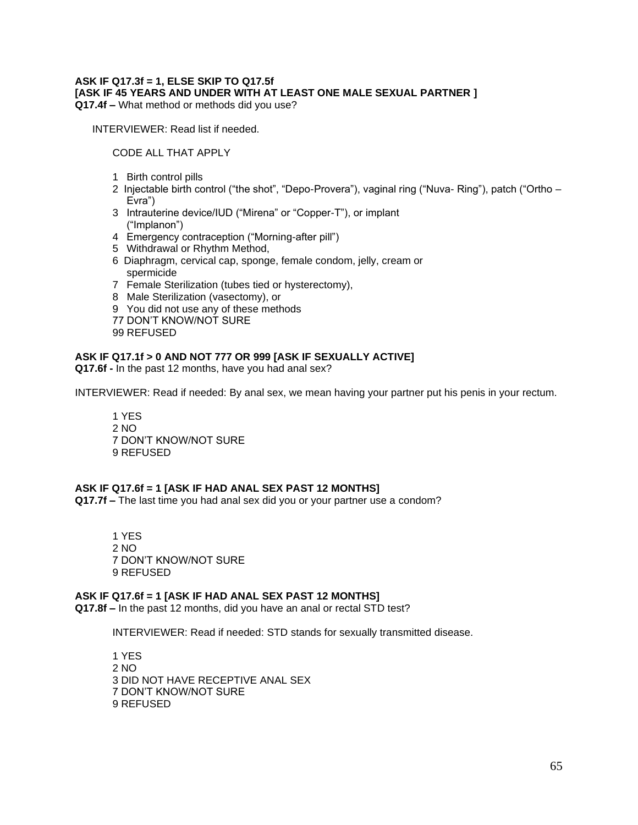#### **ASK IF Q17.3f = 1, ELSE SKIP TO Q17.5f [ASK IF 45 YEARS AND UNDER WITH AT LEAST ONE MALE SEXUAL PARTNER ] Q17.4f –** What method or methods did you use?

INTERVIEWER: Read list if needed.

CODE ALL THAT APPLY

- 1 Birth control pills
- 2 Injectable birth control ("the shot", "Depo-Provera"), vaginal ring ("Nuva- Ring"), patch ("Ortho Evra")
- 3 Intrauterine device/IUD ("Mirena" or "Copper-T"), or implant ("Implanon")
- 4 Emergency contraception ("Morning-after pill")
- 5 Withdrawal or Rhythm Method,
- 6 Diaphragm, cervical cap, sponge, female condom, jelly, cream or spermicide
- 7 Female Sterilization (tubes tied or hysterectomy),
- 8 Male Sterilization (vasectomy), or
- 9 You did not use any of these methods
- 77 DON'T KNOW/NOT SURE
- 99 REFUSED

### **ASK IF Q17.1f > 0 AND NOT 777 OR 999 [ASK IF SEXUALLY ACTIVE]**

**Q17.6f -** In the past 12 months, have you had anal sex?

INTERVIEWER: Read if needed: By anal sex, we mean having your partner put his penis in your rectum.

1 YES 2 NO 7 DON'T KNOW/NOT SURE 9 REFUSED

### **ASK IF Q17.6f = 1 [ASK IF HAD ANAL SEX PAST 12 MONTHS]**

**Q17.7f –** The last time you had anal sex did you or your partner use a condom?

1 YES 2 NO 7 DON'T KNOW/NOT SURE 9 REFUSED

**ASK IF Q17.6f = 1 [ASK IF HAD ANAL SEX PAST 12 MONTHS]**

**Q17.8f –** In the past 12 months, did you have an anal or rectal STD test?

INTERVIEWER: Read if needed: STD stands for sexually transmitted disease.

1 YES 2 NO 3 DID NOT HAVE RECEPTIVE ANAL SEX 7 DON'T KNOW/NOT SURE 9 REFUSED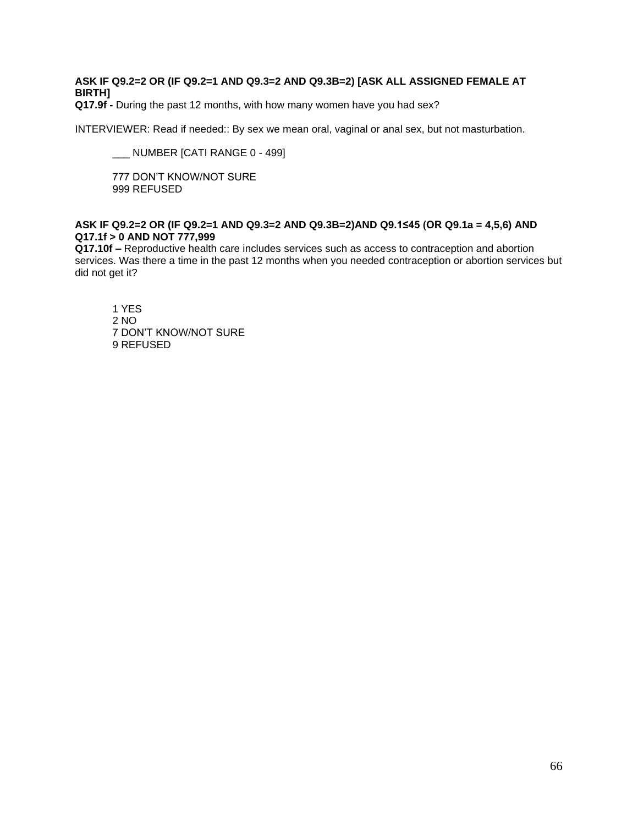### **ASK IF Q9.2=2 OR (IF Q9.2=1 AND Q9.3=2 AND Q9.3B=2) [ASK ALL ASSIGNED FEMALE AT BIRTH]**

**Q17.9f -** During the past 12 months, with how many women have you had sex?

INTERVIEWER: Read if needed:: By sex we mean oral, vaginal or anal sex, but not masturbation.

\_\_\_ NUMBER [CATI RANGE 0 - 499]

777 DON'T KNOW/NOT SURE 999 REFUSED

### **ASK IF Q9.2=2 OR (IF Q9.2=1 AND Q9.3=2 AND Q9.3B=2)AND Q9.1≤45 (OR Q9.1a = 4,5,6) AND Q17.1f > 0 AND NOT 777,999**

**Q17.10f –** Reproductive health care includes services such as access to contraception and abortion services. Was there a time in the past 12 months when you needed contraception or abortion services but did not get it?

1 YES 2 NO 7 DON'T KNOW/NOT SURE 9 REFUSED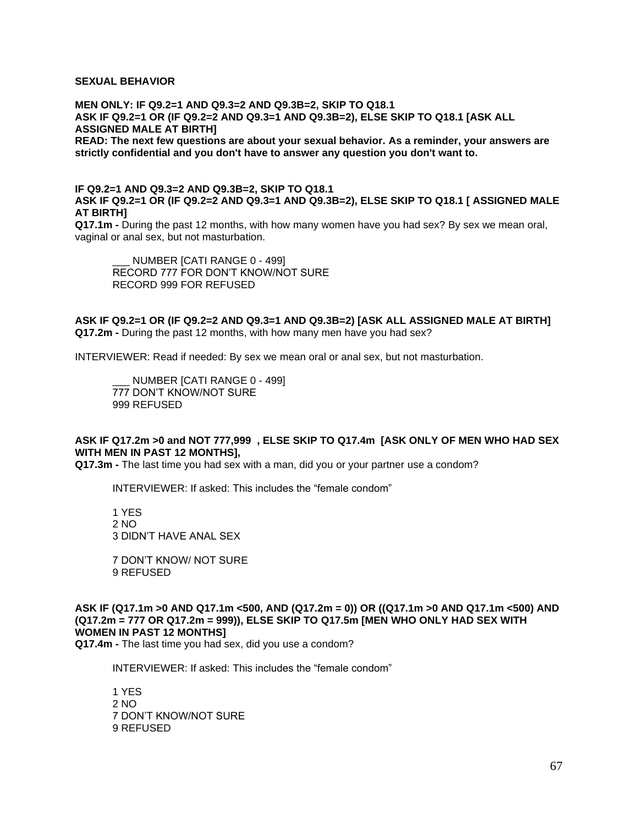### **SEXUAL BEHAVIOR**

**MEN ONLY: IF Q9.2=1 AND Q9.3=2 AND Q9.3B=2, SKIP TO Q18.1 ASK IF Q9.2=1 OR (IF Q9.2=2 AND Q9.3=1 AND Q9.3B=2), ELSE SKIP TO Q18.1 [ASK ALL ASSIGNED MALE AT BIRTH] READ: The next few questions are about your sexual behavior. As a reminder, your answers are strictly confidential and you don't have to answer any question you don't want to.**

### **IF Q9.2=1 AND Q9.3=2 AND Q9.3B=2, SKIP TO Q18.1 ASK IF Q9.2=1 OR (IF Q9.2=2 AND Q9.3=1 AND Q9.3B=2), ELSE SKIP TO Q18.1 [ ASSIGNED MALE AT BIRTH]**

**Q17.1m -** During the past 12 months, with how many women have you had sex? By sex we mean oral, vaginal or anal sex, but not masturbation.

NUMBER [CATI RANGE 0 - 499] RECORD 777 FOR DON'T KNOW/NOT SURE RECORD 999 FOR REFUSED

**ASK IF Q9.2=1 OR (IF Q9.2=2 AND Q9.3=1 AND Q9.3B=2) [ASK ALL ASSIGNED MALE AT BIRTH] Q17.2m -** During the past 12 months, with how many men have you had sex?

INTERVIEWER: Read if needed: By sex we mean oral or anal sex, but not masturbation.

NUMBER [CATI RANGE 0 - 499] 777 DON'T KNOW/NOT SURE 999 REFUSED

#### **ASK IF Q17.2m >0 and NOT 777,999 , ELSE SKIP TO Q17.4m [ASK ONLY OF MEN WHO HAD SEX WITH MEN IN PAST 12 MONTHS],**

**Q17.3m -** The last time you had sex with a man, did you or your partner use a condom?

INTERVIEWER: If asked: This includes the "female condom"

1 YES  $2 N()$ 3 DIDN'T HAVE ANAL SEX

7 DON'T KNOW/ NOT SURE 9 REFUSED

**ASK IF (Q17.1m >0 AND Q17.1m <500, AND (Q17.2m = 0)) OR ((Q17.1m >0 AND Q17.1m <500) AND (Q17.2m = 777 OR Q17.2m = 999)), ELSE SKIP TO Q17.5m [MEN WHO ONLY HAD SEX WITH WOMEN IN PAST 12 MONTHS]**

**Q17.4m -** The last time you had sex, did you use a condom?

INTERVIEWER: If asked: This includes the "female condom"

1 YES 2 NO 7 DON'T KNOW/NOT SURE 9 REFUSED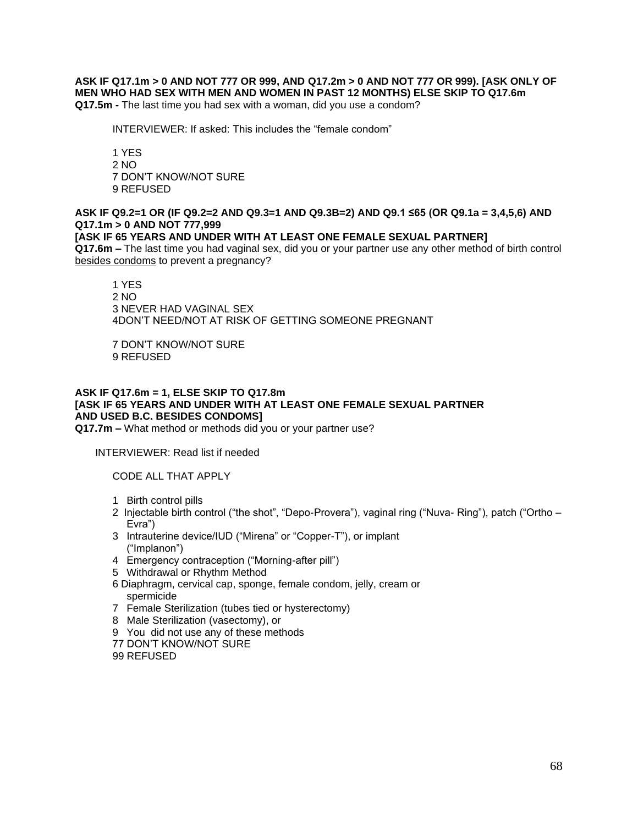**ASK IF Q17.1m > 0 AND NOT 777 OR 999, AND Q17.2m > 0 AND NOT 777 OR 999). [ASK ONLY OF MEN WHO HAD SEX WITH MEN AND WOMEN IN PAST 12 MONTHS) ELSE SKIP TO Q17.6m Q17.5m -** The last time you had sex with a woman, did you use a condom?

INTERVIEWER: If asked: This includes the "female condom"

1 YES 2 NO 7 DON'T KNOW/NOT SURE 9 REFUSED

### **ASK IF Q9.2=1 OR (IF Q9.2=2 AND Q9.3=1 AND Q9.3B=2) AND Q9.1 ≤65 (OR Q9.1a = 3,4,5,6) AND Q17.1m > 0 AND NOT 777,999**

# **[ASK IF 65 YEARS AND UNDER WITH AT LEAST ONE FEMALE SEXUAL PARTNER]**

**Q17.6m –** The last time you had vaginal sex, did you or your partner use any other method of birth control besides condoms to prevent a pregnancy?

#### 1 YES 2 NO 3 NEVER HAD VAGINAL SEX 4DON'T NEED/NOT AT RISK OF GETTING SOMEONE PREGNANT

7 DON'T KNOW/NOT SURE 9 REFUSED

# **ASK IF Q17.6m = 1, ELSE SKIP TO Q17.8m [ASK IF 65 YEARS AND UNDER WITH AT LEAST ONE FEMALE SEXUAL PARTNER AND USED B.C. BESIDES CONDOMS]**

**Q17.7m –** What method or methods did you or your partner use?

INTERVIEWER: Read list if needed

CODE ALL THAT APPLY

- 1 Birth control pills
- 2 Injectable birth control ("the shot", "Depo-Provera"), vaginal ring ("Nuva- Ring"), patch ("Ortho Evra")
- 3 Intrauterine device/IUD ("Mirena" or "Copper-T"), or implant ("Implanon")
- 4 Emergency contraception ("Morning-after pill")
- 5 Withdrawal or Rhythm Method
- 6 Diaphragm, cervical cap, sponge, female condom, jelly, cream or spermicide
- 7 Female Sterilization (tubes tied or hysterectomy)
- 8 Male Sterilization (vasectomy), or
- 9 You did not use any of these methods
- 77 DON'T KNOW/NOT SURE

99 REFUSED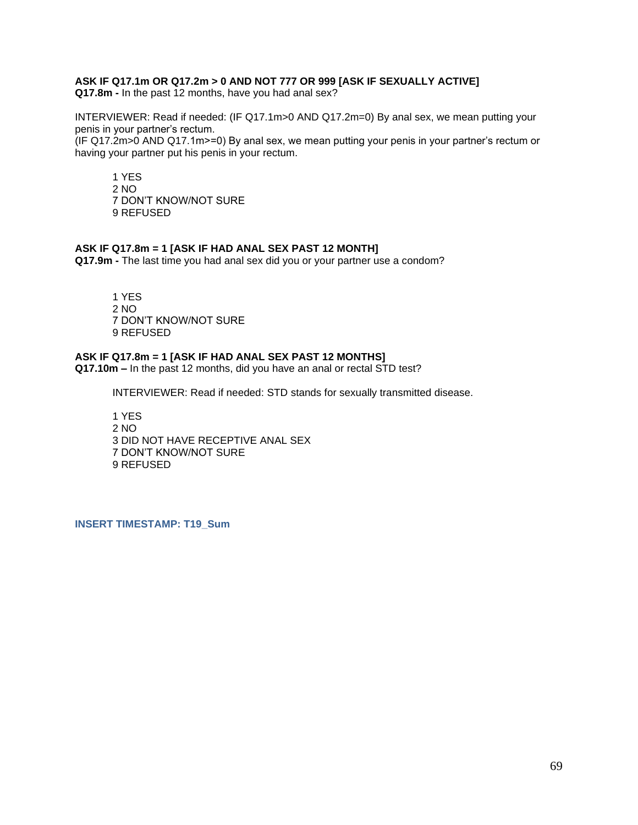# **ASK IF Q17.1m OR Q17.2m > 0 AND NOT 777 OR 999 [ASK IF SEXUALLY ACTIVE]**

**Q17.8m -** In the past 12 months, have you had anal sex?

INTERVIEWER: Read if needed: (IF Q17.1m>0 AND Q17.2m=0) By anal sex, we mean putting your penis in your partner's rectum.

(IF Q17.2m>0 AND Q17.1m>=0) By anal sex, we mean putting your penis in your partner's rectum or having your partner put his penis in your rectum.

1 YES 2 NO 7 DON'T KNOW/NOT SURE 9 REFUSED

### **ASK IF Q17.8m = 1 [ASK IF HAD ANAL SEX PAST 12 MONTH]**

**Q17.9m -** The last time you had anal sex did you or your partner use a condom?

1 YES 2 NO 7 DON'T KNOW/NOT SURE 9 REFUSED

# **ASK IF Q17.8m = 1 [ASK IF HAD ANAL SEX PAST 12 MONTHS]**

**Q17.10m –** In the past 12 months, did you have an anal or rectal STD test?

INTERVIEWER: Read if needed: STD stands for sexually transmitted disease.

1 YES 2 NO 3 DID NOT HAVE RECEPTIVE ANAL SEX 7 DON'T KNOW/NOT SURE 9 REFUSED

**INSERT TIMESTAMP: T19\_Sum**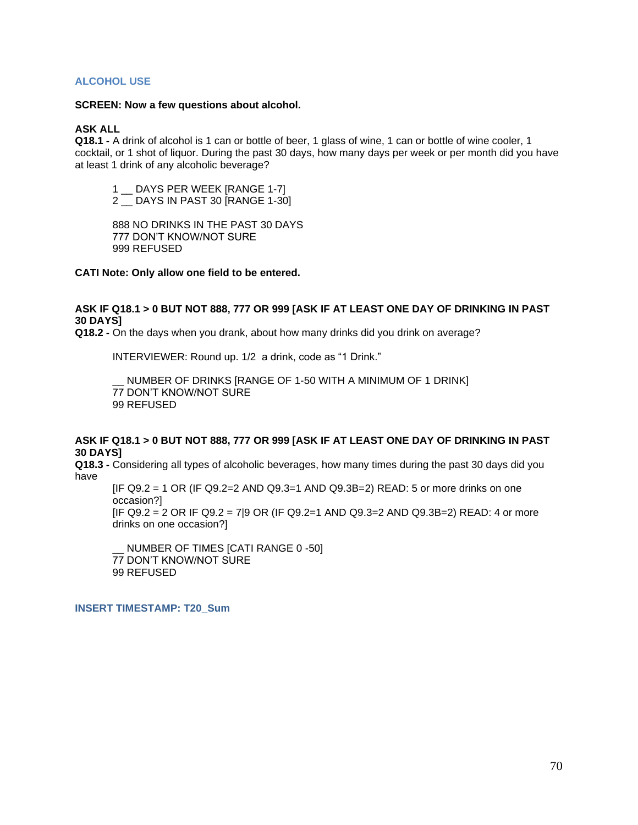### **ALCOHOL USE**

#### **SCREEN: Now a few questions about alcohol.**

### **ASK ALL**

**Q18.1 -** A drink of alcohol is 1 can or bottle of beer, 1 glass of wine, 1 can or bottle of wine cooler, 1 cocktail, or 1 shot of liquor. During the past 30 days, how many days per week or per month did you have at least 1 drink of any alcoholic beverage?

1 \_\_ DAYS PER WEEK [RANGE 1-7]

2 \_\_ DAYS IN PAST 30 [RANGE 1-30]

888 NO DRINKS IN THE PAST 30 DAYS 777 DON'T KNOW/NOT SURE 999 REFUSED

**CATI Note: Only allow one field to be entered.**

### **ASK IF Q18.1 > 0 BUT NOT 888, 777 OR 999 [ASK IF AT LEAST ONE DAY OF DRINKING IN PAST 30 DAYS]**

**Q18.2 -** On the days when you drank, about how many drinks did you drink on average?

INTERVIEWER: Round up. 1/2 a drink, code as "1 Drink."

NUMBER OF DRINKS [RANGE OF 1-50 WITH A MINIMUM OF 1 DRINK] 77 DON'T KNOW/NOT SURE 99 REFUSED

### **ASK IF Q18.1 > 0 BUT NOT 888, 777 OR 999 [ASK IF AT LEAST ONE DAY OF DRINKING IN PAST 30 DAYS]**

**Q18.3 -** Considering all types of alcoholic beverages, how many times during the past 30 days did you have

[IF Q9.2 = 1 OR (IF Q9.2=2 AND Q9.3=1 AND Q9.3B=2) READ: 5 or more drinks on one occasion?]

[IF Q9.2 = 2 OR IF Q9.2 = 7|9 OR (IF Q9.2=1 AND Q9.3=2 AND Q9.3B=2) READ: 4 or more drinks on one occasion?]

\_\_ NUMBER OF TIMES [CATI RANGE 0 -50] 77 DON'T KNOW/NOT SURE 99 REFUSED

**INSERT TIMESTAMP: T20\_Sum**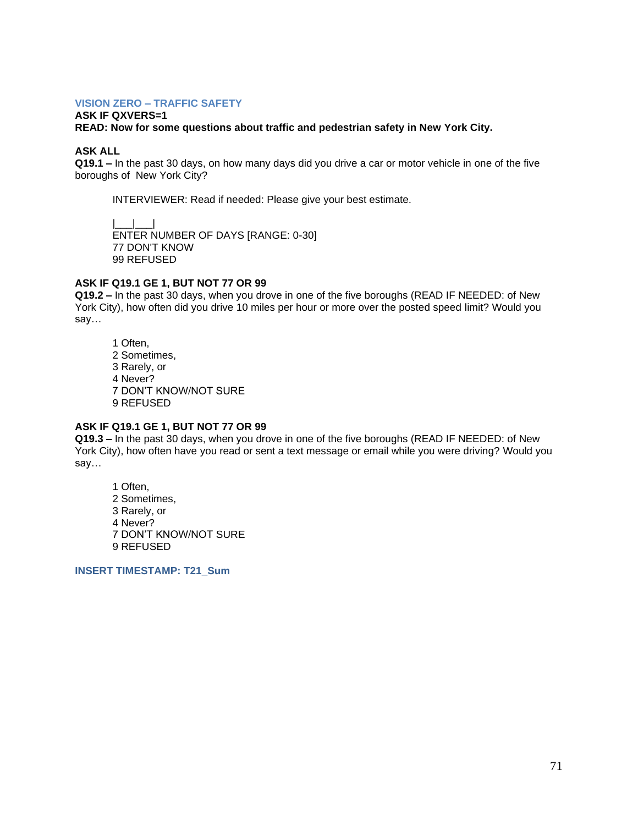### **VISION ZERO – TRAFFIC SAFETY**

**ASK IF QXVERS=1**

**READ: Now for some questions about traffic and pedestrian safety in New York City.**

### **ASK ALL**

**Q19.1 –** In the past 30 days, on how many days did you drive a car or motor vehicle in one of the five boroughs of New York City?

INTERVIEWER: Read if needed: Please give your best estimate.

|\_\_\_|\_\_\_| ENTER NUMBER OF DAYS [RANGE: 0-30] 77 DON'T KNOW 99 REFUSED

### **ASK IF Q19.1 GE 1, BUT NOT 77 OR 99**

**Q19.2 –** In the past 30 days, when you drove in one of the five boroughs (READ IF NEEDED: of New York City), how often did you drive 10 miles per hour or more over the posted speed limit? Would you say…

1 Often, 2 Sometimes, 3 Rarely, or 4 Never? 7 DON'T KNOW/NOT SURE 9 REFUSED

### **ASK IF Q19.1 GE 1, BUT NOT 77 OR 99**

**Q19.3 –** In the past 30 days, when you drove in one of the five boroughs (READ IF NEEDED: of New York City), how often have you read or sent a text message or email while you were driving? Would you say…

1 Often, 2 Sometimes, 3 Rarely, or 4 Never? 7 DON'T KNOW/NOT SURE 9 REFUSED

**INSERT TIMESTAMP: T21\_Sum**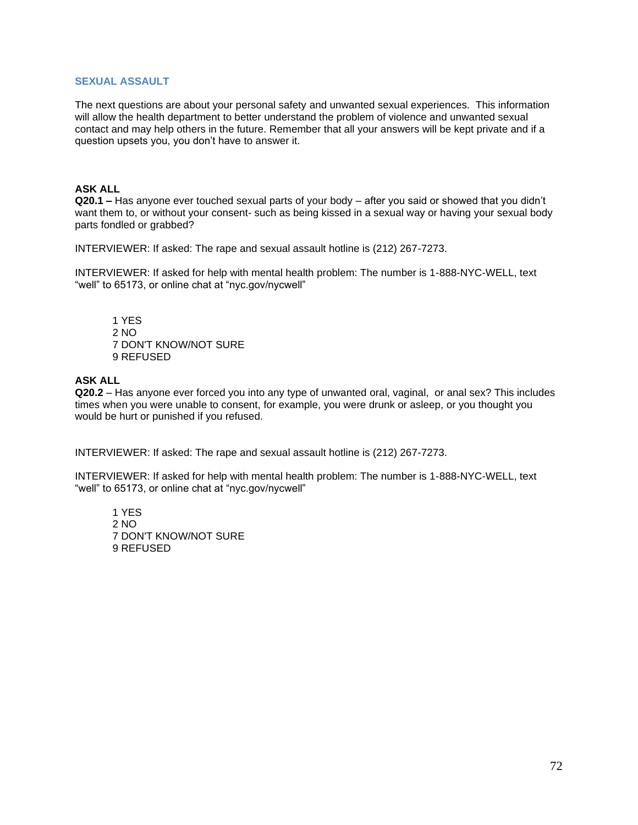### **SEXUAL ASSAULT**

The next questions are about your personal safety and unwanted sexual experiences. This information will allow the health department to better understand the problem of violence and unwanted sexual contact and may help others in the future. Remember that all your answers will be kept private and if a question upsets you, you don't have to answer it.

# **ASK ALL**

**Q20.1 –** Has anyone ever touched sexual parts of your body – after you said or showed that you didn't want them to, or without your consent- such as being kissed in a sexual way or having your sexual body parts fondled or grabbed?

INTERVIEWER: If asked: The rape and sexual assault hotline is (212) 267-7273.

INTERVIEWER: If asked for help with mental health problem: The number is 1-888-NYC-WELL, text "well" to 65173, or online chat at "nyc.gov/nycwell"

1 YES 2 NO 7 DON'T KNOW/NOT SURE 9 REFUSED

### **ASK ALL**

**Q20.2** – Has anyone ever forced you into any type of unwanted oral, vaginal, or anal sex? This includes times when you were unable to consent, for example, you were drunk or asleep, or you thought you would be hurt or punished if you refused.

INTERVIEWER: If asked: The rape and sexual assault hotline is (212) 267-7273.

INTERVIEWER: If asked for help with mental health problem: The number is 1-888-NYC-WELL, text "well" to 65173, or online chat at "nyc.gov/nycwell"

1 YES 2 NO 7 DON'T KNOW/NOT SURE 9 REFUSED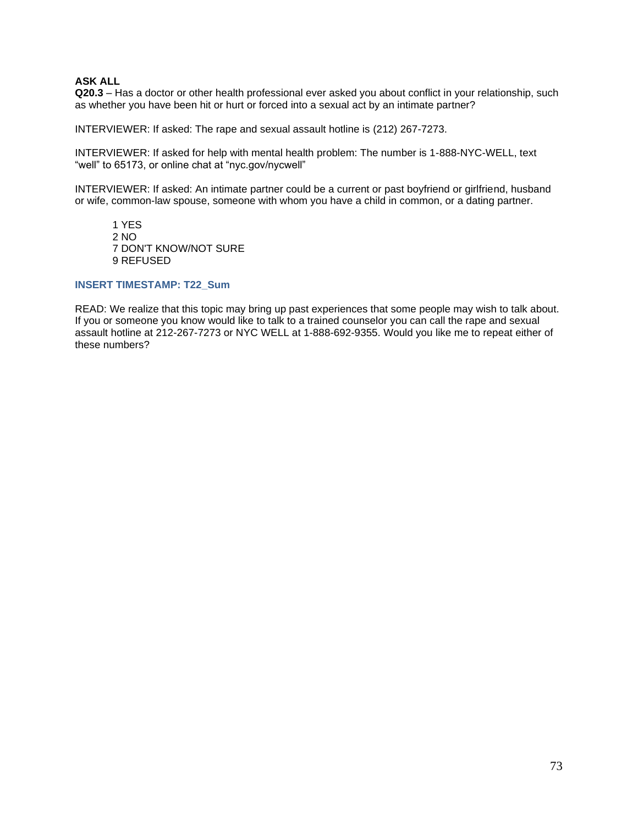## **ASK ALL**

**Q20.3** – Has a doctor or other health professional ever asked you about conflict in your relationship, such as whether you have been hit or hurt or forced into a sexual act by an intimate partner?

INTERVIEWER: If asked: The rape and sexual assault hotline is (212) 267-7273.

INTERVIEWER: If asked for help with mental health problem: The number is 1-888-NYC-WELL, text "well" to 65173, or online chat at "nyc.gov/nycwell"

INTERVIEWER: If asked: An intimate partner could be a current or past boyfriend or girlfriend, husband or wife, common-law spouse, someone with whom you have a child in common, or a dating partner.

1 YES 2 NO 7 DON'T KNOW/NOT SURE 9 REFUSED

#### **INSERT TIMESTAMP: T22\_Sum**

READ: We realize that this topic may bring up past experiences that some people may wish to talk about. If you or someone you know would like to talk to a trained counselor you can call the rape and sexual assault hotline at 212-267-7273 or NYC WELL at 1-888-692-9355. Would you like me to repeat either of these numbers?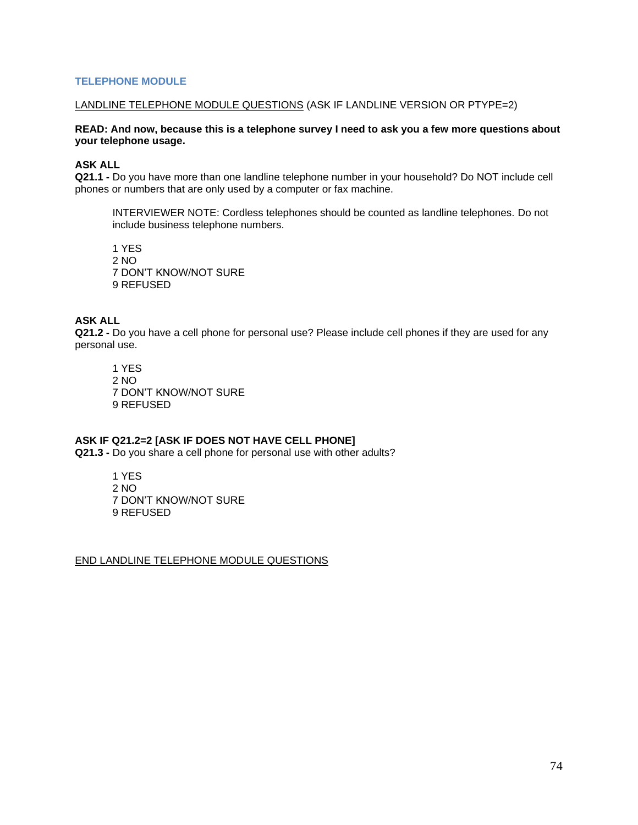# **TELEPHONE MODULE**

### LANDLINE TELEPHONE MODULE QUESTIONS (ASK IF LANDLINE VERSION OR PTYPE=2)

### **READ: And now, because this is a telephone survey I need to ask you a few more questions about your telephone usage.**

#### **ASK ALL**

**Q21.1 -** Do you have more than one landline telephone number in your household? Do NOT include cell phones or numbers that are only used by a computer or fax machine.

INTERVIEWER NOTE: Cordless telephones should be counted as landline telephones. Do not include business telephone numbers.

1 YES 2 NO 7 DON'T KNOW/NOT SURE 9 REFUSED

# **ASK ALL**

**Q21.2 -** Do you have a cell phone for personal use? Please include cell phones if they are used for any personal use.

1 YES 2 NO 7 DON'T KNOW/NOT SURE 9 REFUSED

### **ASK IF Q21.2=2 [ASK IF DOES NOT HAVE CELL PHONE]**

**Q21.3 -** Do you share a cell phone for personal use with other adults?

1 YES 2 NO 7 DON'T KNOW/NOT SURE 9 REFUSED

END LANDLINE TELEPHONE MODULE QUESTIONS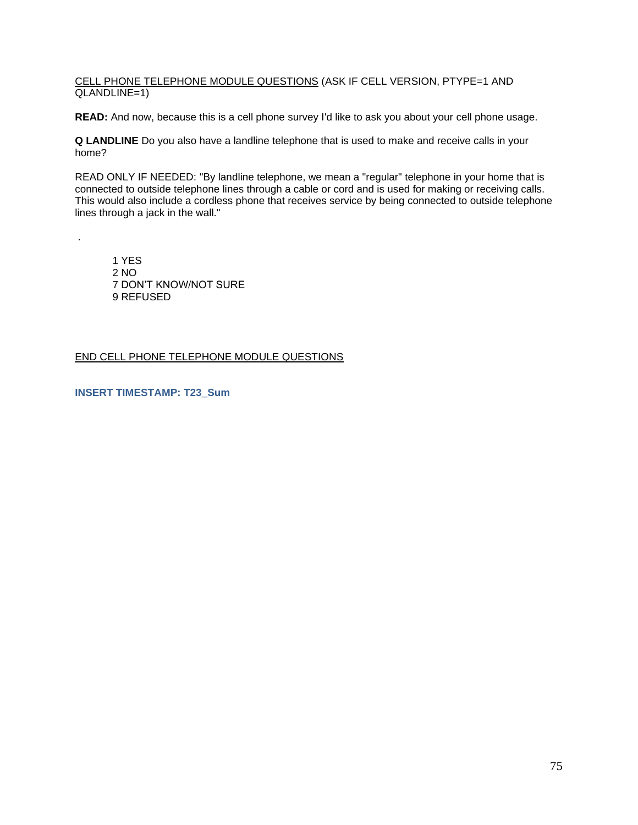### CELL PHONE TELEPHONE MODULE QUESTIONS (ASK IF CELL VERSION, PTYPE=1 AND QLANDLINE=1)

**READ:** And now, because this is a cell phone survey I'd like to ask you about your cell phone usage.

**Q LANDLINE** Do you also have a landline telephone that is used to make and receive calls in your home?

READ ONLY IF NEEDED: "By landline telephone, we mean a "regular" telephone in your home that is connected to outside telephone lines through a cable or cord and is used for making or receiving calls. This would also include a cordless phone that receives service by being connected to outside telephone lines through a jack in the wall."

1 YES 2 NO 7 DON'T KNOW/NOT SURE 9 REFUSED

END CELL PHONE TELEPHONE MODULE QUESTIONS

**INSERT TIMESTAMP: T23\_Sum**

.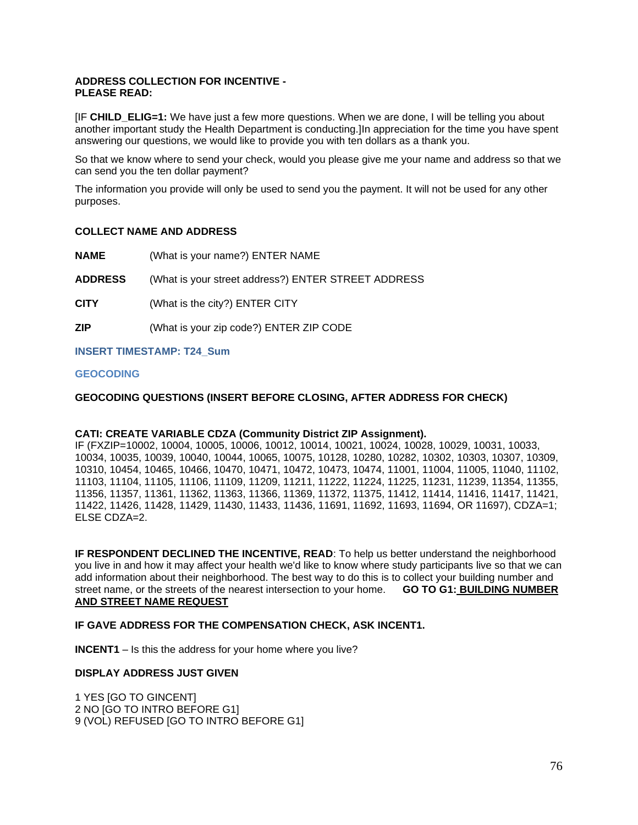## **ADDRESS COLLECTION FOR INCENTIVE - PLEASE READ:**

[IF **CHILD\_ELIG=1:** We have just a few more questions. When we are done, I will be telling you about another important study the Health Department is conducting.]In appreciation for the time you have spent answering our questions, we would like to provide you with ten dollars as a thank you.

So that we know where to send your check, would you please give me your name and address so that we can send you the ten dollar payment?

The information you provide will only be used to send you the payment. It will not be used for any other purposes.

## **COLLECT NAME AND ADDRESS**

**NAME** (What is your name?) ENTER NAME

**ADDRESS** (What is your street address?) ENTER STREET ADDRESS

**CITY** (What is the city?) ENTER CITY

**ZIP** (What is your zip code?) ENTER ZIP CODE

**INSERT TIMESTAMP: T24\_Sum**

### **GEOCODING**

## **GEOCODING QUESTIONS (INSERT BEFORE CLOSING, AFTER ADDRESS FOR CHECK)**

### **CATI: CREATE VARIABLE CDZA (Community District ZIP Assignment).**

IF (FXZIP=10002, 10004, 10005, 10006, 10012, 10014, 10021, 10024, 10028, 10029, 10031, 10033, 10034, 10035, 10039, 10040, 10044, 10065, 10075, 10128, 10280, 10282, 10302, 10303, 10307, 10309, 10310, 10454, 10465, 10466, 10470, 10471, 10472, 10473, 10474, 11001, 11004, 11005, 11040, 11102, 11103, 11104, 11105, 11106, 11109, 11209, 11211, 11222, 11224, 11225, 11231, 11239, 11354, 11355, 11356, 11357, 11361, 11362, 11363, 11366, 11369, 11372, 11375, 11412, 11414, 11416, 11417, 11421, 11422, 11426, 11428, 11429, 11430, 11433, 11436, 11691, 11692, 11693, 11694, OR 11697), CDZA=1; ELSE CDZA=2.

**IF RESPONDENT DECLINED THE INCENTIVE, READ:** To help us better understand the neighborhood you live in and how it may affect your health we'd like to know where study participants live so that we can add information about their neighborhood. The best way to do this is to collect your building number and street name, or the streets of the nearest intersection to your home. **GO TO G1: BUILDING NUMBER AND STREET NAME REQUEST**

### **IF GAVE ADDRESS FOR THE COMPENSATION CHECK, ASK INCENT1.**

**INCENT1** – Is this the address for your home where you live?

### **DISPLAY ADDRESS JUST GIVEN**

1 YES [GO TO GINCENT] 2 NO [GO TO INTRO BEFORE G1] 9 (VOL) REFUSED [GO TO INTRO BEFORE G1]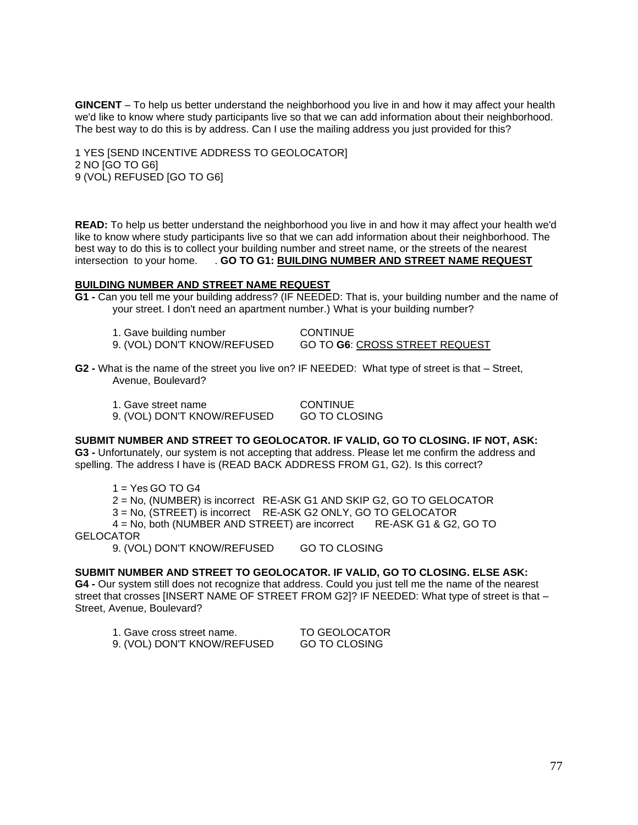**GINCENT** – To help us better understand the neighborhood you live in and how it may affect your health we'd like to know where study participants live so that we can add information about their neighborhood. The best way to do this is by address. Can I use the mailing address you just provided for this?

1 YES [SEND INCENTIVE ADDRESS TO GEOLOCATOR] 2 NO [GO TO G6] 9 (VOL) REFUSED [GO TO G6]

**READ:** To help us better understand the neighborhood you live in and how it may affect your health we'd like to know where study participants live so that we can add information about their neighborhood. The best way to do this is to collect your building number and street name, or the streets of the nearest intersection to your home.. **GO TO G1: BUILDING NUMBER AND STREET NAME REQUEST**

#### **BUILDING NUMBER AND STREET NAME REQUEST**

**G1 -** Can you tell me your building address? (IF NEEDED: That is, your building number and the name of your street. I don't need an apartment number.) What is your building number?

| 1. Gave building number     | <b>CONTINUE</b>                |
|-----------------------------|--------------------------------|
| 9. (VOL) DON'T KNOW/REFUSED | GO TO G6: CROSS STREET REQUEST |

**G2 -** What is the name of the street you live on? IF NEEDED: What type of street is that – Street, Avenue, Boulevard?

| 1. Gave street name         | <b>CONTINUE</b> |
|-----------------------------|-----------------|
| 9. (VOL) DON'T KNOW/REFUSED | GO TO CLOSING   |

## **SUBMIT NUMBER AND STREET TO GEOLOCATOR. IF VALID, GO TO CLOSING. IF NOT, ASK:**

**G3 -** Unfortunately, our system is not accepting that address. Please let me confirm the address and spelling. The address I have is (READ BACK ADDRESS FROM G1, G2). Is this correct?

 $1 = Yes$  GO TO G4

2 = No, (NUMBER) is incorrect RE-ASK G1 AND SKIP G2, GO TO GELOCATOR

3 = No, (STREET) is incorrect RE-ASK G2 ONLY, GO TO GELOCATOR

4 = No, both (NUMBER AND STREET) are incorrect RE-ASK G1 & G2, GO TO **GELOCATOR** 

9. (VOL) DON'T KNOW/REFUSED GO TO CLOSING

## **SUBMIT NUMBER AND STREET TO GEOLOCATOR. IF VALID, GO TO CLOSING. ELSE ASK:**

**G4 -** Our system still does not recognize that address. Could you just tell me the name of the nearest street that crosses [INSERT NAME OF STREET FROM G2]? IF NEEDED: What type of street is that – Street, Avenue, Boulevard?

| 1. Gave cross street name.  | TO GEOLOCATOR |
|-----------------------------|---------------|
| 9. (VOL) DON'T KNOW/REFUSED | GO TO CLOSING |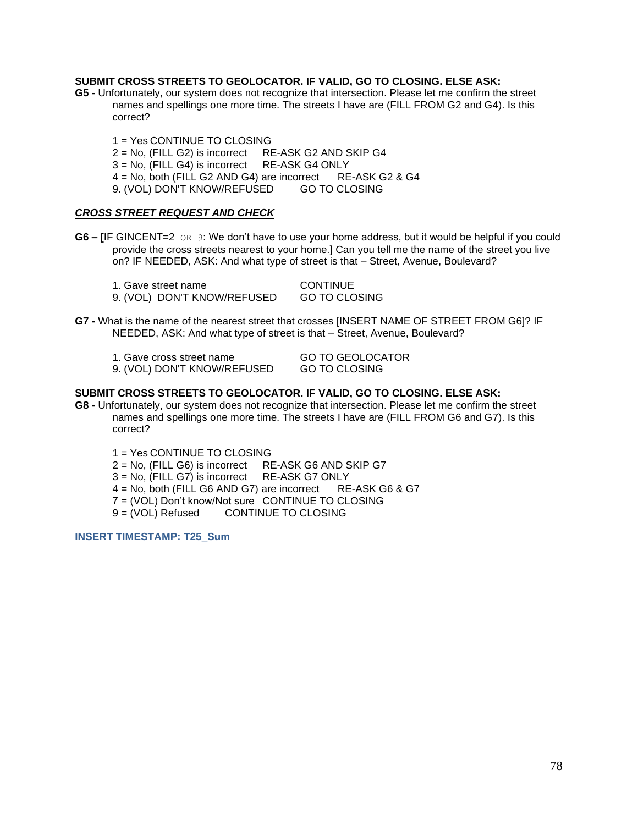## **SUBMIT CROSS STREETS TO GEOLOCATOR. IF VALID, GO TO CLOSING. ELSE ASK:**

**G5 -** Unfortunately, our system does not recognize that intersection. Please let me confirm the street names and spellings one more time. The streets I have are (FILL FROM G2 and G4). Is this correct?

1 = Yes CONTINUE TO CLOSING 2 = No, (FILL G2) is incorrect RE-ASK G2 AND SKIP G4 3 = No, (FILL G4) is incorrect RE-ASK G4 ONLY 4 = No, both (FILL G2 AND G4) are incorrect RE-ASK G2 & G4 9. (VOL) DON'T KNOW/REFUSED

#### *CROSS STREET REQUEST AND CHECK*

**G6 – [**IF GINCENT=2 OR 9: We don't have to use your home address, but it would be helpful if you could provide the cross streets nearest to your home.] Can you tell me the name of the street you live on? IF NEEDED, ASK: And what type of street is that – Street, Avenue, Boulevard?

| 1. Gave street name |                             | <b>CONTINUE</b> |
|---------------------|-----------------------------|-----------------|
|                     | 9. (VOL) DON'T KNOW/REFUSED | GO TO CLOSING   |

**G7 -** What is the name of the nearest street that crosses [INSERT NAME OF STREET FROM G6]? IF NEEDED, ASK: And what type of street is that – Street, Avenue, Boulevard?

| 1. Gave cross street name   | <b>GO TO GEOLOCATOR</b> |
|-----------------------------|-------------------------|
| 9. (VOL) DON'T KNOW/REFUSED | GO TO CLOSING           |

#### **SUBMIT CROSS STREETS TO GEOLOCATOR. IF VALID, GO TO CLOSING. ELSE ASK:**

- **G8 -** Unfortunately, our system does not recognize that intersection. Please let me confirm the street names and spellings one more time. The streets I have are (FILL FROM G6 and G7). Is this correct?
	- 1 = Yes CONTINUE TO CLOSING
	- 2 = No, (FILL G6) is incorrect RE-ASK G6 AND SKIP G7
	- 3 = No, (FILL G7) is incorrect RE-ASK G7 ONLY
	- 4 = No, both (FILL G6 AND G7) are incorrect RE-ASK G6 & G7
	- 7 = (VOL) Don't know/Not sure CONTINUE TO CLOSING
	- 9 = (VOL) Refused CONTINUE TO CLOSING

**INSERT TIMESTAMP: T25\_Sum**